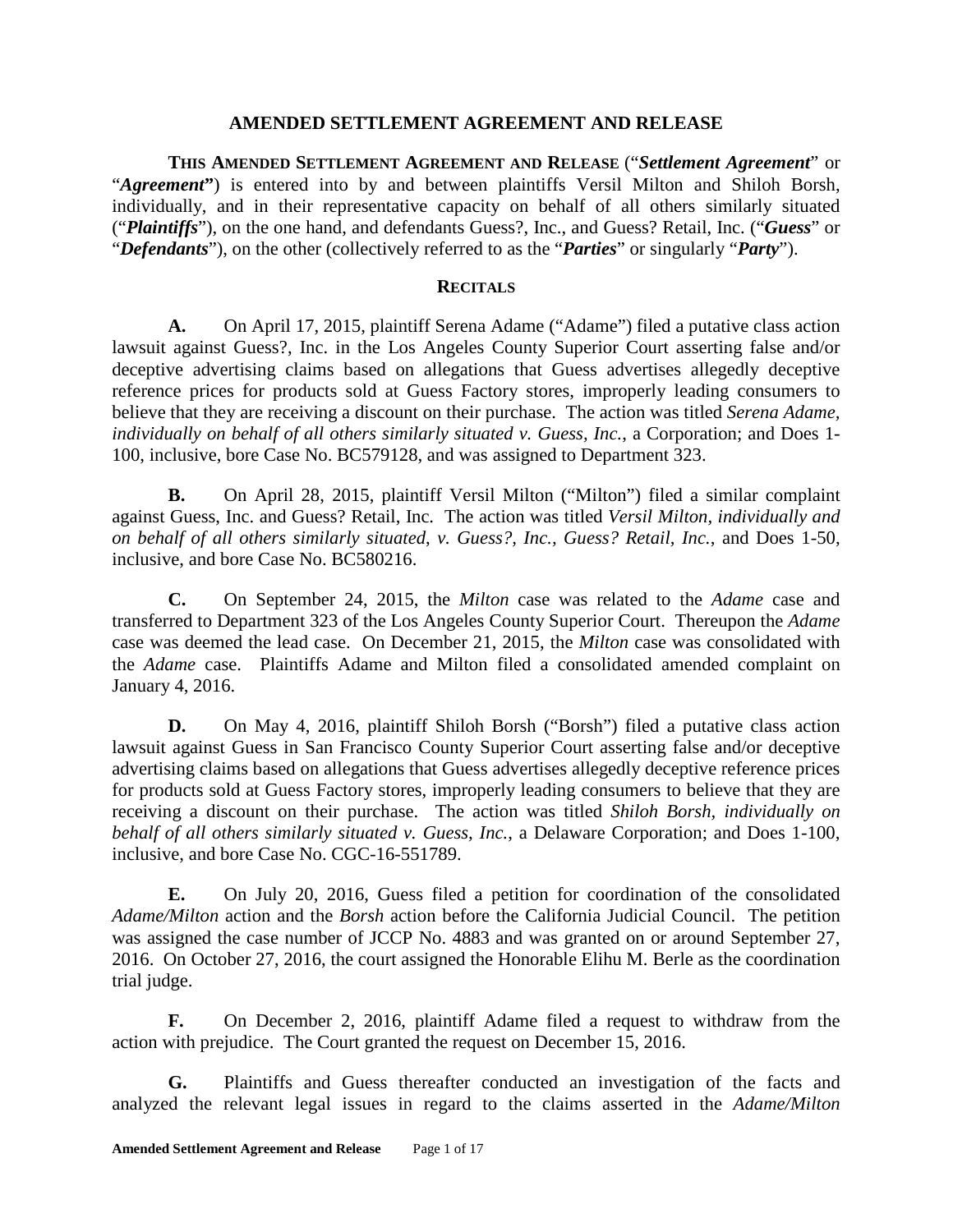#### **AMENDED SETTLEMENT AGREEMENT AND RELEASE**

**THIS AMENDED SETTLEMENT AGREEMENT AND RELEASE** ("*Settlement Agreement*" or "*Agreement***"**) is entered into by and between plaintiffs Versil Milton and Shiloh Borsh, individually, and in their representative capacity on behalf of all others similarly situated ("*Plaintiffs*"), on the one hand, and defendants Guess?, Inc., and Guess? Retail, Inc. ("*Guess*" or "*Defendants*"), on the other (collectively referred to as the "*Parties*" or singularly "*Party*").

#### **RECITALS**

**A.** On April 17, 2015, plaintiff Serena Adame ("Adame") filed a putative class action lawsuit against Guess?, Inc. in the Los Angeles County Superior Court asserting false and/or deceptive advertising claims based on allegations that Guess advertises allegedly deceptive reference prices for products sold at Guess Factory stores, improperly leading consumers to believe that they are receiving a discount on their purchase. The action was titled *Serena Adame, individually on behalf of all others similarly situated v. Guess, Inc.*, a Corporation; and Does 1- 100, inclusive, bore Case No. BC579128, and was assigned to Department 323.

**B.** On April 28, 2015, plaintiff Versil Milton ("Milton") filed a similar complaint against Guess, Inc. and Guess? Retail, Inc. The action was titled *Versil Milton, individually and on behalf of all others similarly situated*, *v. Guess?, Inc., Guess? Retail, Inc.*, and Does 1-50, inclusive, and bore Case No. BC580216.

**C.** On September 24, 2015, the *Milton* case was related to the *Adame* case and transferred to Department 323 of the Los Angeles County Superior Court. Thereupon the *Adame* case was deemed the lead case. On December 21, 2015, the *Milton* case was consolidated with the *Adame* case. Plaintiffs Adame and Milton filed a consolidated amended complaint on January 4, 2016.

**D.** On May 4, 2016, plaintiff Shiloh Borsh ("Borsh") filed a putative class action lawsuit against Guess in San Francisco County Superior Court asserting false and/or deceptive advertising claims based on allegations that Guess advertises allegedly deceptive reference prices for products sold at Guess Factory stores, improperly leading consumers to believe that they are receiving a discount on their purchase. The action was titled *Shiloh Borsh, individually on behalf of all others similarly situated v. Guess, Inc.*, a Delaware Corporation; and Does 1-100, inclusive, and bore Case No. CGC-16-551789.

**E.** On July 20, 2016, Guess filed a petition for coordination of the consolidated *Adame/Milton* action and the *Borsh* action before the California Judicial Council. The petition was assigned the case number of JCCP No. 4883 and was granted on or around September 27, 2016. On October 27, 2016, the court assigned the Honorable Elihu M. Berle as the coordination trial judge.

**F.** On December 2, 2016, plaintiff Adame filed a request to withdraw from the action with prejudice. The Court granted the request on December 15, 2016.

**G.** Plaintiffs and Guess thereafter conducted an investigation of the facts and analyzed the relevant legal issues in regard to the claims asserted in the *Adame/Milton*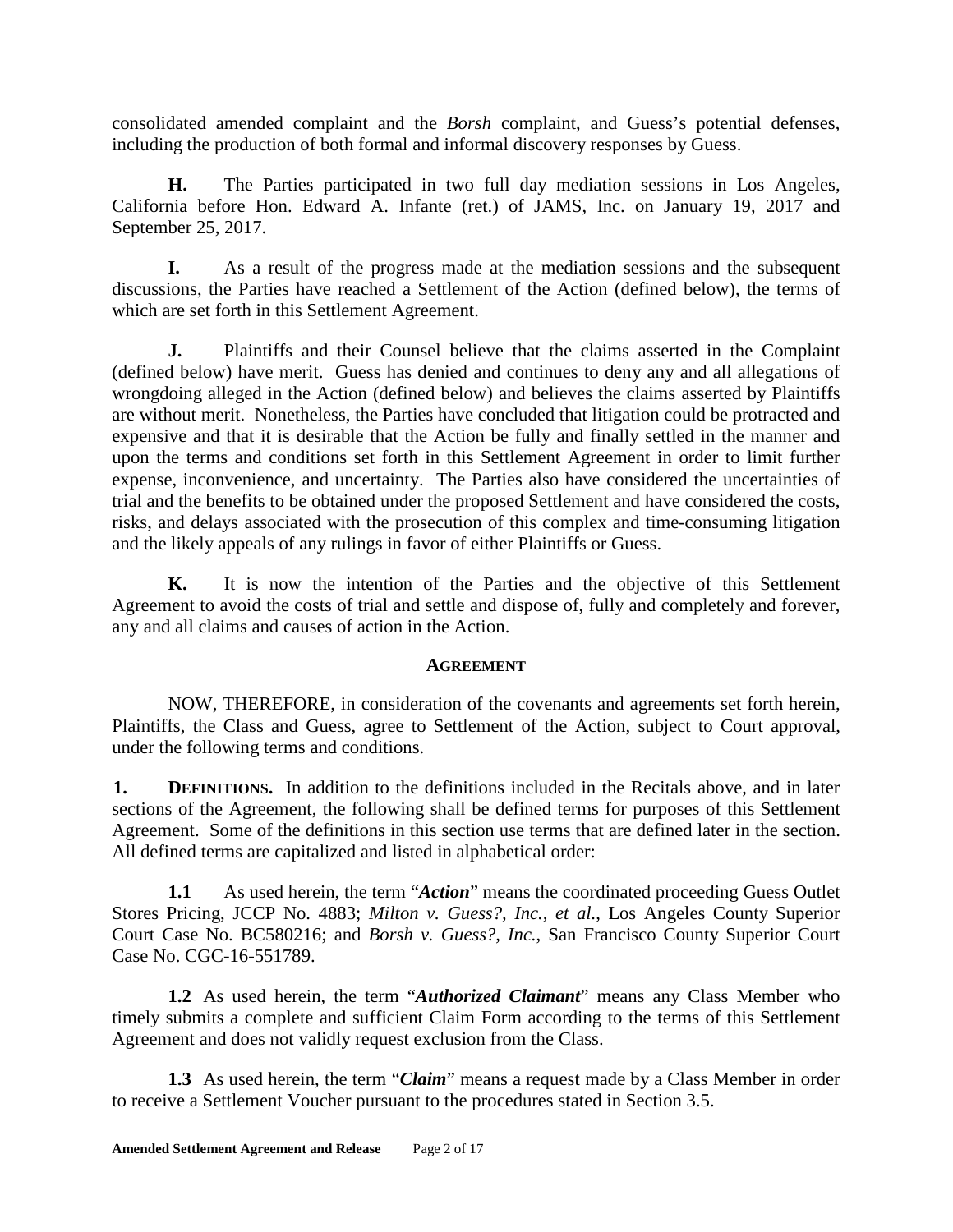consolidated amended complaint and the *Borsh* complaint, and Guess's potential defenses, including the production of both formal and informal discovery responses by Guess.

**H.** The Parties participated in two full day mediation sessions in Los Angeles, California before Hon. Edward A. Infante (ret.) of JAMS, Inc. on January 19, 2017 and September 25, 2017.

**I.** As a result of the progress made at the mediation sessions and the subsequent discussions, the Parties have reached a Settlement of the Action (defined below), the terms of which are set forth in this Settlement Agreement.

**J.** Plaintiffs and their Counsel believe that the claims asserted in the Complaint (defined below) have merit. Guess has denied and continues to deny any and all allegations of wrongdoing alleged in the Action (defined below) and believes the claims asserted by Plaintiffs are without merit. Nonetheless, the Parties have concluded that litigation could be protracted and expensive and that it is desirable that the Action be fully and finally settled in the manner and upon the terms and conditions set forth in this Settlement Agreement in order to limit further expense, inconvenience, and uncertainty. The Parties also have considered the uncertainties of trial and the benefits to be obtained under the proposed Settlement and have considered the costs, risks, and delays associated with the prosecution of this complex and time-consuming litigation and the likely appeals of any rulings in favor of either Plaintiffs or Guess.

**K.** It is now the intention of the Parties and the objective of this Settlement Agreement to avoid the costs of trial and settle and dispose of, fully and completely and forever, any and all claims and causes of action in the Action.

### **AGREEMENT**

NOW, THEREFORE, in consideration of the covenants and agreements set forth herein, Plaintiffs, the Class and Guess, agree to Settlement of the Action, subject to Court approval, under the following terms and conditions.

**1. DEFINITIONS.** In addition to the definitions included in the Recitals above, and in later sections of the Agreement, the following shall be defined terms for purposes of this Settlement Agreement. Some of the definitions in this section use terms that are defined later in the section. All defined terms are capitalized and listed in alphabetical order:

**1.1** As used herein, the term "*Action*" means the coordinated proceeding Guess Outlet Stores Pricing, JCCP No. 4883; *Milton v. Guess?, Inc., et al.*, Los Angeles County Superior Court Case No. BC580216; and *Borsh v. Guess?, Inc.*, San Francisco County Superior Court Case No. CGC-16-551789.

**1.2** As used herein, the term "*Authorized Claimant*" means any Class Member who timely submits a complete and sufficient Claim Form according to the terms of this Settlement Agreement and does not validly request exclusion from the Class.

**1.3** As used herein, the term "*Claim*" means a request made by a Class Member in order to receive a Settlement Voucher pursuant to the procedures stated in Section 3.5.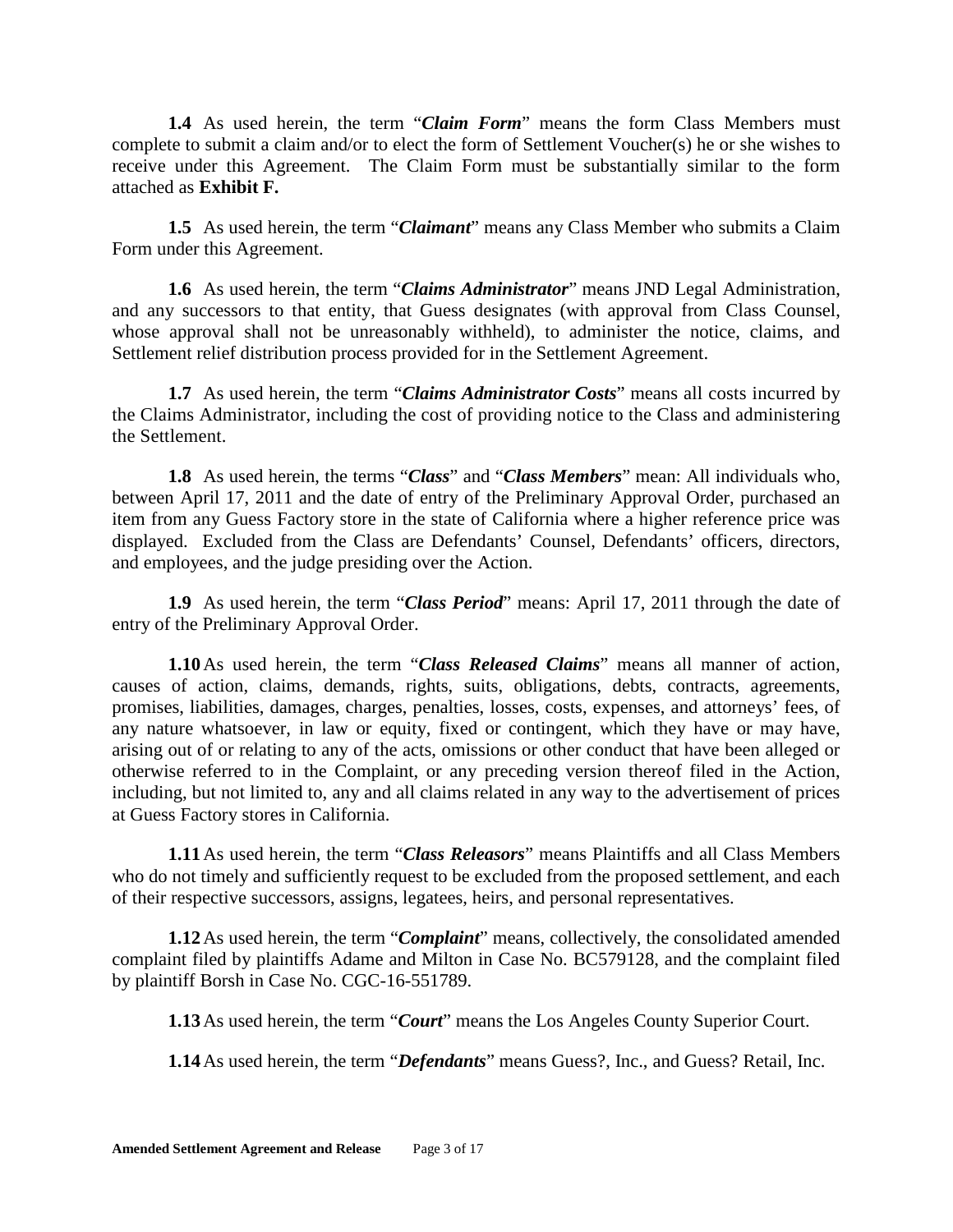**1.4** As used herein, the term "*Claim Form*" means the form Class Members must complete to submit a claim and/or to elect the form of Settlement Voucher(s) he or she wishes to receive under this Agreement. The Claim Form must be substantially similar to the form attached as **Exhibit F.**

**1.5** As used herein, the term "*Claimant*" means any Class Member who submits a Claim Form under this Agreement.

**1.6** As used herein, the term "*Claims Administrator*" means JND Legal Administration, and any successors to that entity, that Guess designates (with approval from Class Counsel, whose approval shall not be unreasonably withheld), to administer the notice, claims, and Settlement relief distribution process provided for in the Settlement Agreement.

**1.7** As used herein, the term "*Claims Administrator Costs*" means all costs incurred by the Claims Administrator, including the cost of providing notice to the Class and administering the Settlement.

**1.8** As used herein, the terms "*Class*" and "*Class Members*" mean: All individuals who, between April 17, 2011 and the date of entry of the Preliminary Approval Order, purchased an item from any Guess Factory store in the state of California where a higher reference price was displayed. Excluded from the Class are Defendants' Counsel, Defendants' officers, directors, and employees, and the judge presiding over the Action.

**1.9** As used herein, the term "*Class Period*" means: April 17, 2011 through the date of entry of the Preliminary Approval Order.

**1.10**As used herein, the term "*Class Released Claims*" means all manner of action, causes of action, claims, demands, rights, suits, obligations, debts, contracts, agreements, promises, liabilities, damages, charges, penalties, losses, costs, expenses, and attorneys' fees, of any nature whatsoever, in law or equity, fixed or contingent, which they have or may have, arising out of or relating to any of the acts, omissions or other conduct that have been alleged or otherwise referred to in the Complaint, or any preceding version thereof filed in the Action, including, but not limited to, any and all claims related in any way to the advertisement of prices at Guess Factory stores in California.

**1.11**As used herein, the term "*Class Releasors*" means Plaintiffs and all Class Members who do not timely and sufficiently request to be excluded from the proposed settlement, and each of their respective successors, assigns, legatees, heirs, and personal representatives.

**1.12**As used herein, the term "*Complaint*" means, collectively, the consolidated amended complaint filed by plaintiffs Adame and Milton in Case No. BC579128, and the complaint filed by plaintiff Borsh in Case No. CGC-16-551789.

**1.13**As used herein, the term "*Court*" means the Los Angeles County Superior Court.

**1.14**As used herein, the term "*Defendants*" means Guess?, Inc., and Guess? Retail, Inc.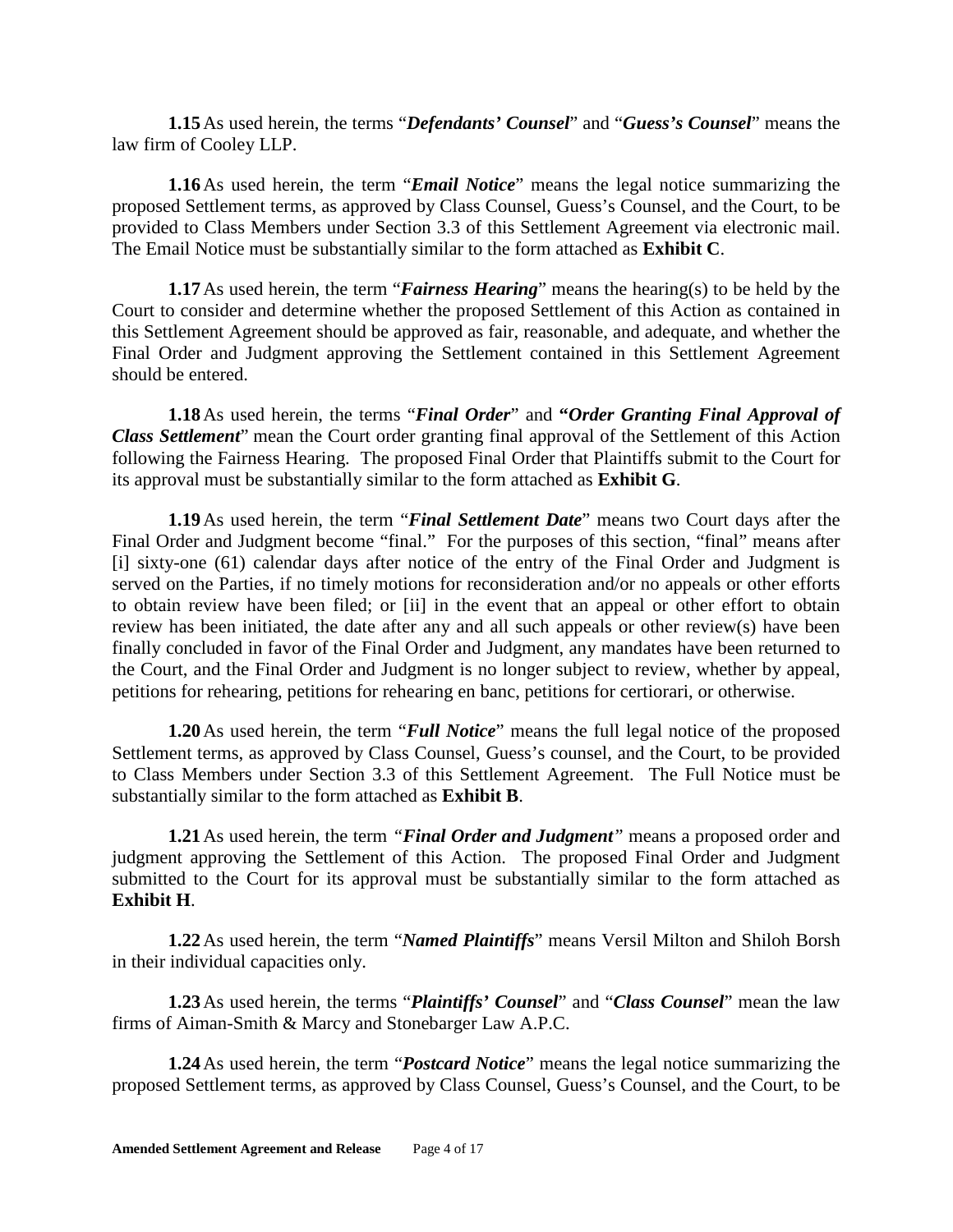**1.15**As used herein, the terms "*Defendants' Counsel*" and "*Guess's Counsel*" means the law firm of Cooley LLP.

**1.16**As used herein, the term "*Email Notice*" means the legal notice summarizing the proposed Settlement terms, as approved by Class Counsel, Guess's Counsel, and the Court, to be provided to Class Members under Section 3.3 of this Settlement Agreement via electronic mail. The Email Notice must be substantially similar to the form attached as **Exhibit C**.

**1.17**As used herein, the term "*Fairness Hearing*" means the hearing(s) to be held by the Court to consider and determine whether the proposed Settlement of this Action as contained in this Settlement Agreement should be approved as fair, reasonable, and adequate, and whether the Final Order and Judgment approving the Settlement contained in this Settlement Agreement should be entered.

**1.18**As used herein, the terms "*Final Order*" and **"***Order Granting Final Approval of Class Settlement*" mean the Court order granting final approval of the Settlement of this Action following the Fairness Hearing. The proposed Final Order that Plaintiffs submit to the Court for its approval must be substantially similar to the form attached as **Exhibit G**.

**1.19**As used herein, the term "*Final Settlement Date*" means two Court days after the Final Order and Judgment become "final." For the purposes of this section, "final" means after [i] sixty-one (61) calendar days after notice of the entry of the Final Order and Judgment is served on the Parties, if no timely motions for reconsideration and/or no appeals or other efforts to obtain review have been filed; or [ii] in the event that an appeal or other effort to obtain review has been initiated, the date after any and all such appeals or other review(s) have been finally concluded in favor of the Final Order and Judgment, any mandates have been returned to the Court, and the Final Order and Judgment is no longer subject to review, whether by appeal, petitions for rehearing, petitions for rehearing en banc, petitions for certiorari, or otherwise.

**1.20**As used herein, the term "*Full Notice*" means the full legal notice of the proposed Settlement terms, as approved by Class Counsel, Guess's counsel, and the Court, to be provided to Class Members under Section 3.3 of this Settlement Agreement. The Full Notice must be substantially similar to the form attached as **Exhibit B**.

**1.21**As used herein, the term *"Final Order and Judgment"* means a proposed order and judgment approving the Settlement of this Action. The proposed Final Order and Judgment submitted to the Court for its approval must be substantially similar to the form attached as **Exhibit H**.

**1.22**As used herein, the term "*Named Plaintiffs*" means Versil Milton and Shiloh Borsh in their individual capacities only.

**1.23**As used herein, the terms "*Plaintiffs' Counsel*" and "*Class Counsel*" mean the law firms of Aiman-Smith & Marcy and Stonebarger Law A.P.C.

**1.24**As used herein, the term "*Postcard Notice*" means the legal notice summarizing the proposed Settlement terms, as approved by Class Counsel, Guess's Counsel, and the Court, to be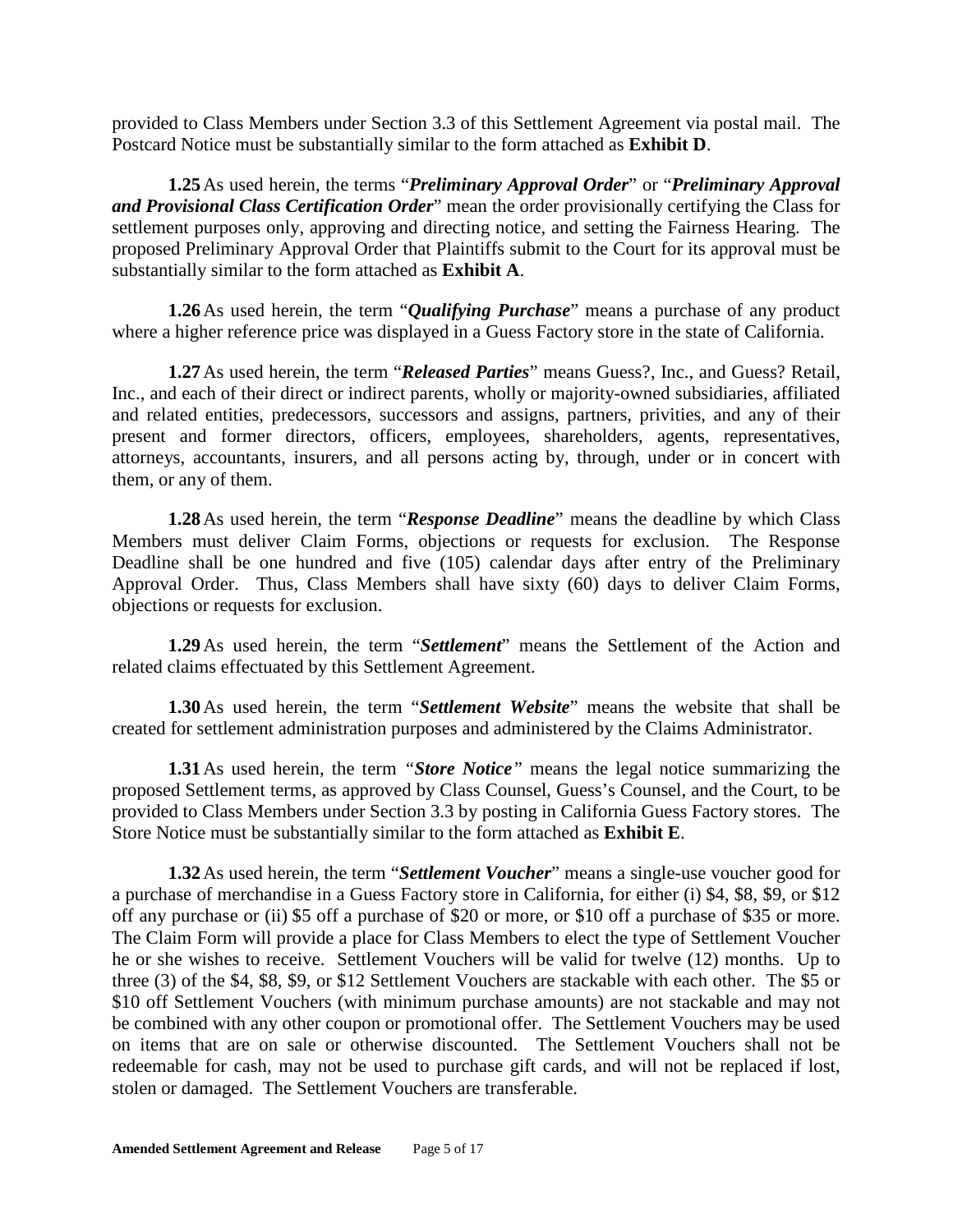provided to Class Members under Section 3.3 of this Settlement Agreement via postal mail. The Postcard Notice must be substantially similar to the form attached as **Exhibit D**.

**1.25**As used herein, the terms "*Preliminary Approval Order*" or "*Preliminary Approval and Provisional Class Certification Order*" mean the order provisionally certifying the Class for settlement purposes only, approving and directing notice, and setting the Fairness Hearing. The proposed Preliminary Approval Order that Plaintiffs submit to the Court for its approval must be substantially similar to the form attached as **Exhibit A**.

**1.26**As used herein, the term "*Qualifying Purchase*" means a purchase of any product where a higher reference price was displayed in a Guess Factory store in the state of California.

**1.27**As used herein, the term "*Released Parties*" means Guess?, Inc., and Guess? Retail, Inc., and each of their direct or indirect parents, wholly or majority-owned subsidiaries, affiliated and related entities, predecessors, successors and assigns, partners, privities, and any of their present and former directors, officers, employees, shareholders, agents, representatives, attorneys, accountants, insurers, and all persons acting by, through, under or in concert with them, or any of them.

**1.28**As used herein, the term "*Response Deadline*" means the deadline by which Class Members must deliver Claim Forms, objections or requests for exclusion. The Response Deadline shall be one hundred and five (105) calendar days after entry of the Preliminary Approval Order. Thus, Class Members shall have sixty (60) days to deliver Claim Forms, objections or requests for exclusion.

**1.29**As used herein, the term "*Settlement*" means the Settlement of the Action and related claims effectuated by this Settlement Agreement.

**1.30**As used herein, the term "*Settlement Website*" means the website that shall be created for settlement administration purposes and administered by the Claims Administrator.

**1.31**As used herein, the term *"Store Notice"* means the legal notice summarizing the proposed Settlement terms, as approved by Class Counsel, Guess's Counsel, and the Court, to be provided to Class Members under Section 3.3 by posting in California Guess Factory stores. The Store Notice must be substantially similar to the form attached as **Exhibit E**.

**1.32**As used herein, the term "*Settlement Voucher*" means a single-use voucher good for a purchase of merchandise in a Guess Factory store in California, for either (i) \$4, \$8, \$9, or \$12 off any purchase or (ii) \$5 off a purchase of \$20 or more, or \$10 off a purchase of \$35 or more. The Claim Form will provide a place for Class Members to elect the type of Settlement Voucher he or she wishes to receive. Settlement Vouchers will be valid for twelve (12) months. Up to three (3) of the \$4, \$8, \$9, or \$12 Settlement Vouchers are stackable with each other. The \$5 or \$10 off Settlement Vouchers (with minimum purchase amounts) are not stackable and may not be combined with any other coupon or promotional offer. The Settlement Vouchers may be used on items that are on sale or otherwise discounted. The Settlement Vouchers shall not be redeemable for cash, may not be used to purchase gift cards, and will not be replaced if lost, stolen or damaged. The Settlement Vouchers are transferable.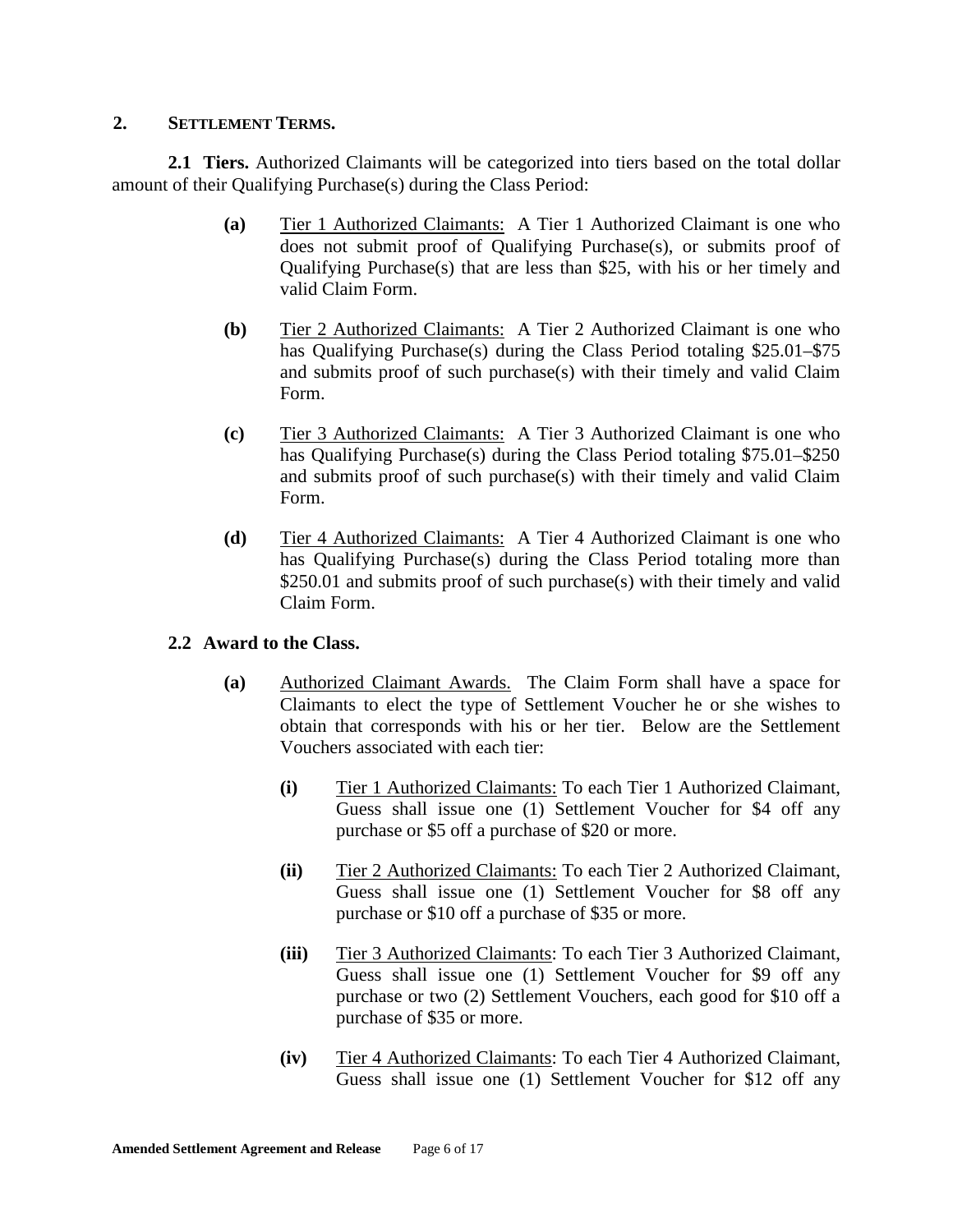#### **2. SETTLEMENT TERMS.**

**2.1 Tiers.** Authorized Claimants will be categorized into tiers based on the total dollar amount of their Qualifying Purchase(s) during the Class Period:

- **(a)** Tier 1 Authorized Claimants: A Tier 1 Authorized Claimant is one who does not submit proof of Qualifying Purchase(s), or submits proof of Qualifying Purchase(s) that are less than \$25, with his or her timely and valid Claim Form.
- **(b)** Tier 2 Authorized Claimants: A Tier 2 Authorized Claimant is one who has Qualifying Purchase(s) during the Class Period totaling \$25.01–\$75 and submits proof of such purchase(s) with their timely and valid Claim Form.
- **(c)** Tier 3 Authorized Claimants: A Tier 3 Authorized Claimant is one who has Qualifying Purchase(s) during the Class Period totaling \$75.01–\$250 and submits proof of such purchase(s) with their timely and valid Claim Form.
- **(d)** Tier 4 Authorized Claimants: A Tier 4 Authorized Claimant is one who has Qualifying Purchase(s) during the Class Period totaling more than \$250.01 and submits proof of such purchase(s) with their timely and valid Claim Form.

### **2.2 Award to the Class.**

- **(a)** Authorized Claimant Awards. The Claim Form shall have a space for Claimants to elect the type of Settlement Voucher he or she wishes to obtain that corresponds with his or her tier. Below are the Settlement Vouchers associated with each tier:
	- **(i)** Tier 1 Authorized Claimants: To each Tier 1 Authorized Claimant, Guess shall issue one (1) Settlement Voucher for \$4 off any purchase or \$5 off a purchase of \$20 or more.
	- **(ii)** Tier 2 Authorized Claimants: To each Tier 2 Authorized Claimant, Guess shall issue one (1) Settlement Voucher for \$8 off any purchase or \$10 off a purchase of \$35 or more.
	- **(iii)** Tier 3 Authorized Claimants: To each Tier 3 Authorized Claimant, Guess shall issue one (1) Settlement Voucher for \$9 off any purchase or two (2) Settlement Vouchers, each good for \$10 off a purchase of \$35 or more.
	- **(iv)** Tier 4 Authorized Claimants: To each Tier 4 Authorized Claimant, Guess shall issue one (1) Settlement Voucher for \$12 off any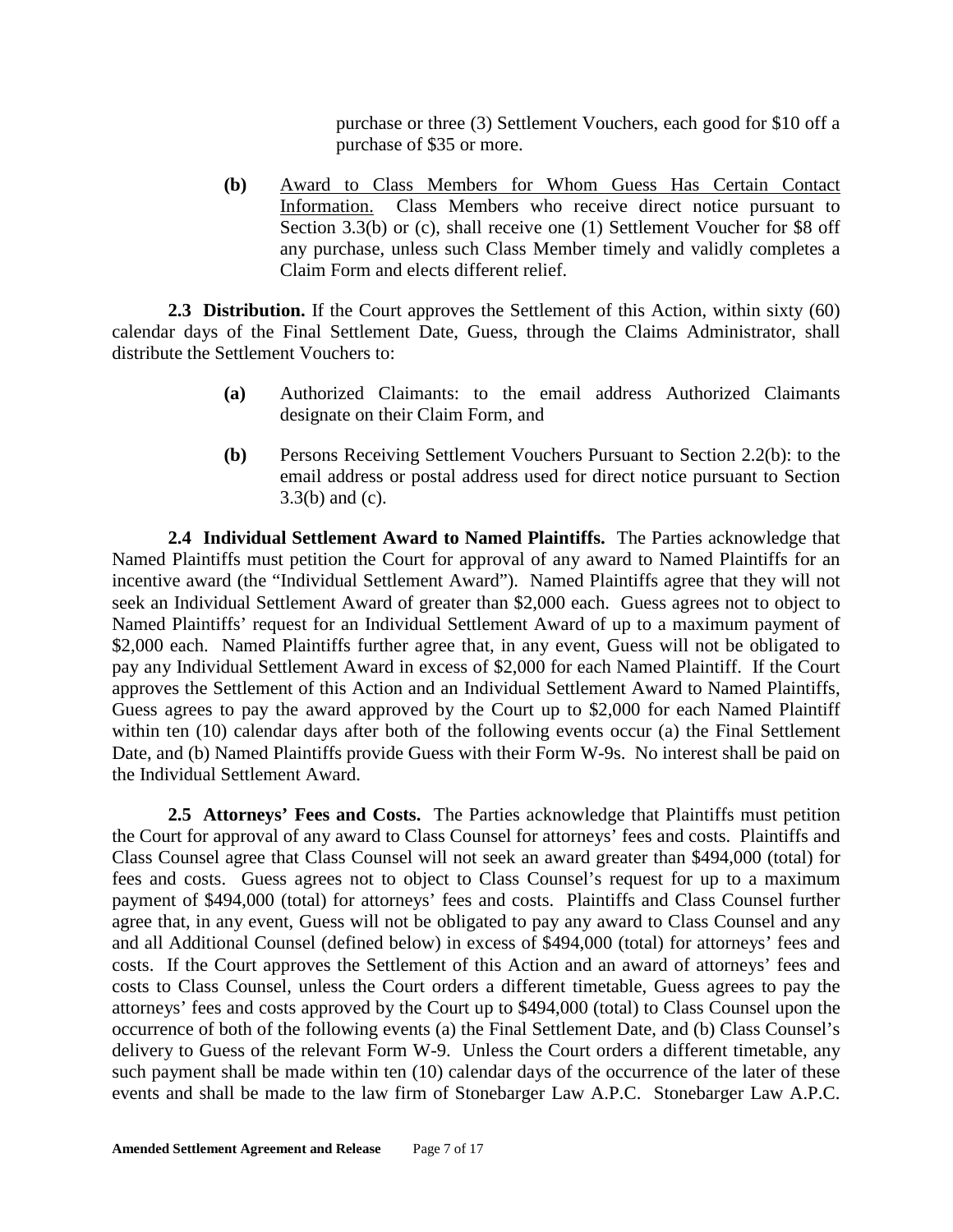purchase or three (3) Settlement Vouchers, each good for \$10 off a purchase of \$35 or more.

**(b)** Award to Class Members for Whom Guess Has Certain Contact Information. Class Members who receive direct notice pursuant to Section 3.3(b) or (c), shall receive one (1) Settlement Voucher for \$8 off any purchase, unless such Class Member timely and validly completes a Claim Form and elects different relief.

**2.3 Distribution.** If the Court approves the Settlement of this Action, within sixty (60) calendar days of the Final Settlement Date, Guess, through the Claims Administrator, shall distribute the Settlement Vouchers to:

- **(a)** Authorized Claimants: to the email address Authorized Claimants designate on their Claim Form, and
- **(b)** Persons Receiving Settlement Vouchers Pursuant to Section 2.2(b): to the email address or postal address used for direct notice pursuant to Section 3.3(b) and (c).

**2.4 Individual Settlement Award to Named Plaintiffs.** The Parties acknowledge that Named Plaintiffs must petition the Court for approval of any award to Named Plaintiffs for an incentive award (the "Individual Settlement Award"). Named Plaintiffs agree that they will not seek an Individual Settlement Award of greater than \$2,000 each. Guess agrees not to object to Named Plaintiffs' request for an Individual Settlement Award of up to a maximum payment of \$2,000 each. Named Plaintiffs further agree that, in any event, Guess will not be obligated to pay any Individual Settlement Award in excess of \$2,000 for each Named Plaintiff. If the Court approves the Settlement of this Action and an Individual Settlement Award to Named Plaintiffs, Guess agrees to pay the award approved by the Court up to \$2,000 for each Named Plaintiff within ten (10) calendar days after both of the following events occur (a) the Final Settlement Date, and (b) Named Plaintiffs provide Guess with their Form W-9s. No interest shall be paid on the Individual Settlement Award.

**2.5 Attorneys' Fees and Costs.** The Parties acknowledge that Plaintiffs must petition the Court for approval of any award to Class Counsel for attorneys' fees and costs. Plaintiffs and Class Counsel agree that Class Counsel will not seek an award greater than \$494,000 (total) for fees and costs. Guess agrees not to object to Class Counsel's request for up to a maximum payment of \$494,000 (total) for attorneys' fees and costs. Plaintiffs and Class Counsel further agree that, in any event, Guess will not be obligated to pay any award to Class Counsel and any and all Additional Counsel (defined below) in excess of \$494,000 (total) for attorneys' fees and costs. If the Court approves the Settlement of this Action and an award of attorneys' fees and costs to Class Counsel, unless the Court orders a different timetable, Guess agrees to pay the attorneys' fees and costs approved by the Court up to \$494,000 (total) to Class Counsel upon the occurrence of both of the following events (a) the Final Settlement Date, and (b) Class Counsel's delivery to Guess of the relevant Form W-9. Unless the Court orders a different timetable, any such payment shall be made within ten (10) calendar days of the occurrence of the later of these events and shall be made to the law firm of Stonebarger Law A.P.C. Stonebarger Law A.P.C.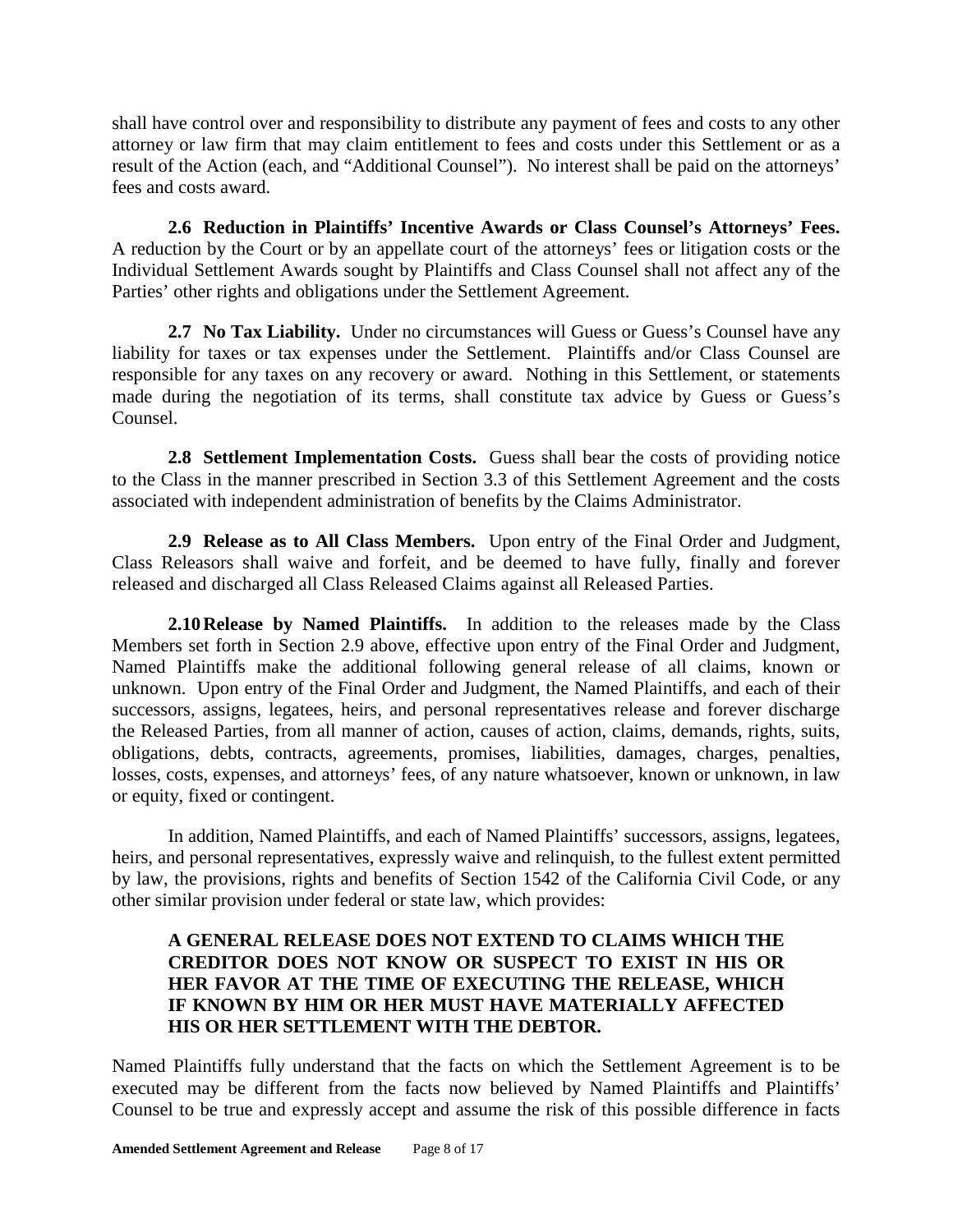shall have control over and responsibility to distribute any payment of fees and costs to any other attorney or law firm that may claim entitlement to fees and costs under this Settlement or as a result of the Action (each, and "Additional Counsel"). No interest shall be paid on the attorneys' fees and costs award.

**2.6 Reduction in Plaintiffs' Incentive Awards or Class Counsel's Attorneys' Fees.** A reduction by the Court or by an appellate court of the attorneys' fees or litigation costs or the Individual Settlement Awards sought by Plaintiffs and Class Counsel shall not affect any of the Parties' other rights and obligations under the Settlement Agreement.

**2.7 No Tax Liability.** Under no circumstances will Guess or Guess's Counsel have any liability for taxes or tax expenses under the Settlement. Plaintiffs and/or Class Counsel are responsible for any taxes on any recovery or award. Nothing in this Settlement, or statements made during the negotiation of its terms, shall constitute tax advice by Guess or Guess's Counsel.

**2.8 Settlement Implementation Costs.** Guess shall bear the costs of providing notice to the Class in the manner prescribed in Section 3.3 of this Settlement Agreement and the costs associated with independent administration of benefits by the Claims Administrator.

**2.9 Release as to All Class Members.** Upon entry of the Final Order and Judgment, Class Releasors shall waive and forfeit, and be deemed to have fully, finally and forever released and discharged all Class Released Claims against all Released Parties.

**2.10Release by Named Plaintiffs.** In addition to the releases made by the Class Members set forth in Section 2.9 above, effective upon entry of the Final Order and Judgment, Named Plaintiffs make the additional following general release of all claims, known or unknown. Upon entry of the Final Order and Judgment, the Named Plaintiffs, and each of their successors, assigns, legatees, heirs, and personal representatives release and forever discharge the Released Parties, from all manner of action, causes of action, claims, demands, rights, suits, obligations, debts, contracts, agreements, promises, liabilities, damages, charges, penalties, losses, costs, expenses, and attorneys' fees, of any nature whatsoever, known or unknown, in law or equity, fixed or contingent.

In addition, Named Plaintiffs, and each of Named Plaintiffs' successors, assigns, legatees, heirs, and personal representatives, expressly waive and relinquish, to the fullest extent permitted by law, the provisions, rights and benefits of Section 1542 of the California Civil Code, or any other similar provision under federal or state law, which provides:

### **A GENERAL RELEASE DOES NOT EXTEND TO CLAIMS WHICH THE CREDITOR DOES NOT KNOW OR SUSPECT TO EXIST IN HIS OR HER FAVOR AT THE TIME OF EXECUTING THE RELEASE, WHICH IF KNOWN BY HIM OR HER MUST HAVE MATERIALLY AFFECTED HIS OR HER SETTLEMENT WITH THE DEBTOR.**

Named Plaintiffs fully understand that the facts on which the Settlement Agreement is to be executed may be different from the facts now believed by Named Plaintiffs and Plaintiffs' Counsel to be true and expressly accept and assume the risk of this possible difference in facts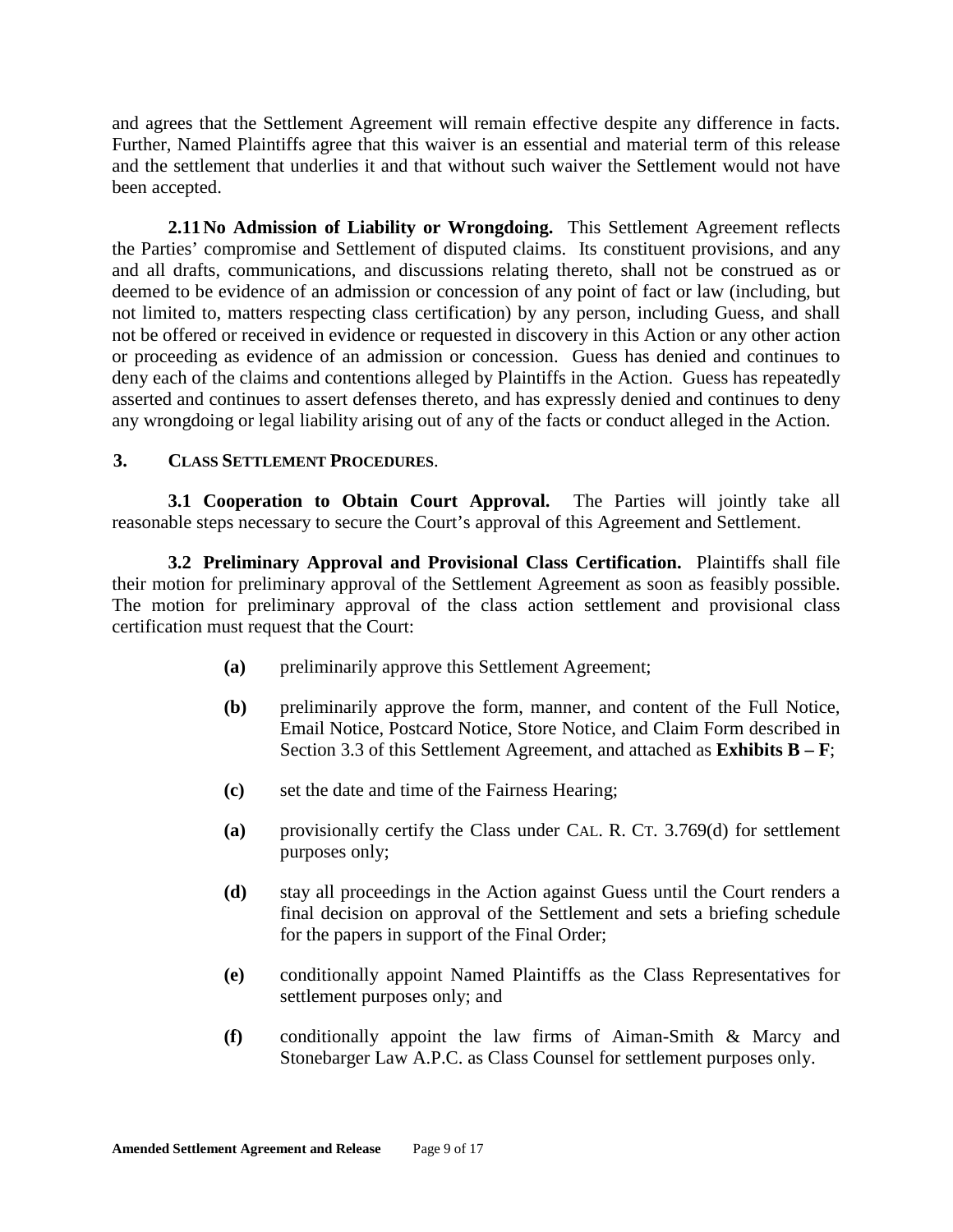and agrees that the Settlement Agreement will remain effective despite any difference in facts. Further, Named Plaintiffs agree that this waiver is an essential and material term of this release and the settlement that underlies it and that without such waiver the Settlement would not have been accepted.

**2.11No Admission of Liability or Wrongdoing.** This Settlement Agreement reflects the Parties' compromise and Settlement of disputed claims. Its constituent provisions, and any and all drafts, communications, and discussions relating thereto, shall not be construed as or deemed to be evidence of an admission or concession of any point of fact or law (including, but not limited to, matters respecting class certification) by any person, including Guess, and shall not be offered or received in evidence or requested in discovery in this Action or any other action or proceeding as evidence of an admission or concession. Guess has denied and continues to deny each of the claims and contentions alleged by Plaintiffs in the Action. Guess has repeatedly asserted and continues to assert defenses thereto, and has expressly denied and continues to deny any wrongdoing or legal liability arising out of any of the facts or conduct alleged in the Action.

#### **3. CLASS SETTLEMENT PROCEDURES**.

**3.1 Cooperation to Obtain Court Approval.** The Parties will jointly take all reasonable steps necessary to secure the Court's approval of this Agreement and Settlement.

**3.2 Preliminary Approval and Provisional Class Certification.** Plaintiffs shall file their motion for preliminary approval of the Settlement Agreement as soon as feasibly possible. The motion for preliminary approval of the class action settlement and provisional class certification must request that the Court:

- **(a)** preliminarily approve this Settlement Agreement;
- **(b)** preliminarily approve the form, manner, and content of the Full Notice, Email Notice, Postcard Notice, Store Notice, and Claim Form described in Section 3.3 of this Settlement Agreement, and attached as **Exhibits B – F**;
- **(c)** set the date and time of the Fairness Hearing;
- **(a)** provisionally certify the Class under CAL. R. CT. 3.769(d) for settlement purposes only;
- **(d)** stay all proceedings in the Action against Guess until the Court renders a final decision on approval of the Settlement and sets a briefing schedule for the papers in support of the Final Order;
- **(e)** conditionally appoint Named Plaintiffs as the Class Representatives for settlement purposes only; and
- **(f)** conditionally appoint the law firms of Aiman-Smith & Marcy and Stonebarger Law A.P.C. as Class Counsel for settlement purposes only.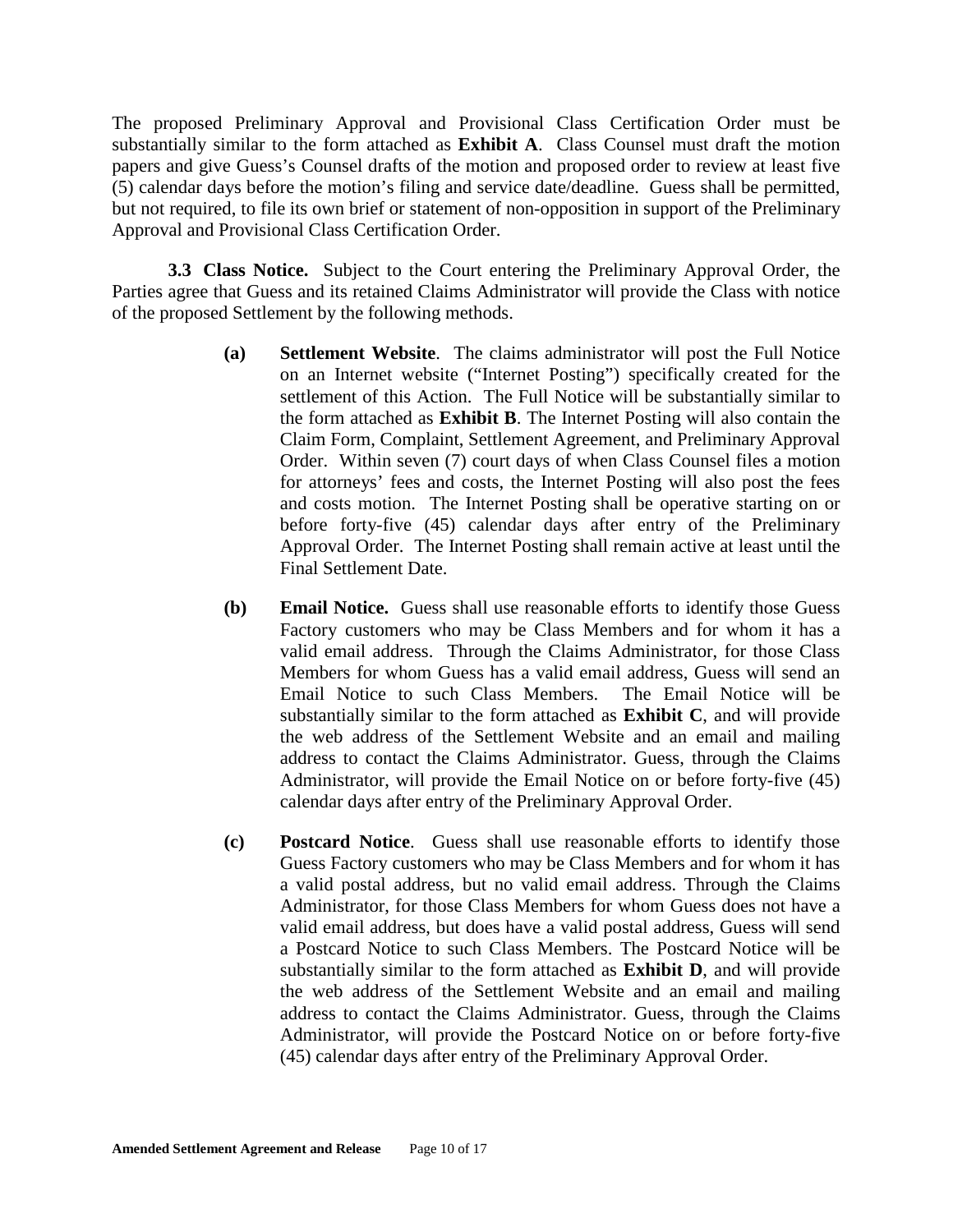The proposed Preliminary Approval and Provisional Class Certification Order must be substantially similar to the form attached as **Exhibit A**. Class Counsel must draft the motion papers and give Guess's Counsel drafts of the motion and proposed order to review at least five (5) calendar days before the motion's filing and service date/deadline. Guess shall be permitted, but not required, to file its own brief or statement of non-opposition in support of the Preliminary Approval and Provisional Class Certification Order.

**3.3 Class Notice.** Subject to the Court entering the Preliminary Approval Order, the Parties agree that Guess and its retained Claims Administrator will provide the Class with notice of the proposed Settlement by the following methods.

- **(a) Settlement Website**. The claims administrator will post the Full Notice on an Internet website ("Internet Posting") specifically created for the settlement of this Action. The Full Notice will be substantially similar to the form attached as **Exhibit B**. The Internet Posting will also contain the Claim Form, Complaint, Settlement Agreement, and Preliminary Approval Order. Within seven (7) court days of when Class Counsel files a motion for attorneys' fees and costs, the Internet Posting will also post the fees and costs motion. The Internet Posting shall be operative starting on or before forty-five (45) calendar days after entry of the Preliminary Approval Order. The Internet Posting shall remain active at least until the Final Settlement Date.
- **(b) Email Notice.** Guess shall use reasonable efforts to identify those Guess Factory customers who may be Class Members and for whom it has a valid email address. Through the Claims Administrator, for those Class Members for whom Guess has a valid email address, Guess will send an Email Notice to such Class Members. The Email Notice will be substantially similar to the form attached as **Exhibit C**, and will provide the web address of the Settlement Website and an email and mailing address to contact the Claims Administrator. Guess, through the Claims Administrator, will provide the Email Notice on or before forty-five (45) calendar days after entry of the Preliminary Approval Order.
- **(c) Postcard Notice**. Guess shall use reasonable efforts to identify those Guess Factory customers who may be Class Members and for whom it has a valid postal address, but no valid email address. Through the Claims Administrator, for those Class Members for whom Guess does not have a valid email address, but does have a valid postal address, Guess will send a Postcard Notice to such Class Members. The Postcard Notice will be substantially similar to the form attached as **Exhibit D**, and will provide the web address of the Settlement Website and an email and mailing address to contact the Claims Administrator. Guess, through the Claims Administrator, will provide the Postcard Notice on or before forty-five (45) calendar days after entry of the Preliminary Approval Order.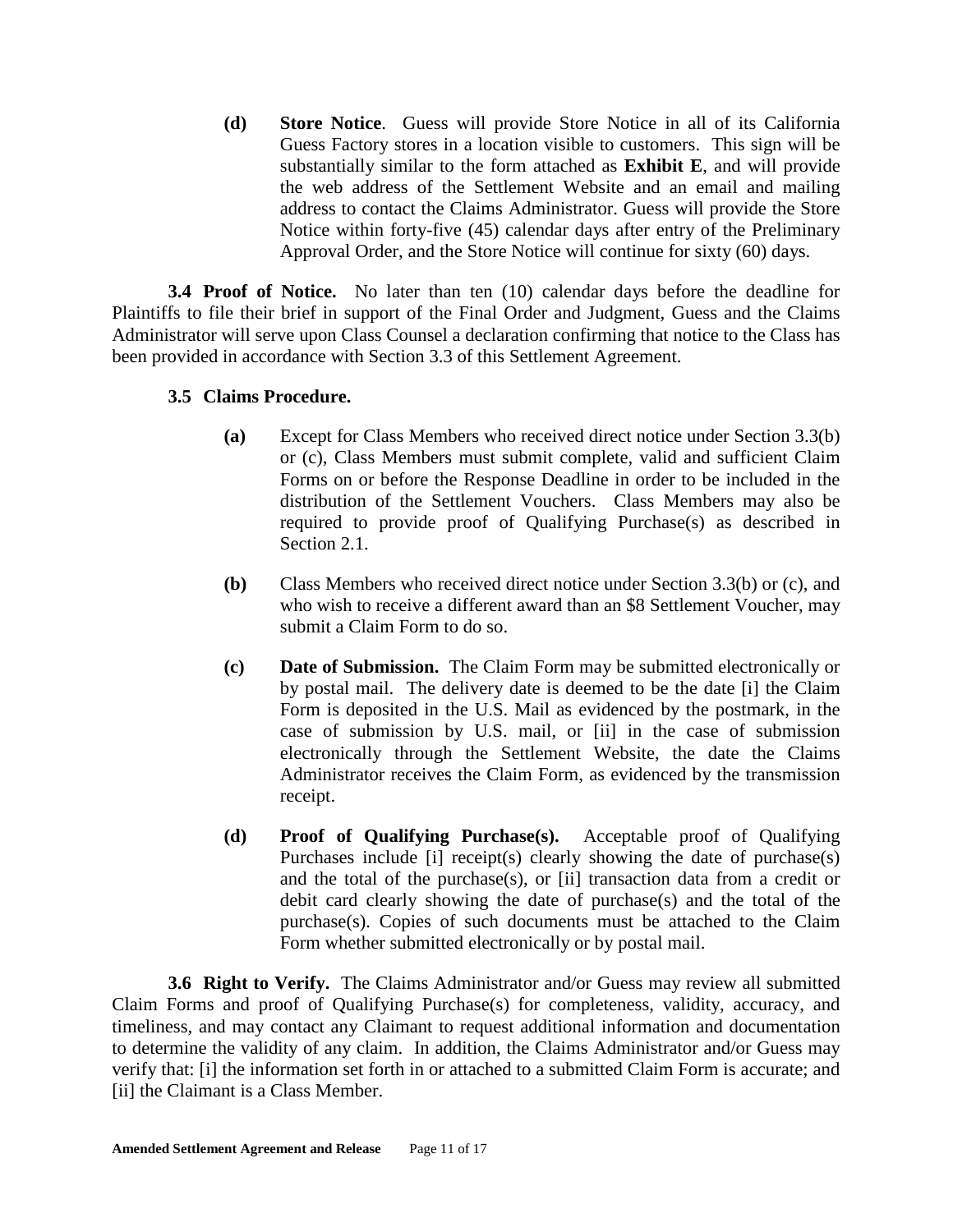**(d) Store Notice**. Guess will provide Store Notice in all of its California Guess Factory stores in a location visible to customers. This sign will be substantially similar to the form attached as **Exhibit E**, and will provide the web address of the Settlement Website and an email and mailing address to contact the Claims Administrator. Guess will provide the Store Notice within forty-five (45) calendar days after entry of the Preliminary Approval Order, and the Store Notice will continue for sixty (60) days.

**3.4 Proof of Notice.** No later than ten (10) calendar days before the deadline for Plaintiffs to file their brief in support of the Final Order and Judgment, Guess and the Claims Administrator will serve upon Class Counsel a declaration confirming that notice to the Class has been provided in accordance with Section 3.3 of this Settlement Agreement.

### **3.5 Claims Procedure.**

- **(a)** Except for Class Members who received direct notice under Section 3.3(b) or (c), Class Members must submit complete, valid and sufficient Claim Forms on or before the Response Deadline in order to be included in the distribution of the Settlement Vouchers. Class Members may also be required to provide proof of Qualifying Purchase(s) as described in Section 2.1.
- **(b)** Class Members who received direct notice under Section 3.3(b) or (c), and who wish to receive a different award than an \$8 Settlement Voucher, may submit a Claim Form to do so.
- **(c) Date of Submission.** The Claim Form may be submitted electronically or by postal mail. The delivery date is deemed to be the date [i] the Claim Form is deposited in the U.S. Mail as evidenced by the postmark, in the case of submission by U.S. mail, or [ii] in the case of submission electronically through the Settlement Website, the date the Claims Administrator receives the Claim Form, as evidenced by the transmission receipt.
- **(d) Proof of Qualifying Purchase(s).** Acceptable proof of Qualifying Purchases include [i] receipt(s) clearly showing the date of purchase(s) and the total of the purchase(s), or [ii] transaction data from a credit or debit card clearly showing the date of purchase(s) and the total of the purchase(s). Copies of such documents must be attached to the Claim Form whether submitted electronically or by postal mail.

**3.6 Right to Verify.** The Claims Administrator and/or Guess may review all submitted Claim Forms and proof of Qualifying Purchase(s) for completeness, validity, accuracy, and timeliness, and may contact any Claimant to request additional information and documentation to determine the validity of any claim. In addition, the Claims Administrator and/or Guess may verify that: [i] the information set forth in or attached to a submitted Claim Form is accurate; and [ii] the Claimant is a Class Member.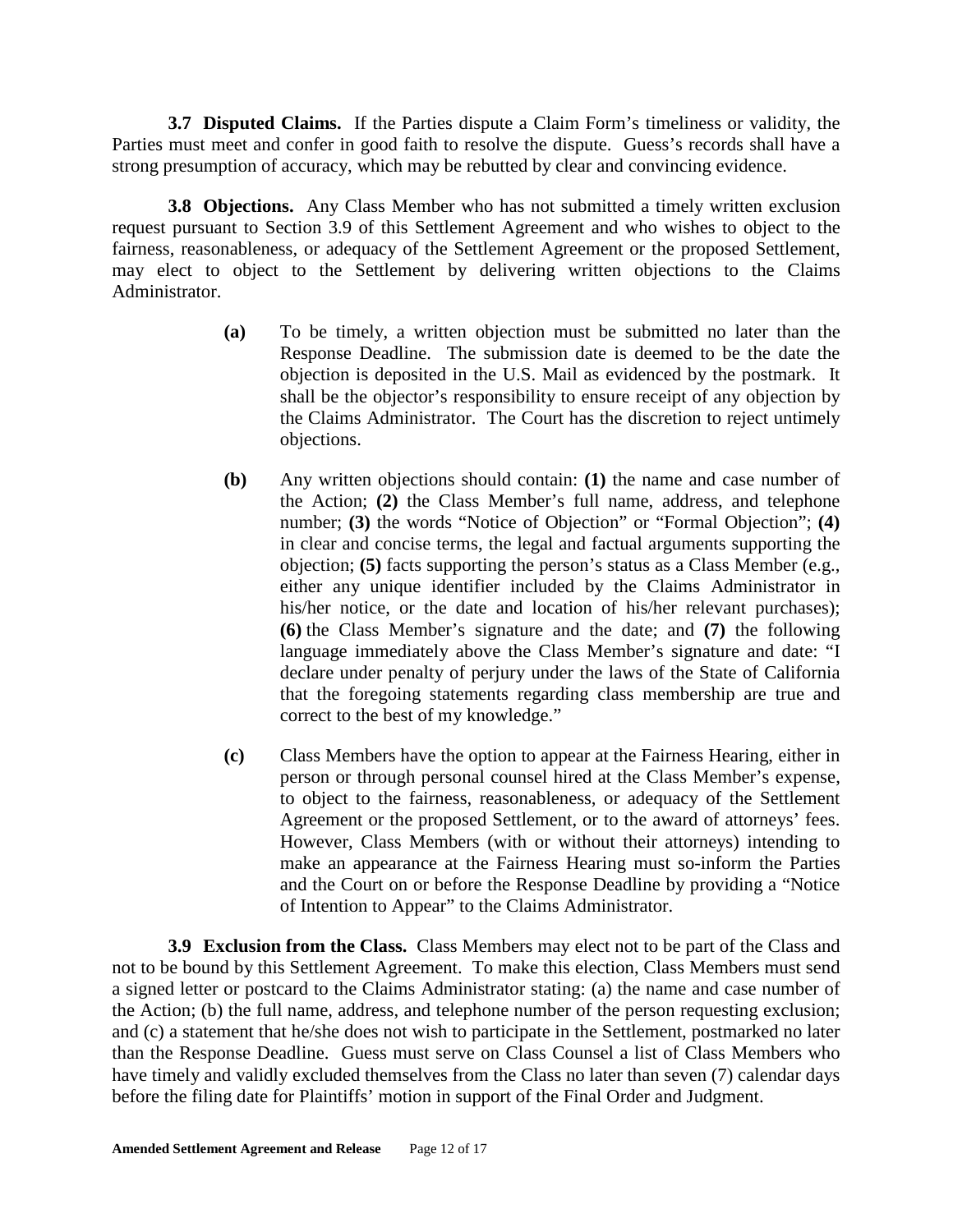**3.7 Disputed Claims.** If the Parties dispute a Claim Form's timeliness or validity, the Parties must meet and confer in good faith to resolve the dispute. Guess's records shall have a strong presumption of accuracy, which may be rebutted by clear and convincing evidence.

**3.8 Objections.** Any Class Member who has not submitted a timely written exclusion request pursuant to Section 3.9 of this Settlement Agreement and who wishes to object to the fairness, reasonableness, or adequacy of the Settlement Agreement or the proposed Settlement, may elect to object to the Settlement by delivering written objections to the Claims Administrator.

- **(a)** To be timely, a written objection must be submitted no later than the Response Deadline. The submission date is deemed to be the date the objection is deposited in the U.S. Mail as evidenced by the postmark. It shall be the objector's responsibility to ensure receipt of any objection by the Claims Administrator. The Court has the discretion to reject untimely objections.
- **(b)** Any written objections should contain: **(1)** the name and case number of the Action; **(2)** the Class Member's full name, address, and telephone number; **(3)** the words "Notice of Objection" or "Formal Objection"; **(4)** in clear and concise terms, the legal and factual arguments supporting the objection; **(5)** facts supporting the person's status as a Class Member (e.g., either any unique identifier included by the Claims Administrator in his/her notice, or the date and location of his/her relevant purchases); **(6)** the Class Member's signature and the date; and **(7)** the following language immediately above the Class Member's signature and date: "I declare under penalty of perjury under the laws of the State of California that the foregoing statements regarding class membership are true and correct to the best of my knowledge."
- **(c)** Class Members have the option to appear at the Fairness Hearing, either in person or through personal counsel hired at the Class Member's expense, to object to the fairness, reasonableness, or adequacy of the Settlement Agreement or the proposed Settlement, or to the award of attorneys' fees. However, Class Members (with or without their attorneys) intending to make an appearance at the Fairness Hearing must so-inform the Parties and the Court on or before the Response Deadline by providing a "Notice of Intention to Appear" to the Claims Administrator.

**3.9 Exclusion from the Class.** Class Members may elect not to be part of the Class and not to be bound by this Settlement Agreement. To make this election, Class Members must send a signed letter or postcard to the Claims Administrator stating: (a) the name and case number of the Action; (b) the full name, address, and telephone number of the person requesting exclusion; and (c) a statement that he/she does not wish to participate in the Settlement, postmarked no later than the Response Deadline. Guess must serve on Class Counsel a list of Class Members who have timely and validly excluded themselves from the Class no later than seven (7) calendar days before the filing date for Plaintiffs' motion in support of the Final Order and Judgment.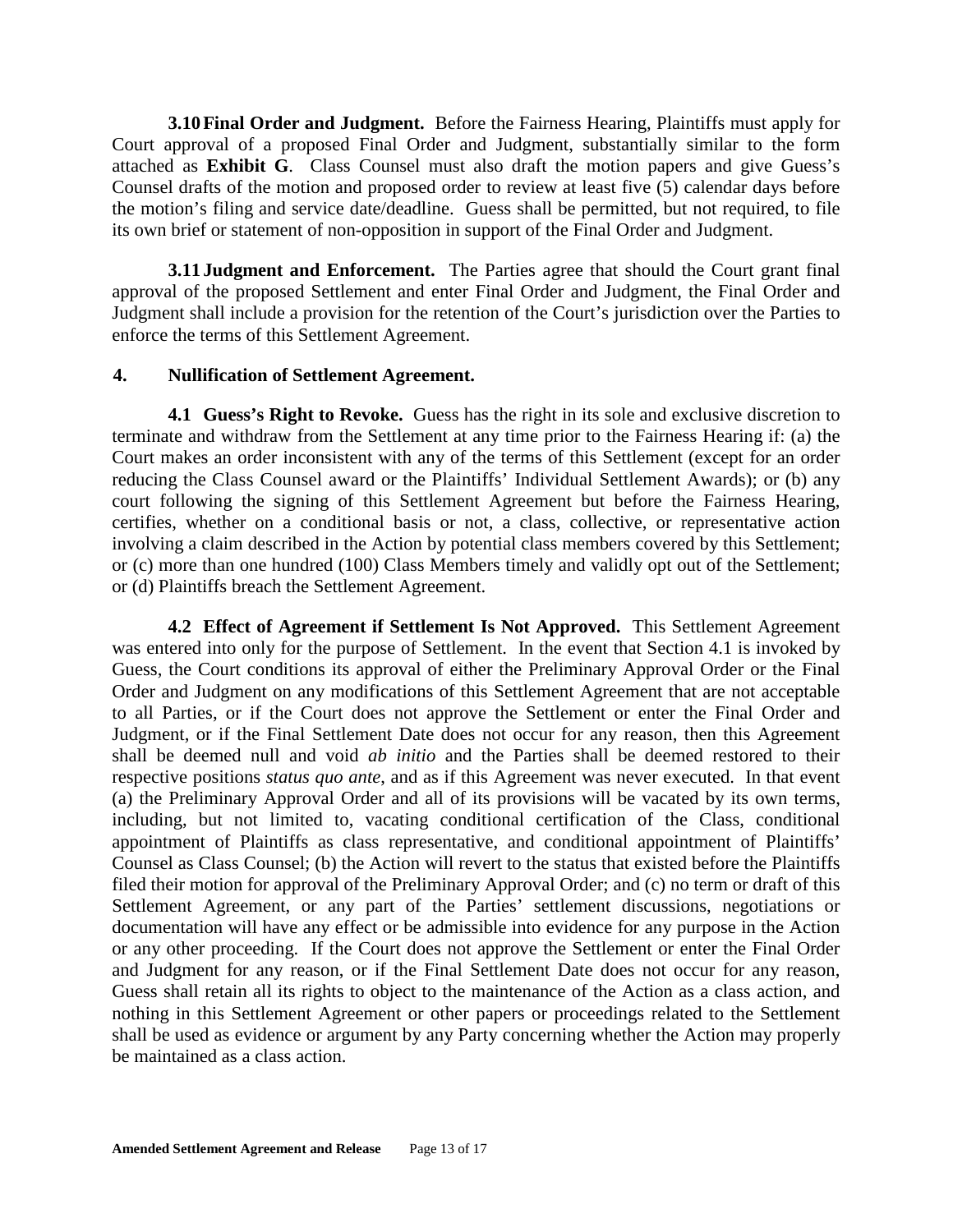**3.10Final Order and Judgment.** Before the Fairness Hearing, Plaintiffs must apply for Court approval of a proposed Final Order and Judgment, substantially similar to the form attached as **Exhibit G**. Class Counsel must also draft the motion papers and give Guess's Counsel drafts of the motion and proposed order to review at least five (5) calendar days before the motion's filing and service date/deadline. Guess shall be permitted, but not required, to file its own brief or statement of non-opposition in support of the Final Order and Judgment.

**3.11 Judgment and Enforcement.** The Parties agree that should the Court grant final approval of the proposed Settlement and enter Final Order and Judgment, the Final Order and Judgment shall include a provision for the retention of the Court's jurisdiction over the Parties to enforce the terms of this Settlement Agreement.

#### **4. Nullification of Settlement Agreement.**

**4.1 Guess's Right to Revoke.** Guess has the right in its sole and exclusive discretion to terminate and withdraw from the Settlement at any time prior to the Fairness Hearing if: (a) the Court makes an order inconsistent with any of the terms of this Settlement (except for an order reducing the Class Counsel award or the Plaintiffs' Individual Settlement Awards); or (b) any court following the signing of this Settlement Agreement but before the Fairness Hearing, certifies, whether on a conditional basis or not, a class, collective, or representative action involving a claim described in the Action by potential class members covered by this Settlement; or (c) more than one hundred (100) Class Members timely and validly opt out of the Settlement; or (d) Plaintiffs breach the Settlement Agreement.

**4.2 Effect of Agreement if Settlement Is Not Approved.** This Settlement Agreement was entered into only for the purpose of Settlement. In the event that Section 4.1 is invoked by Guess, the Court conditions its approval of either the Preliminary Approval Order or the Final Order and Judgment on any modifications of this Settlement Agreement that are not acceptable to all Parties, or if the Court does not approve the Settlement or enter the Final Order and Judgment, or if the Final Settlement Date does not occur for any reason, then this Agreement shall be deemed null and void *ab initio* and the Parties shall be deemed restored to their respective positions *status quo ante*, and as if this Agreement was never executed. In that event (a) the Preliminary Approval Order and all of its provisions will be vacated by its own terms, including, but not limited to, vacating conditional certification of the Class, conditional appointment of Plaintiffs as class representative, and conditional appointment of Plaintiffs' Counsel as Class Counsel; (b) the Action will revert to the status that existed before the Plaintiffs filed their motion for approval of the Preliminary Approval Order; and (c) no term or draft of this Settlement Agreement, or any part of the Parties' settlement discussions, negotiations or documentation will have any effect or be admissible into evidence for any purpose in the Action or any other proceeding. If the Court does not approve the Settlement or enter the Final Order and Judgment for any reason, or if the Final Settlement Date does not occur for any reason, Guess shall retain all its rights to object to the maintenance of the Action as a class action, and nothing in this Settlement Agreement or other papers or proceedings related to the Settlement shall be used as evidence or argument by any Party concerning whether the Action may properly be maintained as a class action.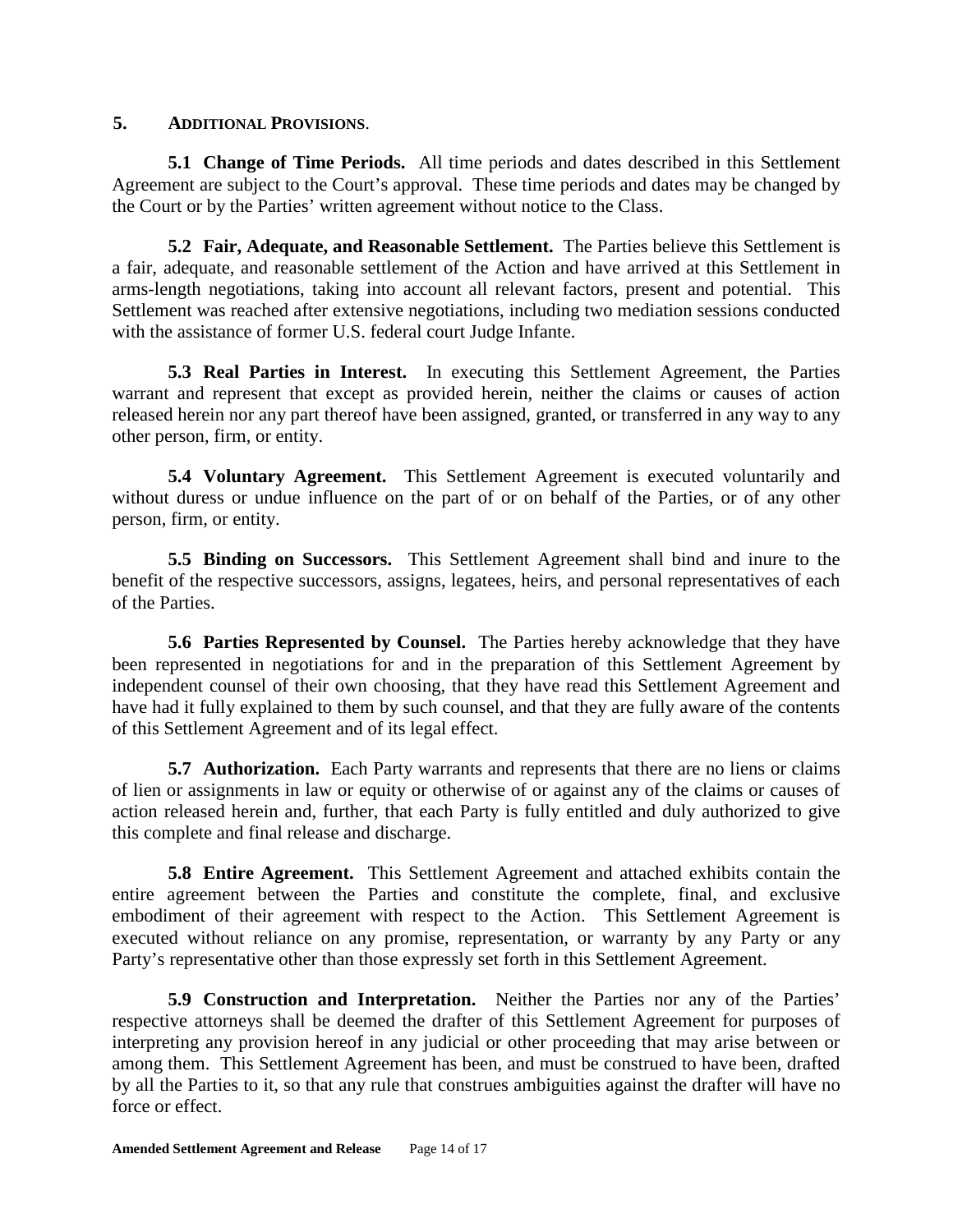### **5. ADDITIONAL PROVISIONS**.

**5.1 Change of Time Periods.** All time periods and dates described in this Settlement Agreement are subject to the Court's approval. These time periods and dates may be changed by the Court or by the Parties' written agreement without notice to the Class.

**5.2 Fair, Adequate, and Reasonable Settlement.** The Parties believe this Settlement is a fair, adequate, and reasonable settlement of the Action and have arrived at this Settlement in arms-length negotiations, taking into account all relevant factors, present and potential. This Settlement was reached after extensive negotiations, including two mediation sessions conducted with the assistance of former U.S. federal court Judge Infante.

**5.3 Real Parties in Interest.** In executing this Settlement Agreement, the Parties warrant and represent that except as provided herein, neither the claims or causes of action released herein nor any part thereof have been assigned, granted, or transferred in any way to any other person, firm, or entity.

**5.4 Voluntary Agreement.** This Settlement Agreement is executed voluntarily and without duress or undue influence on the part of or on behalf of the Parties, or of any other person, firm, or entity.

**5.5 Binding on Successors.** This Settlement Agreement shall bind and inure to the benefit of the respective successors, assigns, legatees, heirs, and personal representatives of each of the Parties.

**5.6 Parties Represented by Counsel.** The Parties hereby acknowledge that they have been represented in negotiations for and in the preparation of this Settlement Agreement by independent counsel of their own choosing, that they have read this Settlement Agreement and have had it fully explained to them by such counsel, and that they are fully aware of the contents of this Settlement Agreement and of its legal effect.

**5.7 Authorization.** Each Party warrants and represents that there are no liens or claims of lien or assignments in law or equity or otherwise of or against any of the claims or causes of action released herein and, further, that each Party is fully entitled and duly authorized to give this complete and final release and discharge.

**5.8 Entire Agreement.** This Settlement Agreement and attached exhibits contain the entire agreement between the Parties and constitute the complete, final, and exclusive embodiment of their agreement with respect to the Action. This Settlement Agreement is executed without reliance on any promise, representation, or warranty by any Party or any Party's representative other than those expressly set forth in this Settlement Agreement.

**5.9 Construction and Interpretation.** Neither the Parties nor any of the Parties' respective attorneys shall be deemed the drafter of this Settlement Agreement for purposes of interpreting any provision hereof in any judicial or other proceeding that may arise between or among them. This Settlement Agreement has been, and must be construed to have been, drafted by all the Parties to it, so that any rule that construes ambiguities against the drafter will have no force or effect.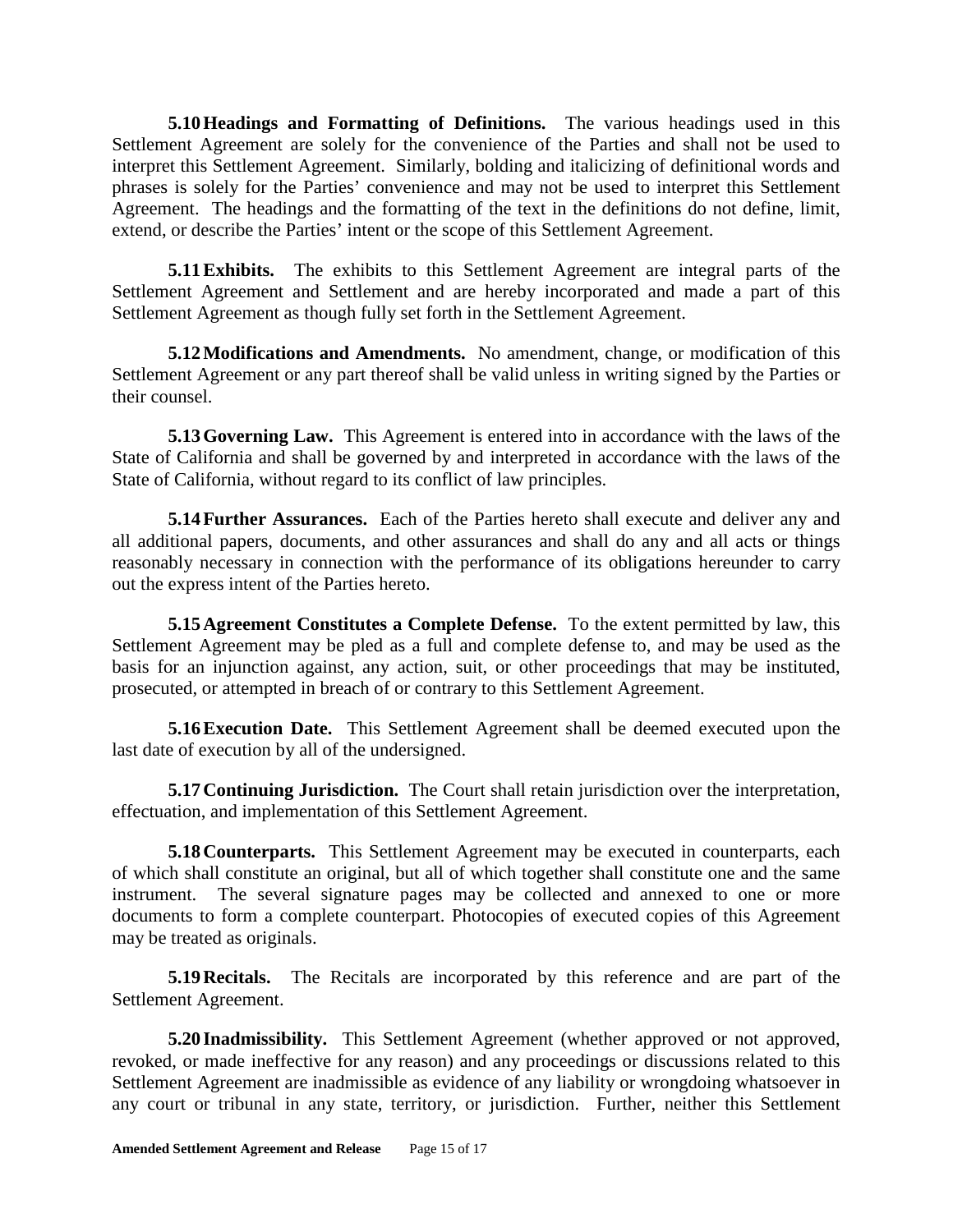**5.10Headings and Formatting of Definitions.** The various headings used in this Settlement Agreement are solely for the convenience of the Parties and shall not be used to interpret this Settlement Agreement. Similarly, bolding and italicizing of definitional words and phrases is solely for the Parties' convenience and may not be used to interpret this Settlement Agreement. The headings and the formatting of the text in the definitions do not define, limit, extend, or describe the Parties' intent or the scope of this Settlement Agreement.

**5.11Exhibits.** The exhibits to this Settlement Agreement are integral parts of the Settlement Agreement and Settlement and are hereby incorporated and made a part of this Settlement Agreement as though fully set forth in the Settlement Agreement.

**5.12Modifications and Amendments.** No amendment, change, or modification of this Settlement Agreement or any part thereof shall be valid unless in writing signed by the Parties or their counsel.

**5.13Governing Law.** This Agreement is entered into in accordance with the laws of the State of California and shall be governed by and interpreted in accordance with the laws of the State of California, without regard to its conflict of law principles.

**5.14Further Assurances.** Each of the Parties hereto shall execute and deliver any and all additional papers, documents, and other assurances and shall do any and all acts or things reasonably necessary in connection with the performance of its obligations hereunder to carry out the express intent of the Parties hereto.

**5.15Agreement Constitutes a Complete Defense.** To the extent permitted by law, this Settlement Agreement may be pled as a full and complete defense to, and may be used as the basis for an injunction against, any action, suit, or other proceedings that may be instituted, prosecuted, or attempted in breach of or contrary to this Settlement Agreement.

**5.16Execution Date.** This Settlement Agreement shall be deemed executed upon the last date of execution by all of the undersigned.

**5.17Continuing Jurisdiction.** The Court shall retain jurisdiction over the interpretation, effectuation, and implementation of this Settlement Agreement.

**5.18 Counterparts.** This Settlement Agreement may be executed in counterparts, each of which shall constitute an original, but all of which together shall constitute one and the same instrument. The several signature pages may be collected and annexed to one or more documents to form a complete counterpart. Photocopies of executed copies of this Agreement may be treated as originals.

**5.19Recitals.** The Recitals are incorporated by this reference and are part of the Settlement Agreement.

**5.20 Inadmissibility.** This Settlement Agreement (whether approved or not approved, revoked, or made ineffective for any reason) and any proceedings or discussions related to this Settlement Agreement are inadmissible as evidence of any liability or wrongdoing whatsoever in any court or tribunal in any state, territory, or jurisdiction. Further, neither this Settlement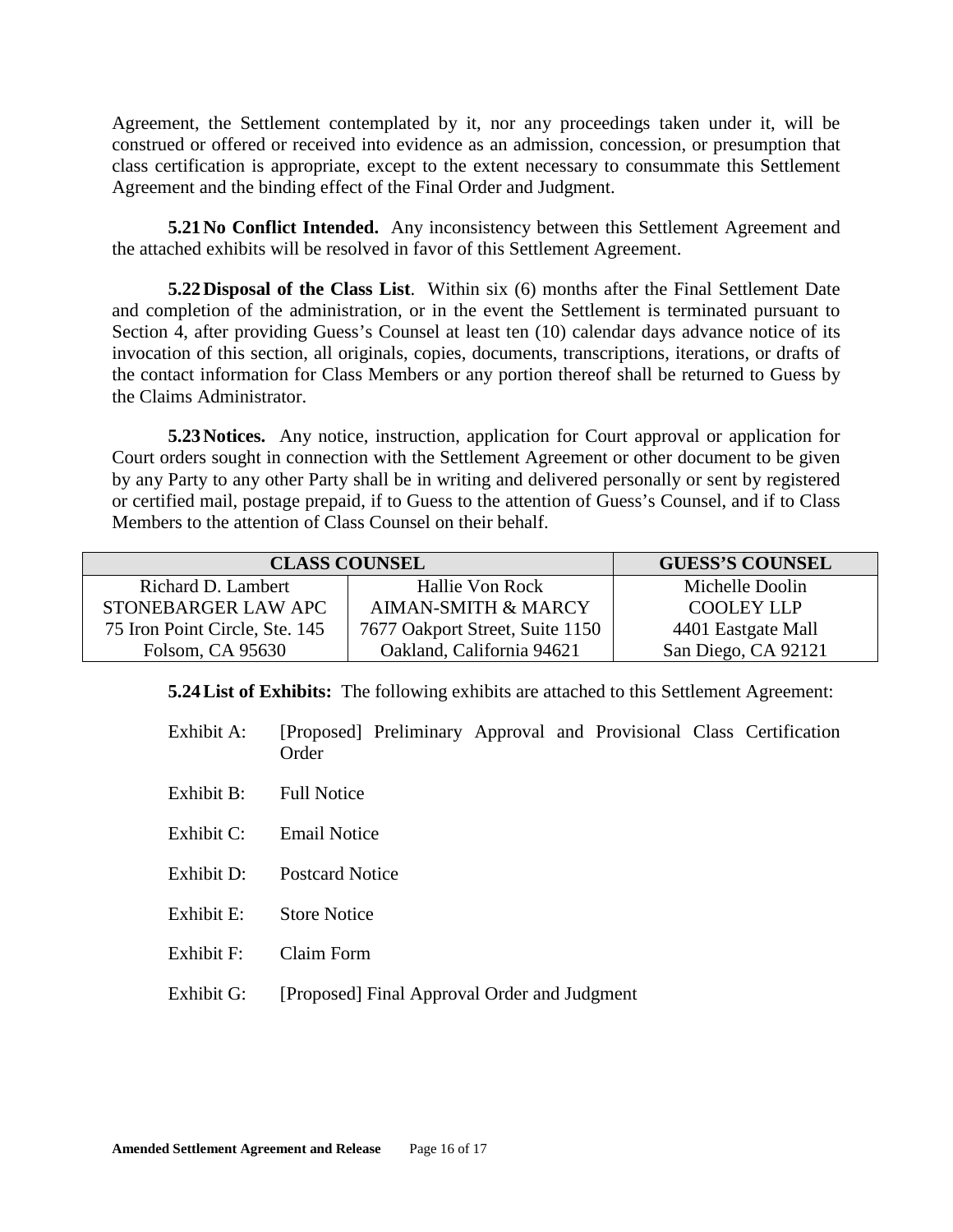Agreement, the Settlement contemplated by it, nor any proceedings taken under it, will be construed or offered or received into evidence as an admission, concession, or presumption that class certification is appropriate, except to the extent necessary to consummate this Settlement Agreement and the binding effect of the Final Order and Judgment.

**5.21 No Conflict Intended.** Any inconsistency between this Settlement Agreement and the attached exhibits will be resolved in favor of this Settlement Agreement.

**5.22Disposal of the Class List**. Within six (6) months after the Final Settlement Date and completion of the administration, or in the event the Settlement is terminated pursuant to Section 4, after providing Guess's Counsel at least ten (10) calendar days advance notice of its invocation of this section, all originals, copies, documents, transcriptions, iterations, or drafts of the contact information for Class Members or any portion thereof shall be returned to Guess by the Claims Administrator.

**5.23Notices.** Any notice, instruction, application for Court approval or application for Court orders sought in connection with the Settlement Agreement or other document to be given by any Party to any other Party shall be in writing and delivered personally or sent by registered or certified mail, postage prepaid, if to Guess to the attention of Guess's Counsel, and if to Class Members to the attention of Class Counsel on their behalf.

| <b>CLASS COUNSEL</b>           |                                 | <b>GUESS'S COUNSEL</b> |
|--------------------------------|---------------------------------|------------------------|
| Richard D. Lambert             | Hallie Von Rock                 | Michelle Doolin        |
| STONEBARGER LAW APC            | <b>AIMAN-SMITH &amp; MARCY</b>  | <b>COOLEY LLP</b>      |
| 75 Iron Point Circle, Ste. 145 | 7677 Oakport Street, Suite 1150 | 4401 Eastgate Mall     |
| Folsom, CA 95630               | Oakland, California 94621       | San Diego, CA 92121    |

**5.24List of Exhibits:** The following exhibits are attached to this Settlement Agreement:

- Exhibit A: [Proposed] Preliminary Approval and Provisional Class Certification Order
- Exhibit B: Full Notice
- Exhibit C: Email Notice
- Exhibit D: Postcard Notice
- Exhibit E: Store Notice
- Exhibit F: Claim Form
- Exhibit G: [Proposed] Final Approval Order and Judgment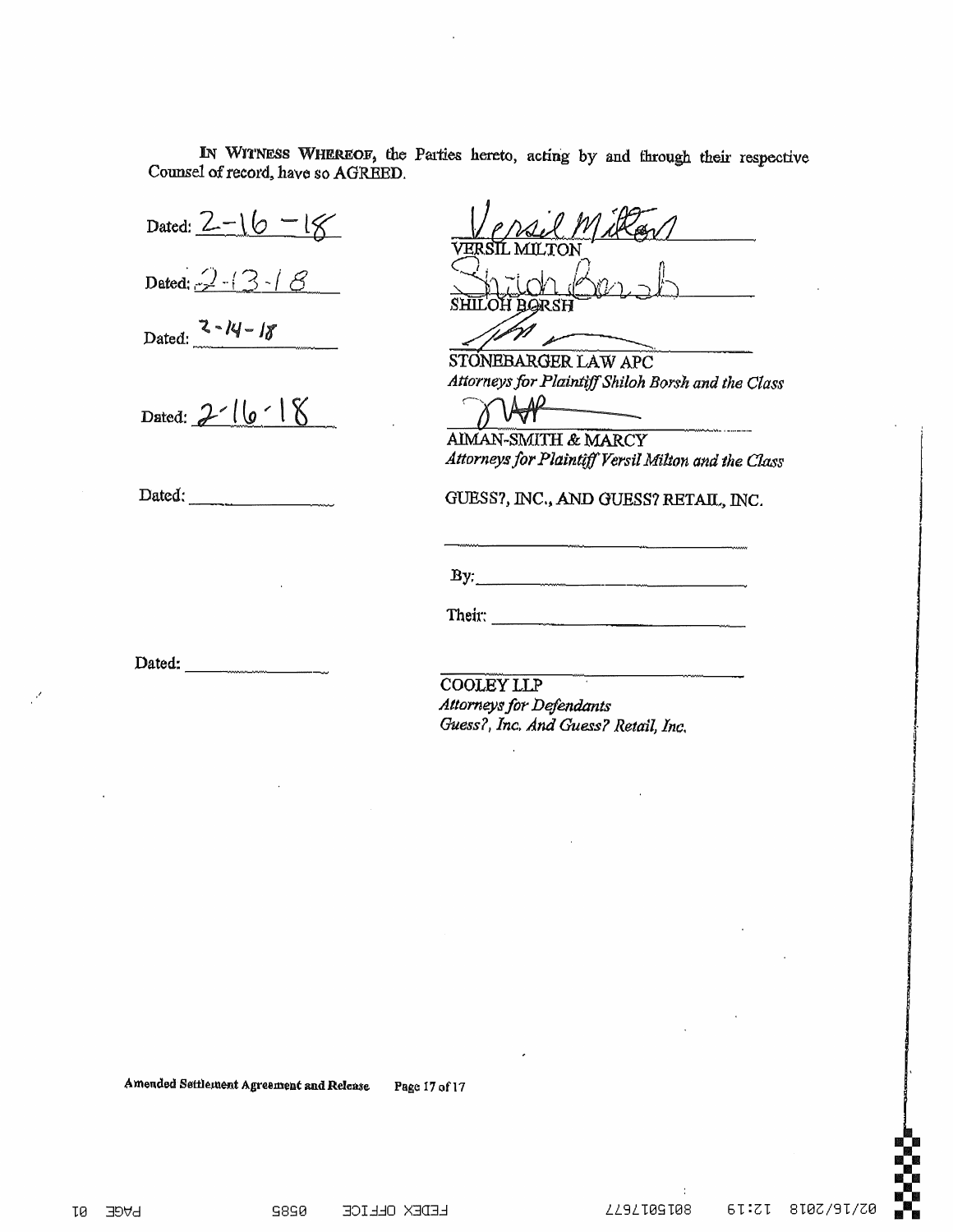IN WITNESS WHEREOF, the Parties hereto, acting by and through their respective Counsel of record, have so AGREED.

Dated:  $2 - 16 - 18$ 

Dated:  $2-13-18$ 

Dated:  $2 - 14 - 18$ 

Dated:  $2 - 16 - 18$ 

Dated: <u>Julian March 1999</u>

STONEBARGER LAW APC Attorneys for Plaintiff Shiloh Borsh and the Class

AIMAN-SMITH & MARCY Attorneys for Plaintiff Versil Milton and the Class

GUESS?, INC., AND GUESS? RETAIL, INC.

 $\mathbf{By:}$ 

Their: and the contract of the contract of the contract of the contract of the contract of the contract of the

Dated:  $\frac{1}{\sqrt{1-\frac{1}{2}}\cdot\frac{1}{2}}$ 

**COOLEY LLP Attorneys for Defendants** Guess?, Inc. And Guess? Retail, Inc.

Amended Settlement Agreement and Release Page 17 of 17

**AGE** τø

ZZ9ZT09T08

61:21 810Z/91/Z0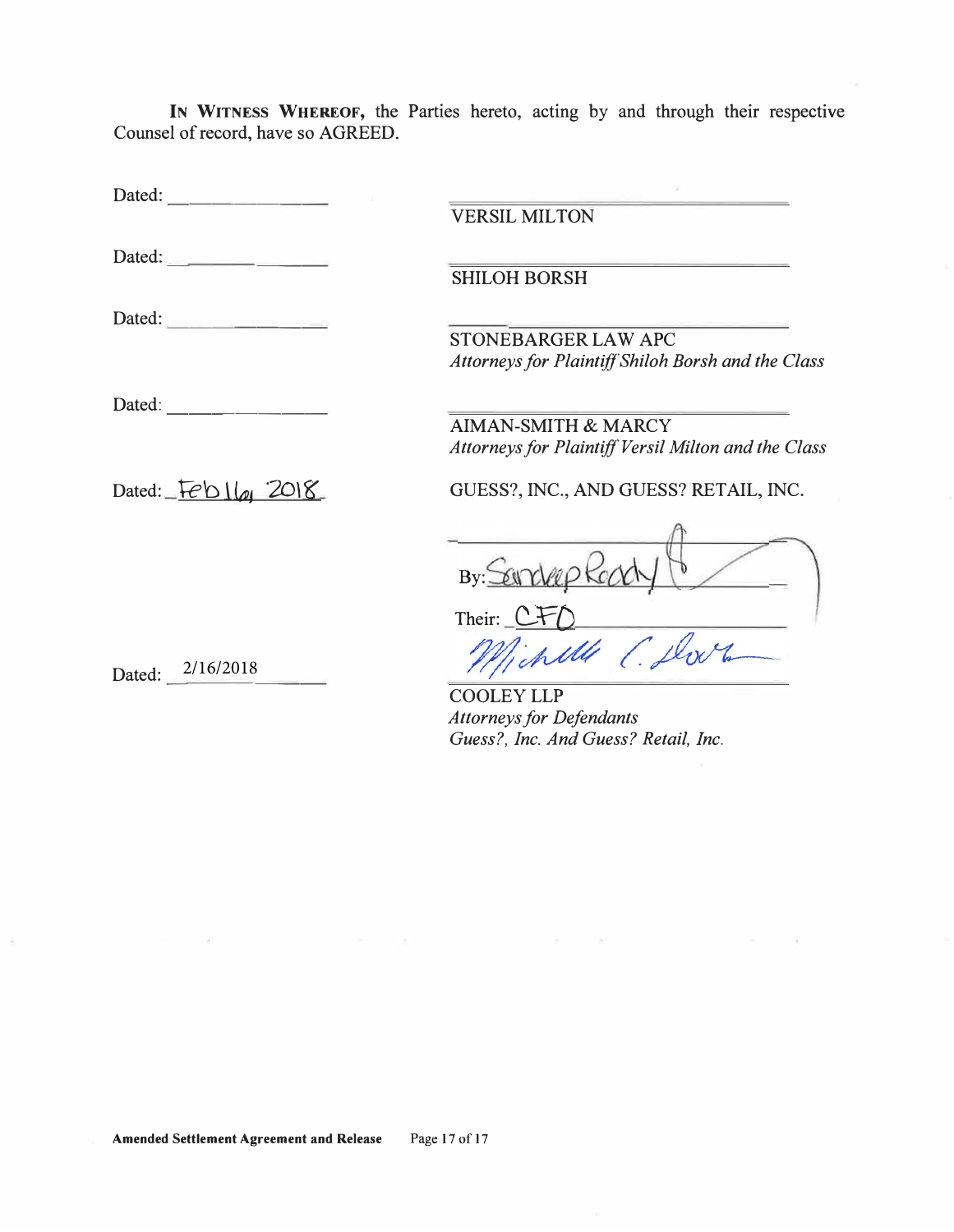**IN WITNESS WHEREOF,** the Parties hereto, acting by and through their respective Counsel of record, have so AGREED.

| Dated:                                                                                                                                                                                                                                                                                                                                                                                                       |                                                                           |
|--------------------------------------------------------------------------------------------------------------------------------------------------------------------------------------------------------------------------------------------------------------------------------------------------------------------------------------------------------------------------------------------------------------|---------------------------------------------------------------------------|
|                                                                                                                                                                                                                                                                                                                                                                                                              | <b>VERSIL MILTON</b>                                                      |
| Dated: $\frac{1}{\sqrt{1-\frac{1}{2}}\sqrt{1-\frac{1}{2}}\sqrt{1-\frac{1}{2}}\sqrt{1-\frac{1}{2}}\sqrt{1-\frac{1}{2}}\sqrt{1-\frac{1}{2}}\sqrt{1-\frac{1}{2}}\sqrt{1-\frac{1}{2}}\sqrt{1-\frac{1}{2}}\sqrt{1-\frac{1}{2}}\sqrt{1-\frac{1}{2}}\sqrt{1-\frac{1}{2}}\sqrt{1-\frac{1}{2}}\sqrt{1-\frac{1}{2}}\sqrt{1-\frac{1}{2}}\sqrt{1-\frac{1}{2}}\sqrt{1-\frac{1}{2}}\sqrt{1-\frac{1}{2}}\sqrt{1-\frac{1}{2$ | <b>SHILOH BORSH</b>                                                       |
| Dated:                                                                                                                                                                                                                                                                                                                                                                                                       |                                                                           |
|                                                                                                                                                                                                                                                                                                                                                                                                              | STONEBARGER LAW APC<br>Attorneys for Plaintiff Shiloh Borsh and the Class |
| Dated:                                                                                                                                                                                                                                                                                                                                                                                                       | <b>AIMAN-SMITH &amp; MARCY</b>                                            |
|                                                                                                                                                                                                                                                                                                                                                                                                              | Attorneys for Plaintiff Versil Milton and the Class                       |
| Dated: $Feb1\omega$ 2018                                                                                                                                                                                                                                                                                                                                                                                     | GUESS?, INC., AND GUESS? RETAIL, INC.                                     |
|                                                                                                                                                                                                                                                                                                                                                                                                              | By: Seincher                                                              |
|                                                                                                                                                                                                                                                                                                                                                                                                              | Their: $C$                                                                |
| Dated: $\frac{2/16}{2018}$                                                                                                                                                                                                                                                                                                                                                                                   | chille                                                                    |
|                                                                                                                                                                                                                                                                                                                                                                                                              | <b>COOLEY LLP</b>                                                         |
|                                                                                                                                                                                                                                                                                                                                                                                                              | <b>Attorneys for Defendants</b>                                           |
|                                                                                                                                                                                                                                                                                                                                                                                                              | Guess?, Inc. And Guess? Retail, Inc.                                      |

 $\mathbf{A}=\mathbf{0}$  . The  $\mathbf{A}^{\mathrm{H}}$ 

 $\infty$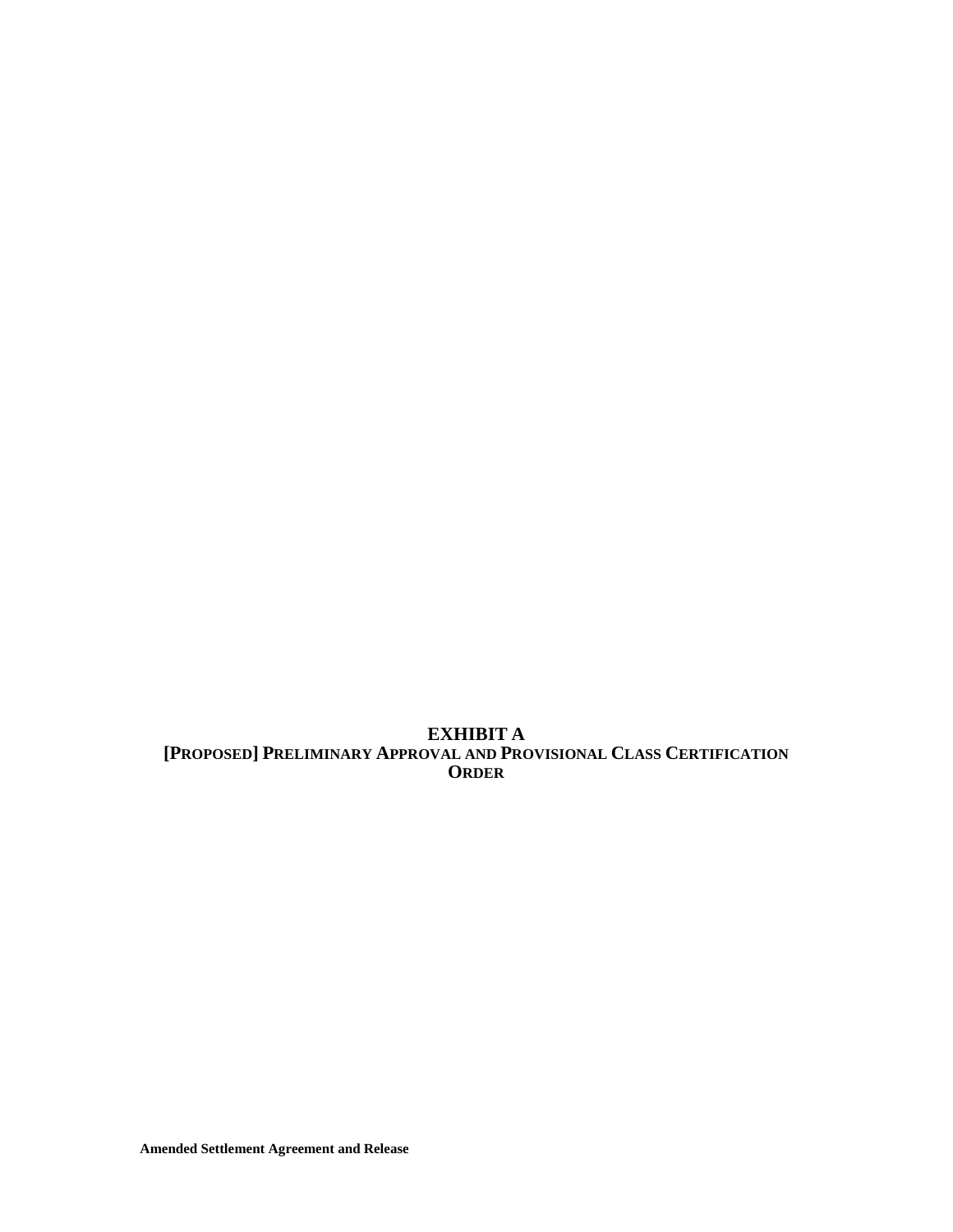**EXHIBIT A [PROPOSED] PRELIMINARY APPROVAL AND PROVISIONAL CLASS CERTIFICATION ORDER**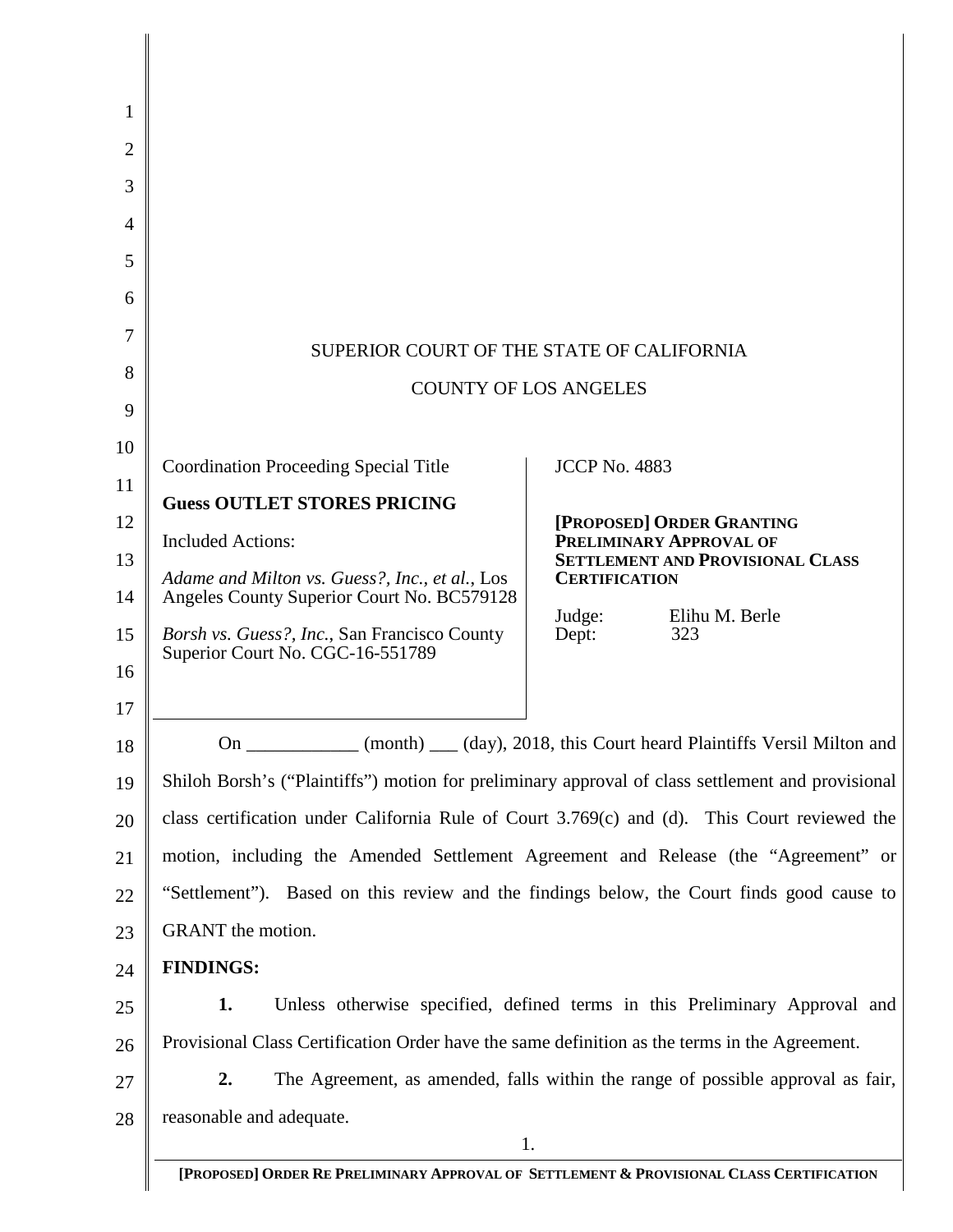| 1  |                                                                                                   |                                                                                 |  |
|----|---------------------------------------------------------------------------------------------------|---------------------------------------------------------------------------------|--|
| 2  |                                                                                                   |                                                                                 |  |
| 3  |                                                                                                   |                                                                                 |  |
| 4  |                                                                                                   |                                                                                 |  |
| 5  |                                                                                                   |                                                                                 |  |
| 6  |                                                                                                   |                                                                                 |  |
| 7  |                                                                                                   |                                                                                 |  |
| 8  | SUPERIOR COURT OF THE STATE OF CALIFORNIA<br><b>COUNTY OF LOS ANGELES</b>                         |                                                                                 |  |
| 9  |                                                                                                   |                                                                                 |  |
| 10 |                                                                                                   |                                                                                 |  |
| 11 | <b>Coordination Proceeding Special Title</b>                                                      | <b>JCCP No. 4883</b>                                                            |  |
| 12 | <b>Guess OUTLET STORES PRICING</b>                                                                | [PROPOSED] ORDER GRANTING                                                       |  |
| 13 | <b>Included Actions:</b>                                                                          | <b>PRELIMINARY APPROVAL OF</b><br><b>SETTLEMENT AND PROVISIONAL CLASS</b>       |  |
| 14 | Adame and Milton vs. Guess?, Inc., et al., Los<br>Angeles County Superior Court No. BC579128      | <b>CERTIFICATION</b>                                                            |  |
| 15 | Borsh vs. Guess?, Inc., San Francisco County                                                      | Judge:<br>Elihu M. Berle<br>Dept:<br>323                                        |  |
| 16 | Superior Court No. CGC-16-551789                                                                  |                                                                                 |  |
| 17 |                                                                                                   |                                                                                 |  |
| 18 | On                                                                                                | (month) ___ (day), 2018, this Court heard Plaintiffs Versil Milton and          |  |
| 19 | Shiloh Borsh's ("Plaintiffs") motion for preliminary approval of class settlement and provisional |                                                                                 |  |
| 20 | class certification under California Rule of Court 3.769(c) and (d). This Court reviewed the      |                                                                                 |  |
| 21 | motion, including the Amended Settlement Agreement and Release (the "Agreement" or                |                                                                                 |  |
| 22 | "Settlement"). Based on this review and the findings below, the Court finds good cause to         |                                                                                 |  |
| 23 | GRANT the motion.                                                                                 |                                                                                 |  |
| 24 | <b>FINDINGS:</b>                                                                                  |                                                                                 |  |
| 25 | 1.                                                                                                | Unless otherwise specified, defined terms in this Preliminary Approval and      |  |
| 26 | Provisional Class Certification Order have the same definition as the terms in the Agreement.     |                                                                                 |  |
| 27 | 2.                                                                                                | The Agreement, as amended, falls within the range of possible approval as fair, |  |
| 28 | reasonable and adequate.                                                                          |                                                                                 |  |
|    | 1.                                                                                                |                                                                                 |  |
|    | [PROPOSED] ORDER RE PRELIMINARY APPROVAL OF SETTLEMENT & PROVISIONAL CLASS CERTIFICATION          |                                                                                 |  |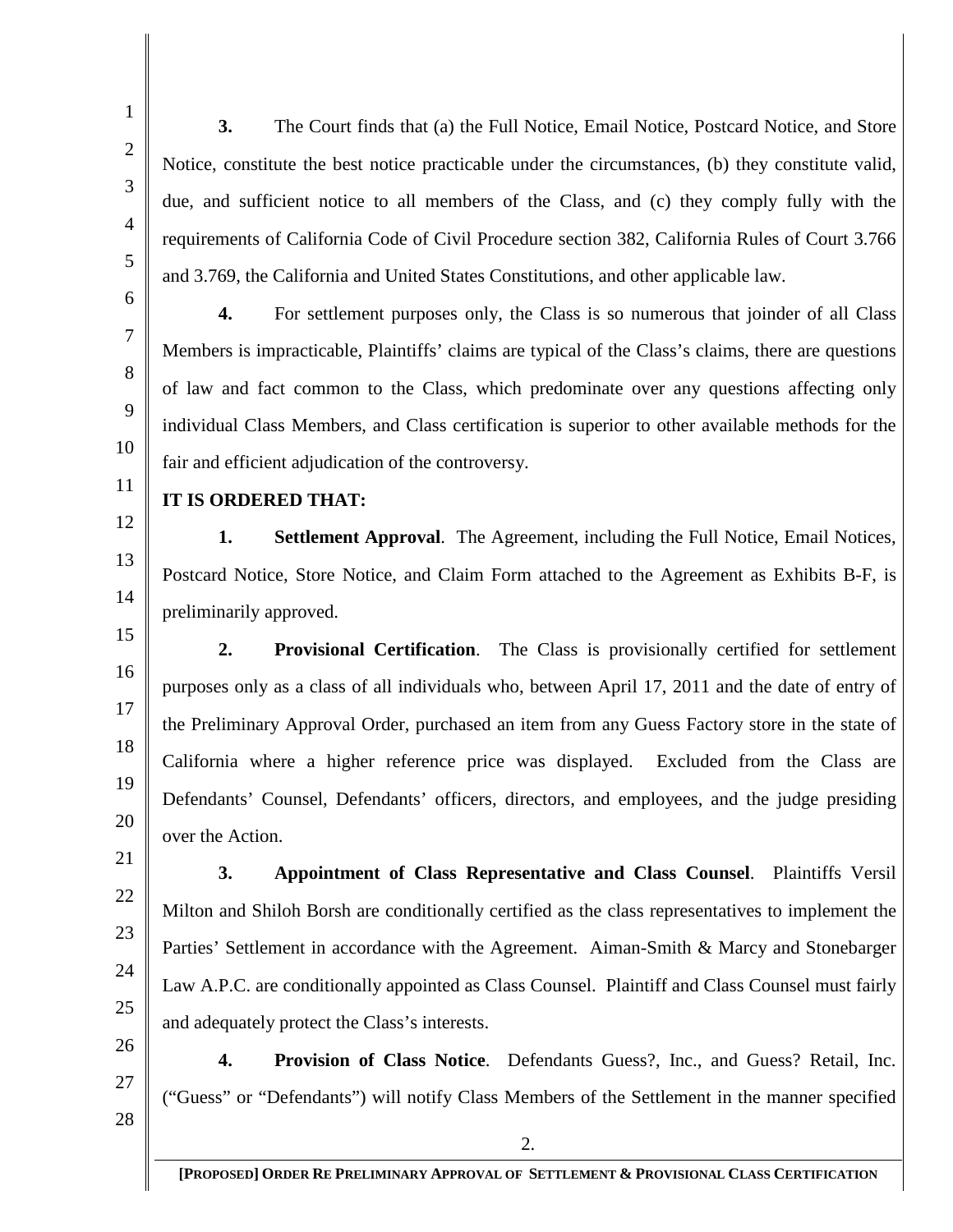25

26

27 **4. Provision of Class Notice**. Defendants Guess?, Inc., and Guess? Retail, Inc. ("Guess" or "Defendants") will notify Class Members of the Settlement in the manner specified

28

**3.** The Court finds that (a) the Full Notice, Email Notice, Postcard Notice, and Store Notice, constitute the best notice practicable under the circumstances, (b) they constitute valid, due, and sufficient notice to all members of the Class, and (c) they comply fully with the requirements of California Code of Civil Procedure section 382, California Rules of Court 3.766 and 3.769, the California and United States Constitutions, and other applicable law.

**4.** For settlement purposes only, the Class is so numerous that joinder of all Class Members is impracticable, Plaintiffs' claims are typical of the Class's claims, there are questions of law and fact common to the Class, which predominate over any questions affecting only individual Class Members, and Class certification is superior to other available methods for the fair and efficient adjudication of the controversy.

**IT IS ORDERED THAT:**

**1. Settlement Approval**. The Agreement, including the Full Notice, Email Notices, Postcard Notice, Store Notice, and Claim Form attached to the Agreement as Exhibits B-F, is preliminarily approved.

**2. Provisional Certification**. The Class is provisionally certified for settlement purposes only as a class of all individuals who, between April 17, 2011 and the date of entry of the Preliminary Approval Order, purchased an item from any Guess Factory store in the state of California where a higher reference price was displayed. Excluded from the Class are Defendants' Counsel, Defendants' officers, directors, and employees, and the judge presiding over the Action.

24 **3. Appointment of Class Representative and Class Counsel**. Plaintiffs Versil Milton and Shiloh Borsh are conditionally certified as the class representatives to implement the Parties' Settlement in accordance with the Agreement. Aiman-Smith & Marcy and Stonebarger Law A.P.C. are conditionally appointed as Class Counsel. Plaintiff and Class Counsel must fairly and adequately protect the Class's interests.

2.

**[PROPOSED] ORDER RE PRELIMINARY APPROVAL OF SETTLEMENT & PROVISIONAL CLASS CERTIFICATION**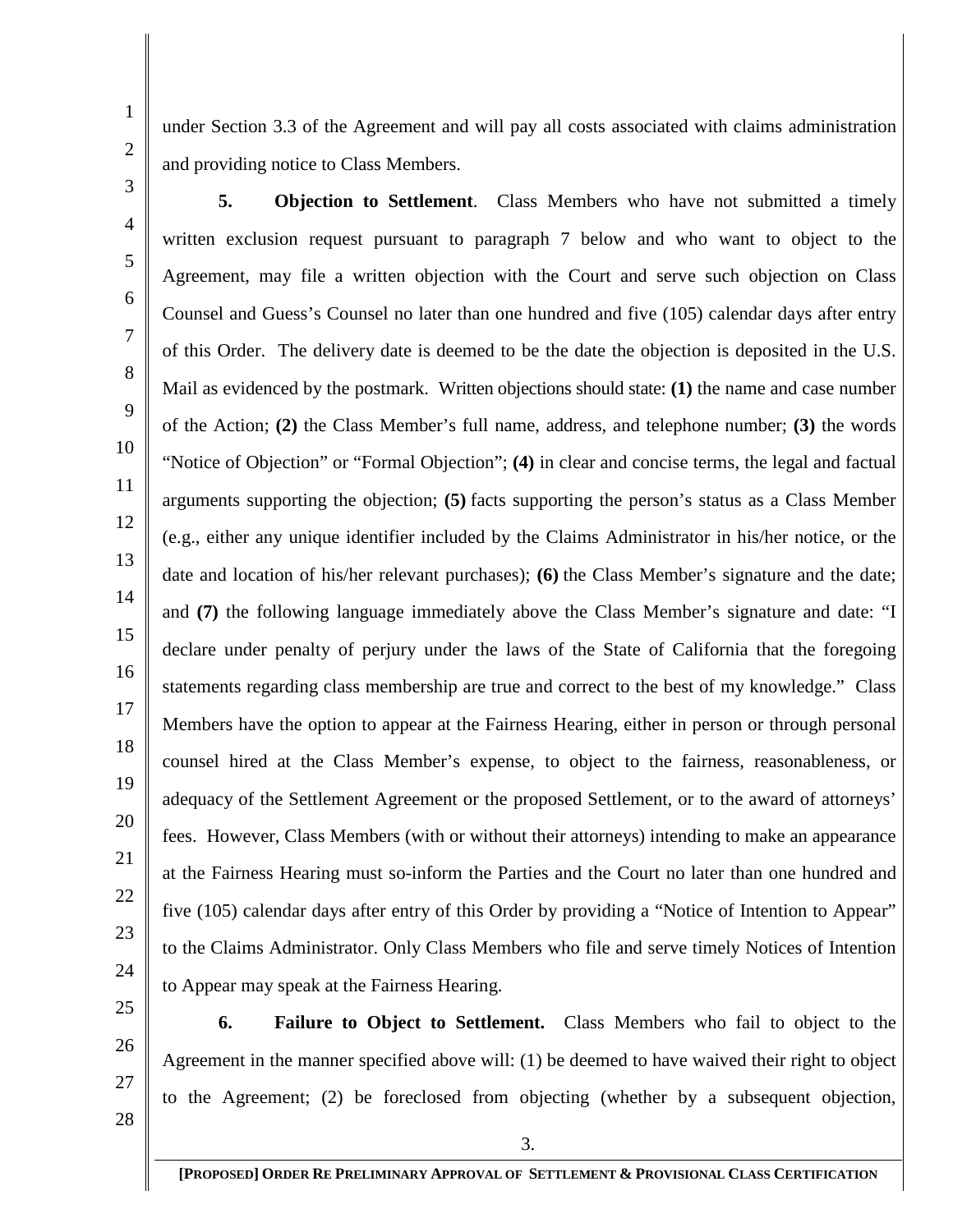under Section 3.3 of the Agreement and will pay all costs associated with claims administration and providing notice to Class Members.

10 11 12 13 14 15 16 18 19 20 22 23 24 **5. Objection to Settlement**. Class Members who have not submitted a timely written exclusion request pursuant to paragraph 7 below and who want to object to the Agreement, may file a written objection with the Court and serve such objection on Class Counsel and Guess's Counsel no later than one hundred and five (105) calendar days after entry of this Order. The delivery date is deemed to be the date the objection is deposited in the U.S. Mail as evidenced by the postmark. Written objections should state: **(1)** the name and case number of the Action; **(2)** the Class Member's full name, address, and telephone number; **(3)** the words "Notice of Objection" or "Formal Objection"; **(4)** in clear and concise terms, the legal and factual arguments supporting the objection; **(5)** facts supporting the person's status as a Class Member (e.g., either any unique identifier included by the Claims Administrator in his/her notice, or the date and location of his/her relevant purchases); **(6)** the Class Member's signature and the date; and **(7)** the following language immediately above the Class Member's signature and date: "I declare under penalty of perjury under the laws of the State of California that the foregoing statements regarding class membership are true and correct to the best of my knowledge." Class Members have the option to appear at the Fairness Hearing, either in person or through personal counsel hired at the Class Member's expense, to object to the fairness, reasonableness, or adequacy of the Settlement Agreement or the proposed Settlement, or to the award of attorneys' fees. However, Class Members (with or without their attorneys) intending to make an appearance at the Fairness Hearing must so-inform the Parties and the Court no later than one hundred and five (105) calendar days after entry of this Order by providing a "Notice of Intention to Appear" to the Claims Administrator. Only Class Members who file and serve timely Notices of Intention to Appear may speak at the Fairness Hearing.

25

17

21

- 26
- 27
- 28

**6. Failure to Object to Settlement.** Class Members who fail to object to the Agreement in the manner specified above will: (1) be deemed to have waived their right to object to the Agreement; (2) be foreclosed from objecting (whether by a subsequent objection,

3.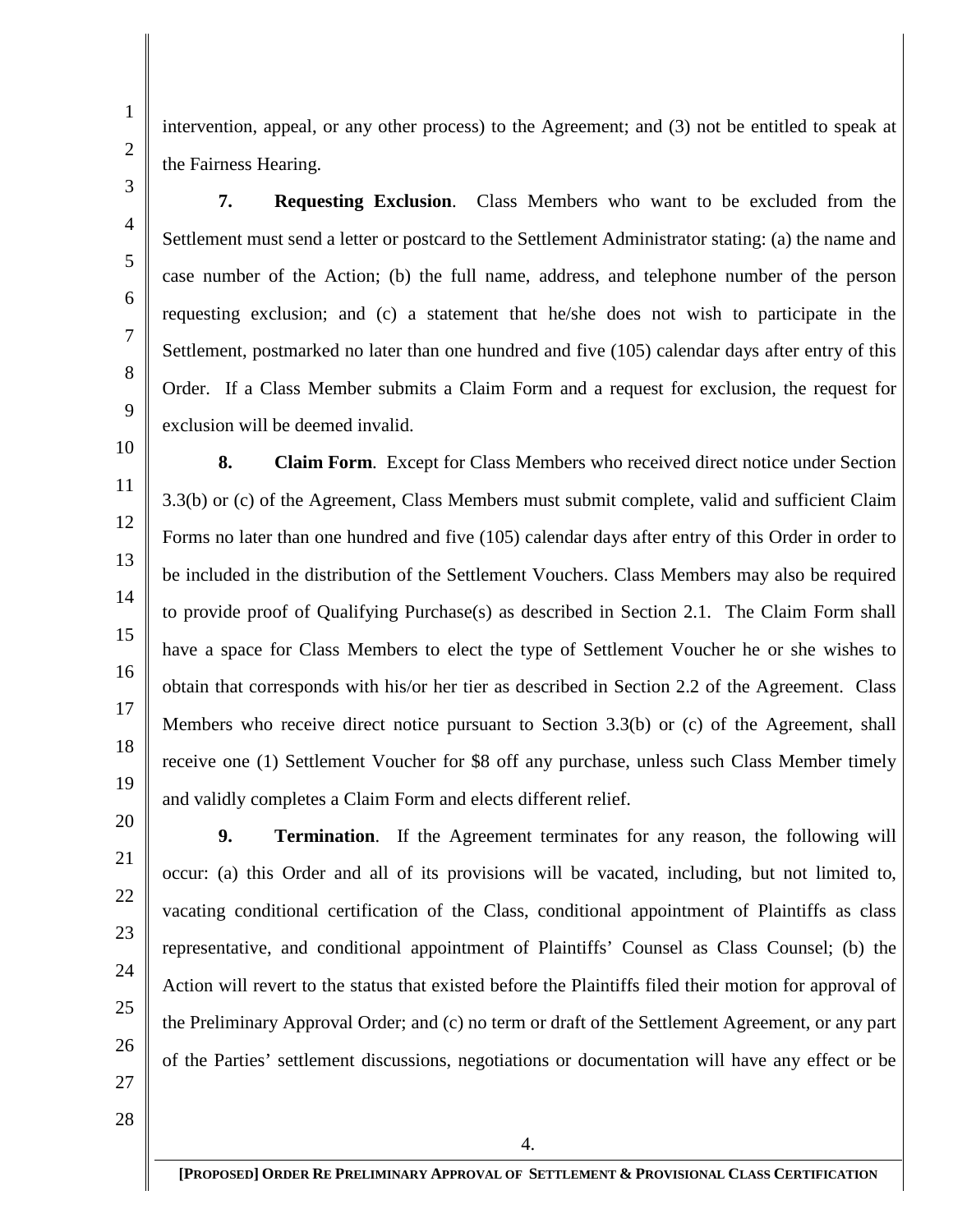intervention, appeal, or any other process) to the Agreement; and (3) not be entitled to speak at the Fairness Hearing.

**7. Requesting Exclusion**. Class Members who want to be excluded from the Settlement must send a letter or postcard to the Settlement Administrator stating: (a) the name and case number of the Action; (b) the full name, address, and telephone number of the person requesting exclusion; and (c) a statement that he/she does not wish to participate in the Settlement, postmarked no later than one hundred and five (105) calendar days after entry of this Order. If a Class Member submits a Claim Form and a request for exclusion, the request for exclusion will be deemed invalid.

**8. Claim Form**. Except for Class Members who received direct notice under Section 3.3(b) or (c) of the Agreement, Class Members must submit complete, valid and sufficient Claim Forms no later than one hundred and five (105) calendar days after entry of this Order in order to be included in the distribution of the Settlement Vouchers. Class Members may also be required to provide proof of Qualifying Purchase(s) as described in Section 2.1. The Claim Form shall have a space for Class Members to elect the type of Settlement Voucher he or she wishes to obtain that corresponds with his/or her tier as described in Section 2.2 of the Agreement. Class Members who receive direct notice pursuant to Section 3.3(b) or (c) of the Agreement, shall receive one (1) Settlement Voucher for \$8 off any purchase, unless such Class Member timely and validly completes a Claim Form and elects different relief.

**9. Termination**. If the Agreement terminates for any reason, the following will

occur: (a) this Order and all of its provisions will be vacated, including, but not limited to,

vacating conditional certification of the Class, conditional appointment of Plaintiffs as class

representative, and conditional appointment of Plaintiffs' Counsel as Class Counsel; (b) the

Action will revert to the status that existed before the Plaintiffs filed their motion for approval of

the Preliminary Approval Order; and (c) no term or draft of the Settlement Agreement, or any part

of the Parties' settlement discussions, negotiations or documentation will have any effect or be

- 21 22
- 24
- 

26

27 28

**[PROPOSED] ORDER RE PRELIMINARY APPROVAL OF SETTLEMENT & PROVISIONAL CLASS CERTIFICATION**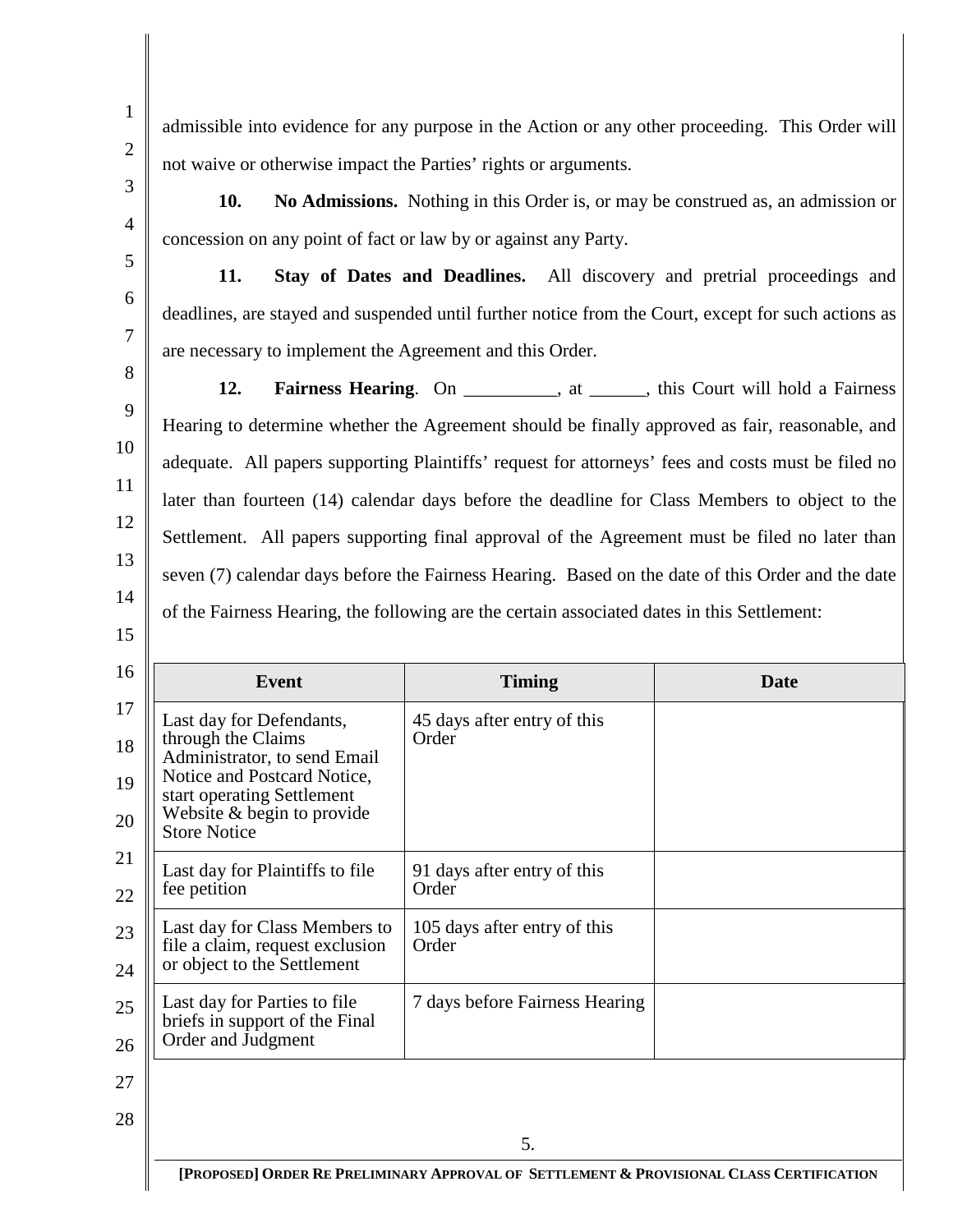14

15

admissible into evidence for any purpose in the Action or any other proceeding. This Order will not waive or otherwise impact the Parties' rights or arguments.

**10. No Admissions.** Nothing in this Order is, or may be construed as, an admission or concession on any point of fact or law by or against any Party.

**11. Stay of Dates and Deadlines.** All discovery and pretrial proceedings and deadlines, are stayed and suspended until further notice from the Court, except for such actions as are necessary to implement the Agreement and this Order.

**12. Fairness Hearing**. On , at , this Court will hold a Fairness Hearing to determine whether the Agreement should be finally approved as fair, reasonable, and adequate. All papers supporting Plaintiffs' request for attorneys' fees and costs must be filed no later than fourteen (14) calendar days before the deadline for Class Members to object to the Settlement. All papers supporting final approval of the Agreement must be filed no later than seven (7) calendar days before the Fairness Hearing. Based on the date of this Order and the date of the Fairness Hearing, the following are the certain associated dates in this Settlement:

16 17 18 19 20 21 22 23 24 25 26 27 28 5. **[PROPOSED] ORDER RE PRELIMINARY APPROVAL OF SETTLEMENT & PROVISIONAL CLASS CERTIFICATION Event Timing Date** Last day for Defendants, through the Claims Administrator, to send Email<br>Notice and Postcard Notice, start operating Settlement Website & begin to provide Store Notice 45 days after entry of this Order Last day for Plaintiffs to file fee petition 91 days after entry of this Order Last day for Class Members to file a claim, request exclusion or object to the Settlement 105 days after entry of this Order Last day for Parties to file briefs in support of the Final Order and Judgment 7 days before Fairness Hearing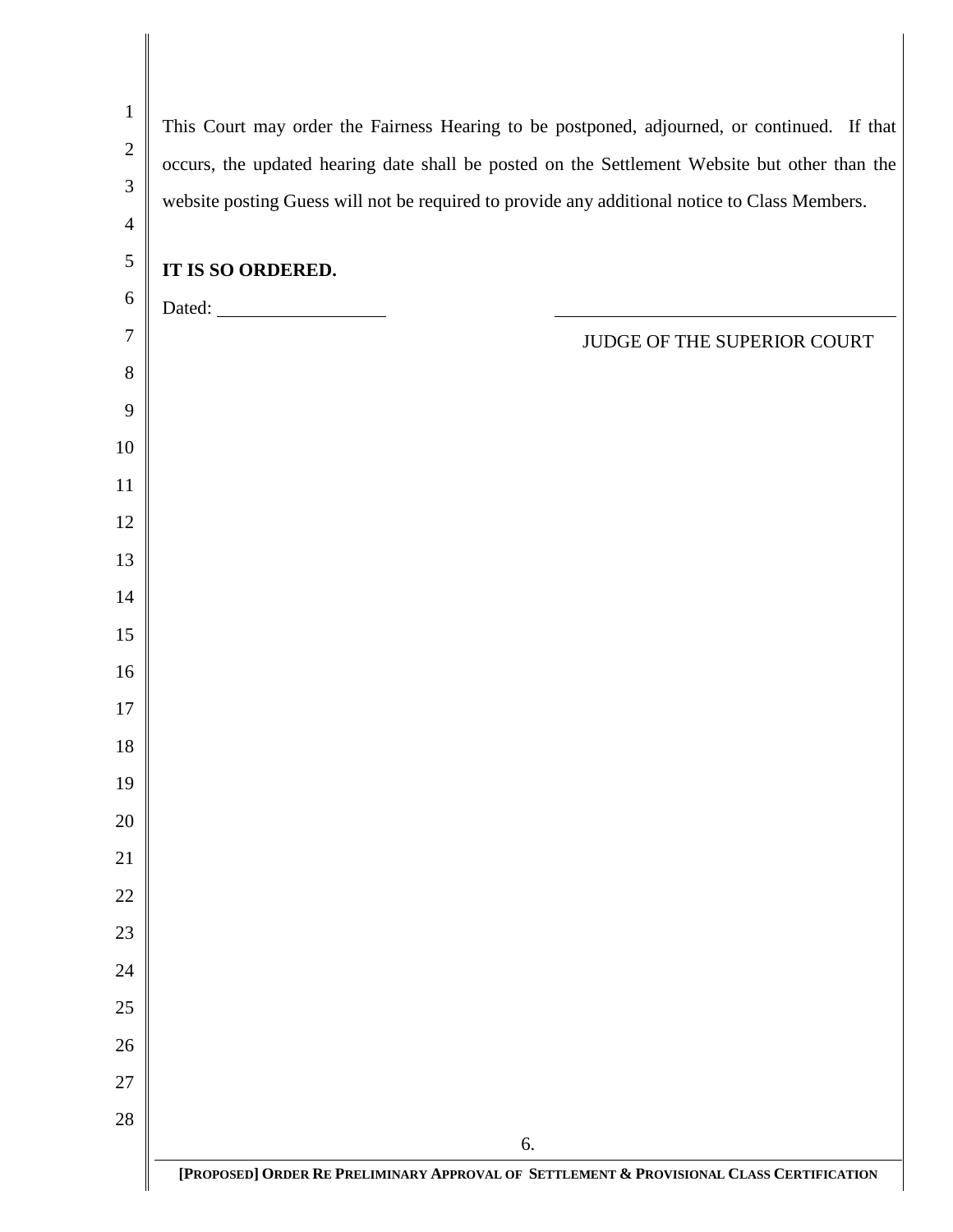| $\mathbf 1$      | This Court may order the Fairness Hearing to be postponed, adjourned, or continued. If that   |
|------------------|-----------------------------------------------------------------------------------------------|
| $\sqrt{2}$       | occurs, the updated hearing date shall be posted on the Settlement Website but other than the |
| 3                | website posting Guess will not be required to provide any additional notice to Class Members. |
| $\overline{4}$   |                                                                                               |
| $\overline{5}$   | IT IS SO ORDERED.                                                                             |
| $\boldsymbol{6}$ |                                                                                               |
| $\tau$           | JUDGE OF THE SUPERIOR COURT                                                                   |
| $8\,$            |                                                                                               |
| 9                |                                                                                               |
| 10               |                                                                                               |
| 11               |                                                                                               |
| 12               |                                                                                               |
| 13               |                                                                                               |
| 14               |                                                                                               |
| 15               |                                                                                               |
| 16               |                                                                                               |
| 17               |                                                                                               |
| $18\,$           |                                                                                               |
| 19               |                                                                                               |
| 20               |                                                                                               |
| 21               |                                                                                               |
| 22               |                                                                                               |
| 23               |                                                                                               |
| 24               |                                                                                               |
| 25               |                                                                                               |
| 26               |                                                                                               |
| 27               |                                                                                               |
| 28               |                                                                                               |
|                  | 6.                                                                                            |
|                  | [PROPOSED] ORDER RE PRELIMINARY APPROVAL OF SETTLEMENT & PROVISIONAL CLASS CERTIFICATION      |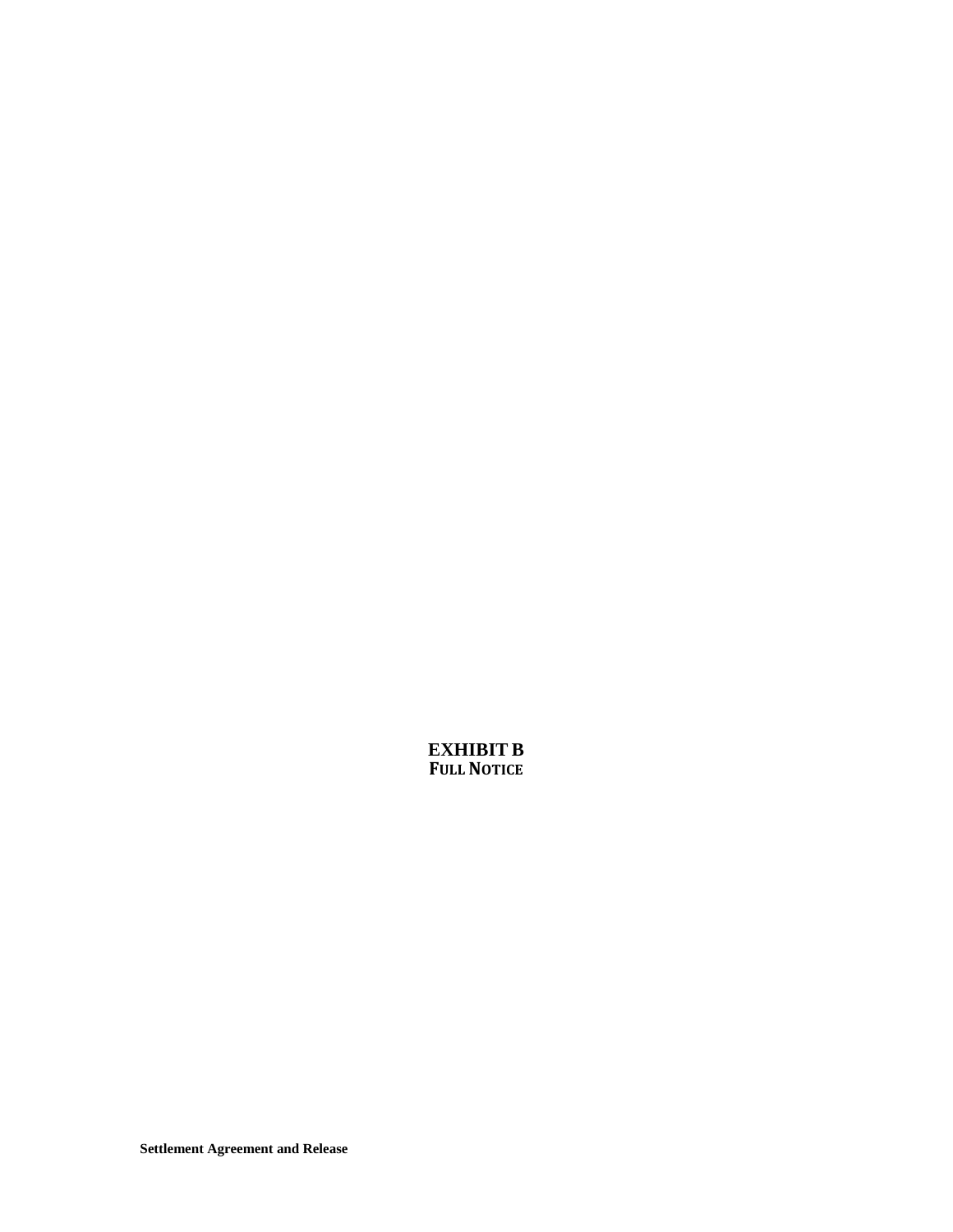**EXHIBIT B FULL NOTICE**

**Settlement Agreement and Release**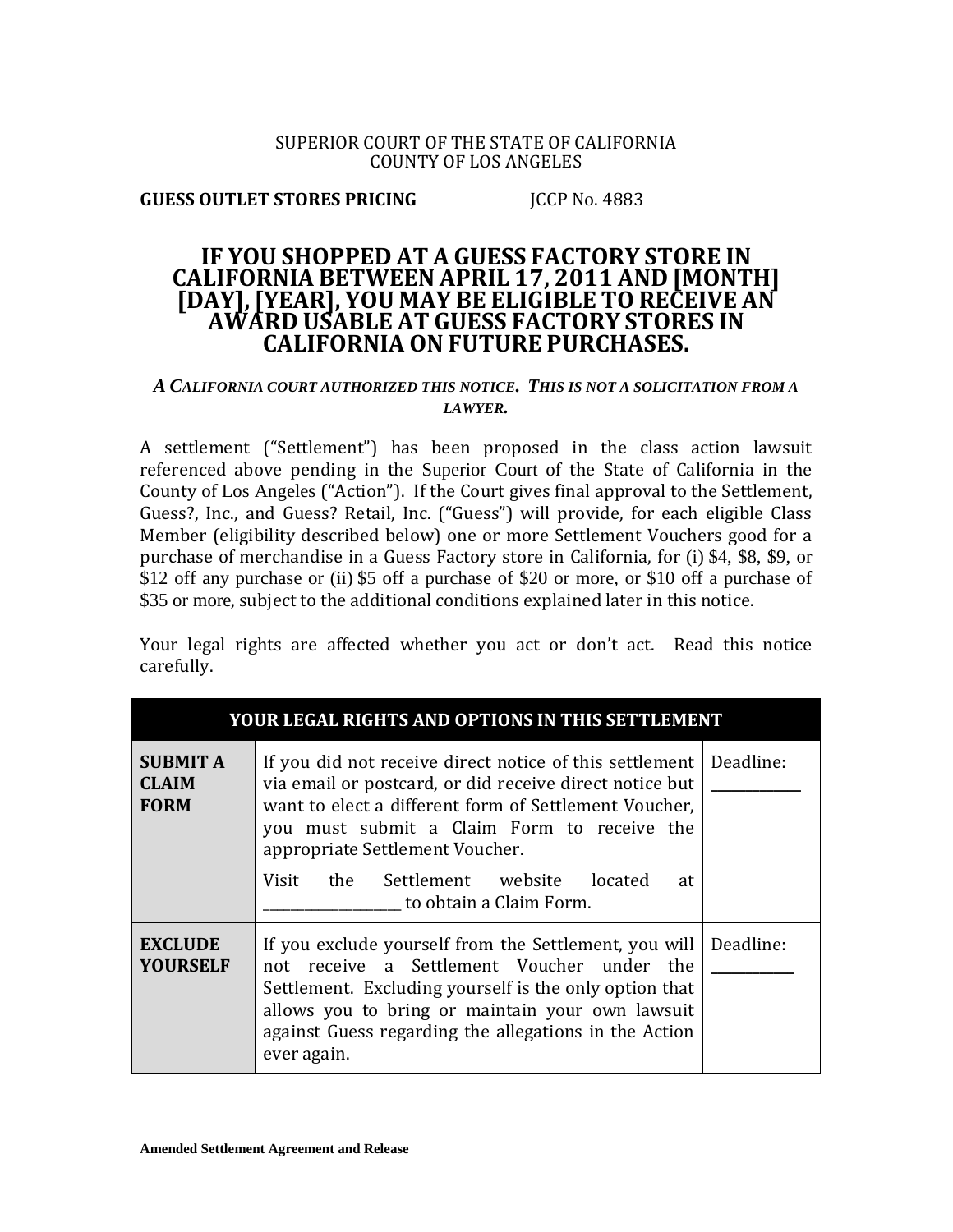#### SUPERIOR COURT OF THE STATE OF CALIFORNIA COUNTY OF LOS ANGELES

**GUESS OUTLET STORES PRICING FOR A 1983 PRICIP NO. 4883** 

# **IF YOU SHOPPED AT A GUESS FACTORY STORE IN CALIFORNIA BETWEEN APRIL 17, <sup>2011</sup> AND [MONTH] [DAY],[YEAR], YOU MAY BE ELIGIBLE TO RECEIVE AN AWARD USABLE AT GUESS FACTORY STORES IN CALIFORNIA ON FUTURE PURCHASES.**

### *A CALIFORNIA COURT AUTHORIZED THIS NOTICE. THIS IS NOT A SOLICITATION FROM A LAWYER.*

A settlement ("Settlement") has been proposed in the class action lawsuit referenced above pending in the Superior Court of the State of California in the County of Los Angeles ("Action"). If the Court gives final approval to the Settlement, Guess?, Inc., and Guess? Retail, Inc. ("Guess") will provide, for each eligible Class Member (eligibility described below) one or more Settlement Vouchers good for a purchase of merchandise in a Guess Factory store in California, for (i) \$4, \$8, \$9, or \$12 off any purchase or (ii) \$5 off a purchase of \$20 or more, or \$10 off a purchase of \$35 or more, subject to the additional conditions explained later in this notice.

Your legal rights are affected whether you act or don't act. Read this notice carefully.

| YOUR LEGAL RIGHTS AND OPTIONS IN THIS SETTLEMENT |                                                                                                                                                                                                                                                                                                                                                    |  |
|--------------------------------------------------|----------------------------------------------------------------------------------------------------------------------------------------------------------------------------------------------------------------------------------------------------------------------------------------------------------------------------------------------------|--|
| <b>SUBMIT A</b><br><b>CLAIM</b><br><b>FORM</b>   | If you did not receive direct notice of this settlement   Deadline:<br>via email or postcard, or did receive direct notice but<br>want to elect a different form of Settlement Voucher,<br>you must submit a Claim Form to receive the<br>appropriate Settlement Voucher.<br>Visit the Settlement website located<br>at<br>to obtain a Claim Form. |  |
| <b>EXCLUDE</b><br><b>YOURSELF</b>                | If you exclude yourself from the Settlement, you will<br>not receive a Settlement Voucher under the<br>Settlement. Excluding yourself is the only option that<br>allows you to bring or maintain your own lawsuit<br>against Guess regarding the allegations in the Action<br>ever again.                                                          |  |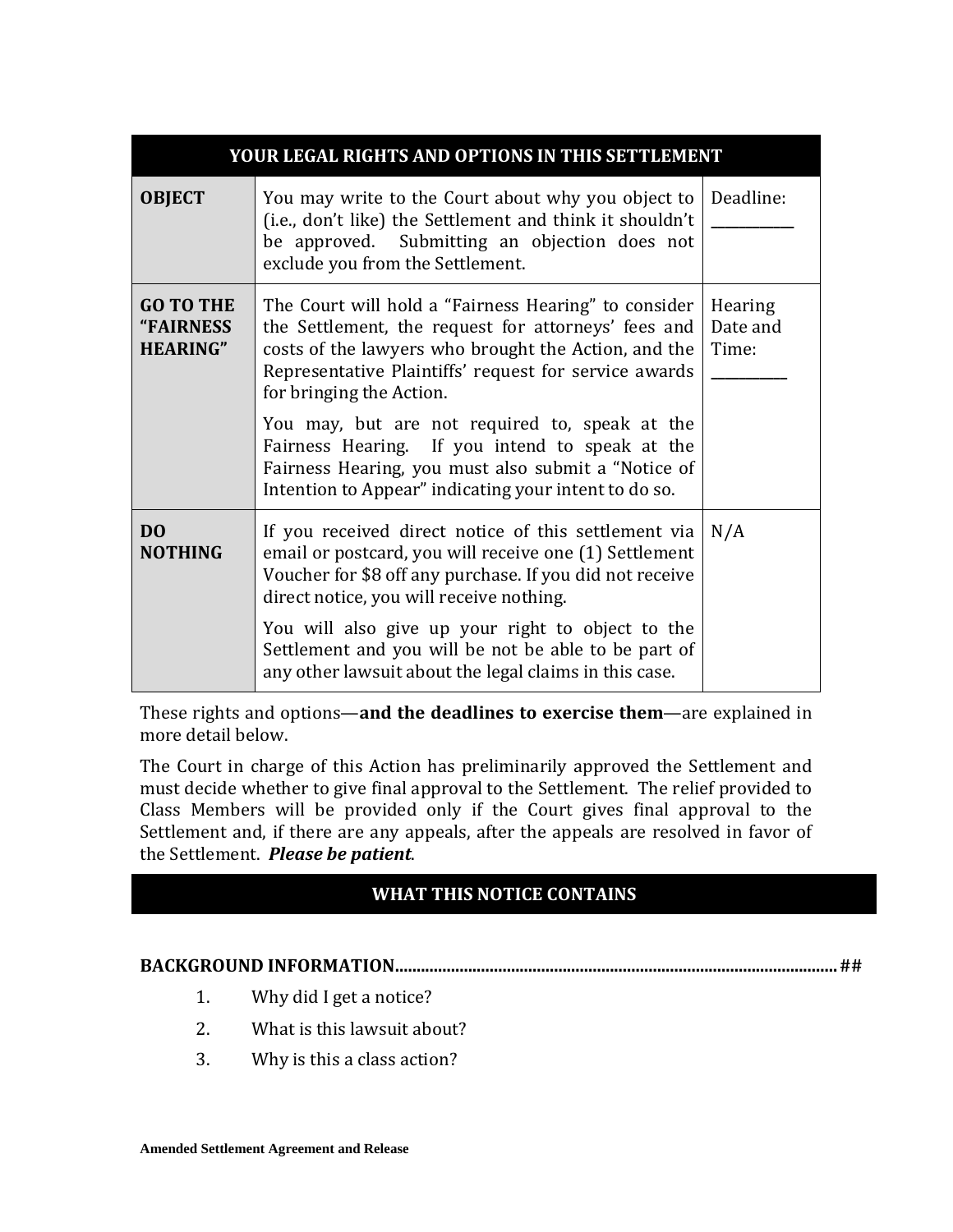| YOUR LEGAL RIGHTS AND OPTIONS IN THIS SETTLEMENT |                                                                                                                                                                                                                                                          |                                     |  |
|--------------------------------------------------|----------------------------------------------------------------------------------------------------------------------------------------------------------------------------------------------------------------------------------------------------------|-------------------------------------|--|
| <b>OBJECT</b>                                    | You may write to the Court about why you object to<br>(i.e., don't like) the Settlement and think it shouldn't<br>be approved. Submitting an objection does not<br>exclude you from the Settlement.                                                      | Deadline:                           |  |
| <b>GO TO THE</b><br>"FAIRNESS<br><b>HEARING"</b> | The Court will hold a "Fairness Hearing" to consider<br>the Settlement, the request for attorneys' fees and<br>costs of the lawyers who brought the Action, and the<br>Representative Plaintiffs' request for service awards<br>for bringing the Action. | <b>Hearing</b><br>Date and<br>Time: |  |
|                                                  | You may, but are not required to, speak at the<br>Fairness Hearing. If you intend to speak at the<br>Fairness Hearing, you must also submit a "Notice of<br>Intention to Appear" indicating your intent to do so.                                        |                                     |  |
| D <sub>0</sub><br><b>NOTHING</b>                 | If you received direct notice of this settlement via<br>email or postcard, you will receive one (1) Settlement<br>Voucher for \$8 off any purchase. If you did not receive<br>direct notice, you will receive nothing.                                   | N/A                                 |  |
|                                                  | You will also give up your right to object to the<br>Settlement and you will be not be able to be part of<br>any other lawsuit about the legal claims in this case.                                                                                      |                                     |  |

These rights and options—**and the deadlines to exercise them**—are explained in more detail below.

The Court in charge of this Action has preliminarily approved the Settlement and must decide whether to give final approval to the Settlement. The relief provided to Class Members will be provided only if the Court gives final approval to the Settlement and, if there are any appeals, after the appeals are resolved in favor of the Settlement. *Please be patient*.

## **WHAT THIS NOTICE CONTAINS**

## **BACKGROUND INFORMATION.......................................................................................................##**

- 1. Why did I get a notice?
- 2. What is this lawsuit about?
- 3. Why is this a class action?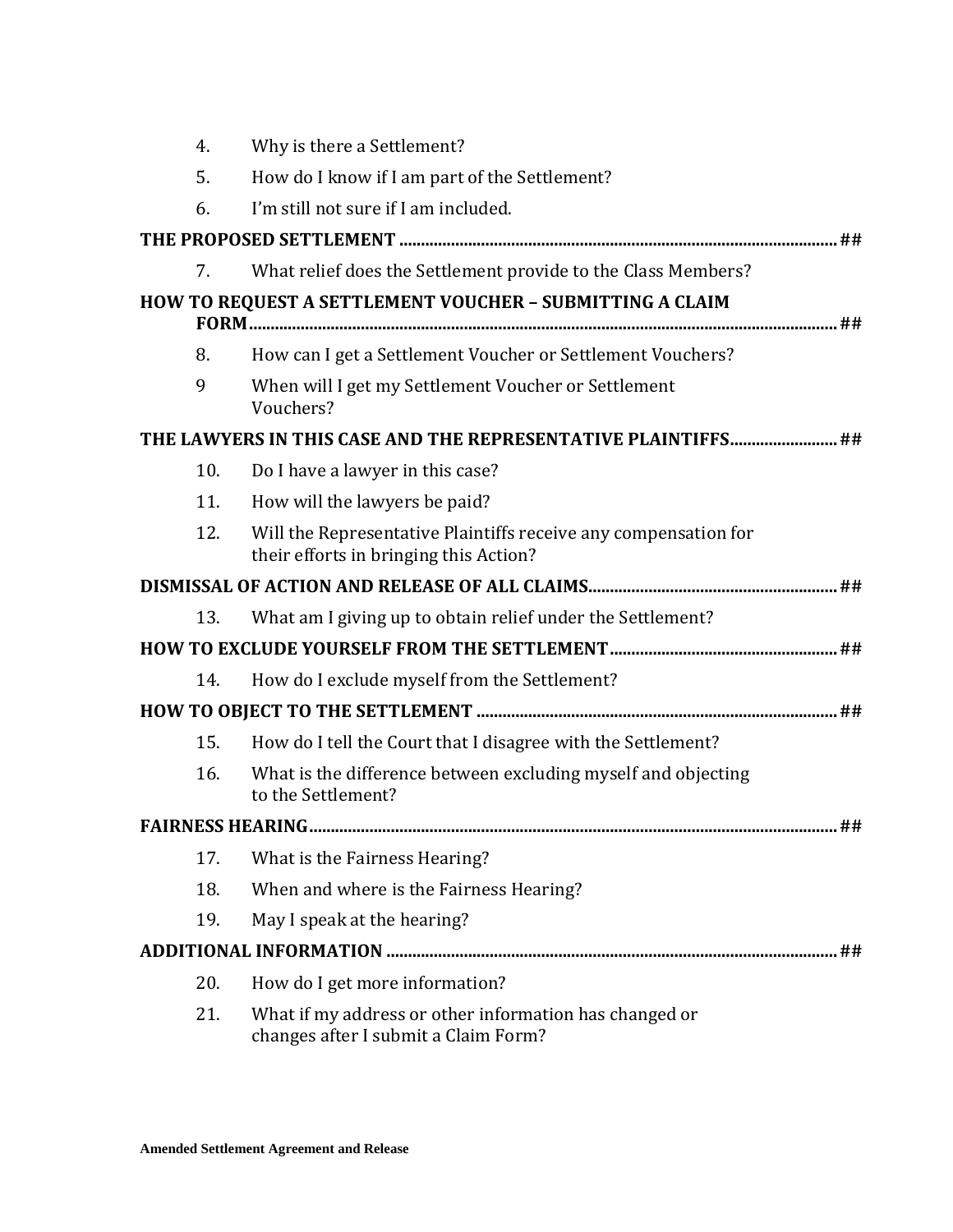| 4.  | Why is there a Settlement?                                                                                |
|-----|-----------------------------------------------------------------------------------------------------------|
| 5.  | How do I know if I am part of the Settlement?                                                             |
| 6.  | I'm still not sure if I am included.                                                                      |
|     |                                                                                                           |
| 7.  | What relief does the Settlement provide to the Class Members?                                             |
|     | HOW TO REQUEST A SETTLEMENT VOUCHER - SUBMITTING A CLAIM                                                  |
| 8.  | How can I get a Settlement Voucher or Settlement Vouchers?                                                |
| 9   | When will I get my Settlement Voucher or Settlement<br>Vouchers?                                          |
|     | THE LAWYERS IN THIS CASE AND THE REPRESENTATIVE PLAINTIFFS ##                                             |
| 10. | Do I have a lawyer in this case?                                                                          |
| 11. | How will the lawyers be paid?                                                                             |
| 12. | Will the Representative Plaintiffs receive any compensation for<br>their efforts in bringing this Action? |
|     |                                                                                                           |
| 13. | What am I giving up to obtain relief under the Settlement?                                                |
|     |                                                                                                           |
| 14. | How do I exclude myself from the Settlement?                                                              |
|     |                                                                                                           |
| 15. | How do I tell the Court that I disagree with the Settlement?                                              |
| 16. | What is the difference between excluding myself and objecting<br>to the Settlement?                       |
|     | <b>FAIRNESS HEARING</b><br>##                                                                             |
| 17. | What is the Fairness Hearing?                                                                             |
| 18. | When and where is the Fairness Hearing?                                                                   |
| 19. | May I speak at the hearing?                                                                               |
|     | ##                                                                                                        |
| 20. | How do I get more information?                                                                            |
| 21. | What if my address or other information has changed or<br>changes after I submit a Claim Form?            |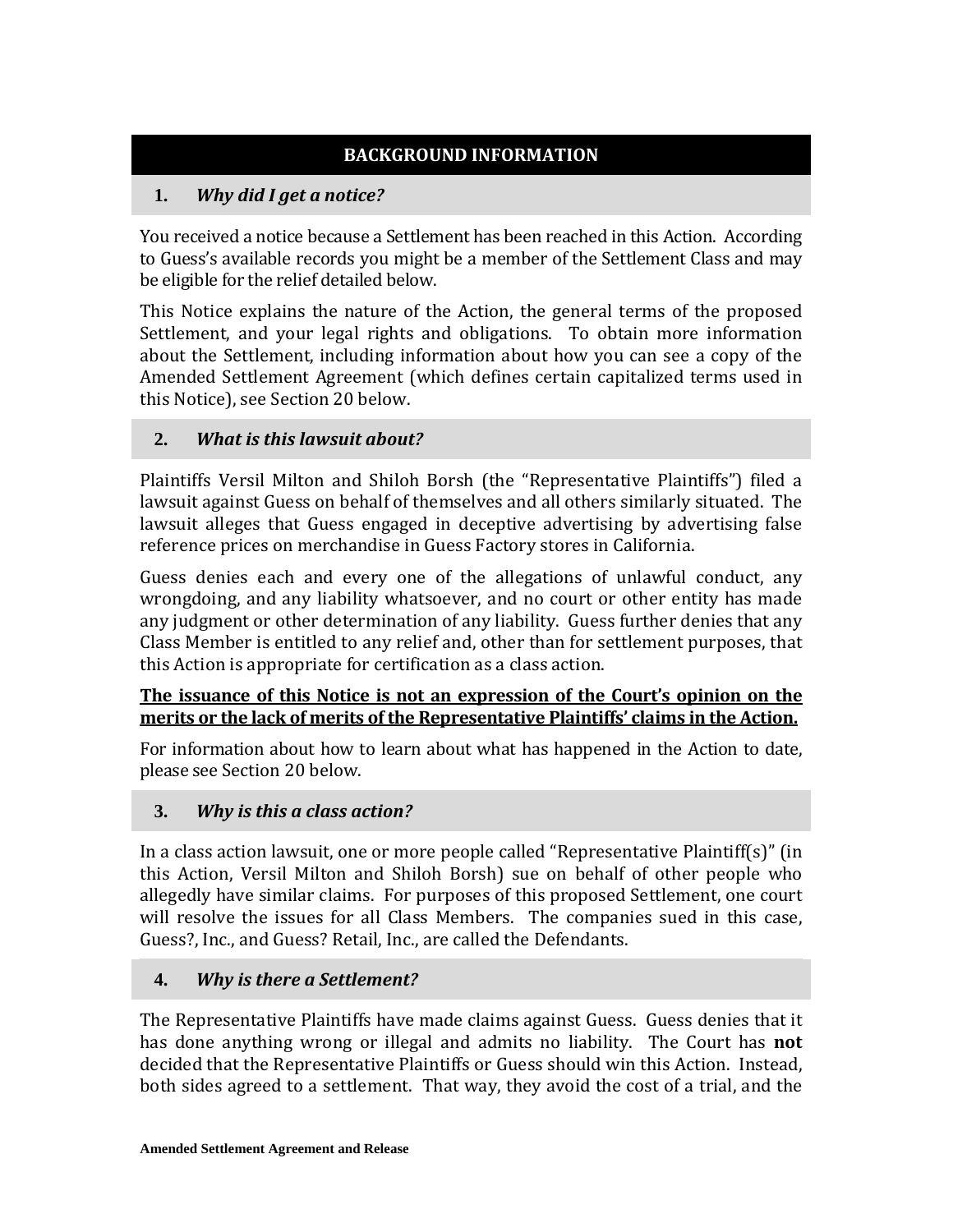## **I. BACKGROUND INFORMATION**

## **1.** *Why did I get a notice?*

You received a notice because a Settlement has been reached in this Action. According to Guess's available records you might be a member of the Settlement Class and may be eligible for the relief detailed below.

This Notice explains the nature of the Action, the general terms of the proposed Settlement, and your legal rights and obligations. To obtain more information about the Settlement, including information about how you can see a copy of the Amended Settlement Agreement (which defines certain capitalized terms used in this Notice), see Section [20](#page-35-0) below.

## **2.** *What is this lawsuit about?*

Plaintiffs Versil Milton and Shiloh Borsh (the "Representative Plaintiffs") filed a lawsuit against Guess on behalf of themselves and all others similarly situated. The lawsuit alleges that Guess engaged in deceptive advertising by advertising false reference prices on merchandise in Guess Factory stores in California.

Guess denies each and every one of the allegations of unlawful conduct, any wrongdoing, and any liability whatsoever, and no court or other entity has made any judgment or other determination of any liability. Guess further denies that any Class Member is entitled to any relief and, other than for settlement purposes, that this Action is appropriate for certification as a class action.

## **The issuance of this Notice is not an expression of the Court's opinion on the merits or the lack of merits of the Representative Plaintiffs' claims in the Action.**

For information about how to learn about what has happened in the Action to date, please see Section [20](#page-35-0) below.

## **3.** *Why is this a class action?*

In a class action lawsuit, one or more people called "Representative Plaintiff(s)" (in this Action, Versil Milton and Shiloh Borsh) sue on behalf of other people who allegedly have similar claims. For purposes of this proposed Settlement, one court will resolve the issues for all Class Members. The companies sued in this case, Guess?, Inc., and Guess? Retail, Inc., are called the Defendants.

## **4.** *Why is there a Settlement?*

The Representative Plaintiffs have made claims against Guess. Guess denies that it has done anything wrong or illegal and admits no liability. The Court has **not** decided that the Representative Plaintiffs or Guess should win this Action. Instead, both sides agreed to a settlement. That way, they avoid the cost of a trial, and the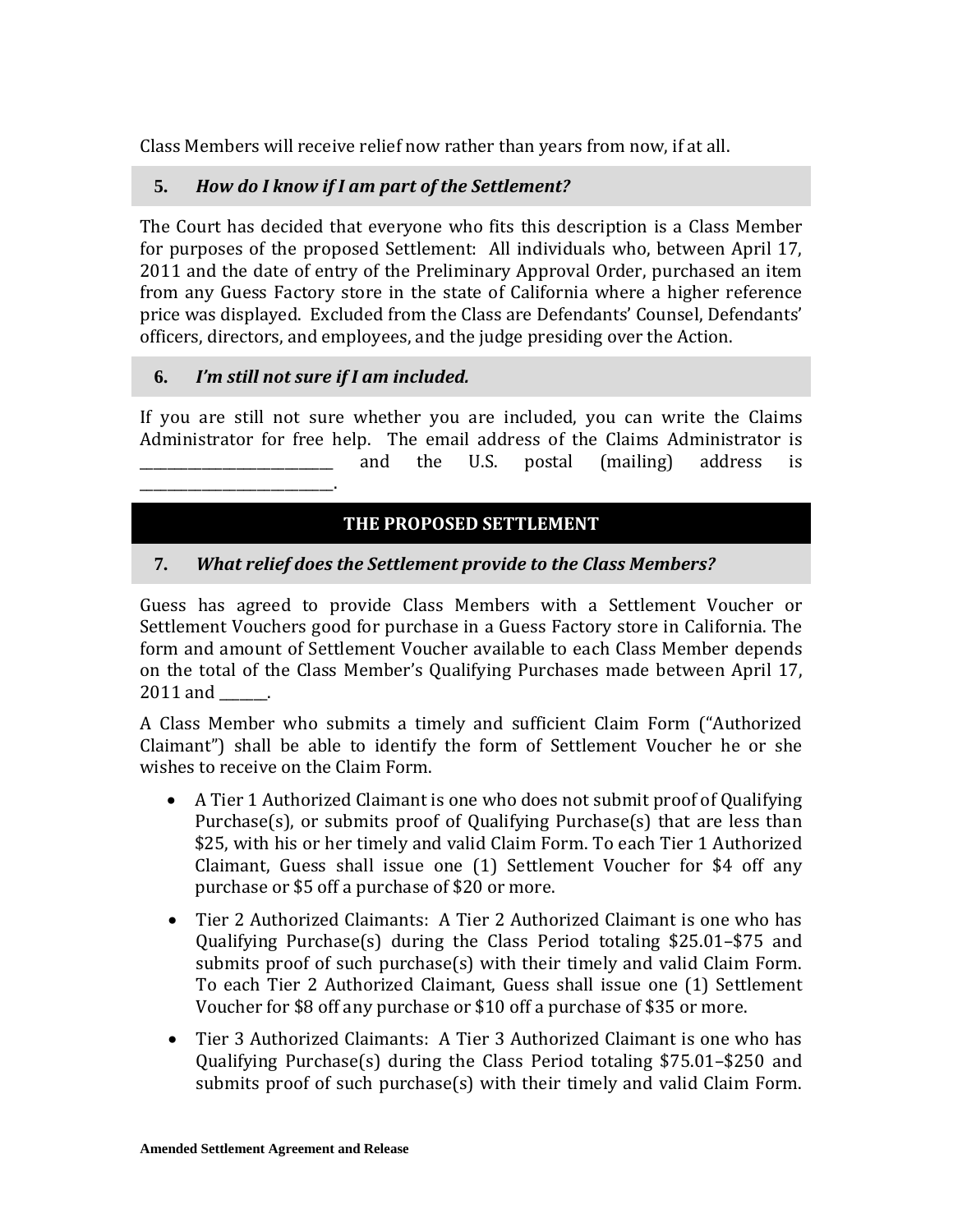Class Members will receive relief now rather than years from now, if at all.

## **5.** *How do I know if I am part of the Settlement?*

The Court has decided that everyone who fits this description is a Class Member for purposes of the proposed Settlement: All individuals who, between April 17, 2011 and the date of entry of the Preliminary Approval Order, purchased an item from any Guess Factory store in the state of California where a higher reference price was displayed. Excluded from the Class are Defendants' Counsel, Defendants' officers, directors, and employees, and the judge presiding over the Action.

## **6.** *I'm still not sure if I am included.*

\_\_\_\_\_\_\_\_\_\_\_\_\_\_\_\_\_\_\_\_\_\_\_\_\_\_\_\_.

If you are still not sure whether you are included, you can write the Claims Administrator for free help. The email address of the Claims Administrator is<br>and the U.S. postal (mailing) address is \_\_\_\_\_\_\_\_\_\_\_\_\_\_\_\_\_\_\_\_\_\_\_\_\_\_\_\_ and the U.S. postal (mailing) address is

## **II. THE PROPOSED SETTLEMENT**

## **7.** *What relief does the Settlement provide to the Class Members?*

Guess has agreed to provide Class Members with a Settlement Voucher or Settlement Vouchers good for purchase in a Guess Factory store in California. The form and amount of Settlement Voucher available to each Class Member depends on the total of the Class Member's Qualifying Purchases made between April 17, 2011 and \_\_\_\_\_\_.

A Class Member who submits a timely and sufficient Claim Form ("Authorized Claimant") shall be able to identify the form of Settlement Voucher he or she wishes to receive on the Claim Form.

- A Tier 1 Authorized Claimant is one who does not submit proof of Qualifying Purchase(s), or submits proof of Qualifying Purchase(s) that are less than \$25, with his or her timely and valid Claim Form. To each Tier 1 Authorized Claimant, Guess shall issue one (1) Settlement Voucher for \$4 off any purchase or \$5 off a purchase of \$20 or more.
- Tier 2 Authorized Claimants: A Tier 2 Authorized Claimant is one who has Qualifying Purchase(s) during the Class Period totaling \$25.01–\$75 and submits proof of such purchase(s) with their timely and valid Claim Form. To each Tier 2 Authorized Claimant, Guess shall issue one (1) Settlement Voucher for \$8 off any purchase or \$10 off a purchase of \$35 or more.
- Tier 3 Authorized Claimants: A Tier 3 Authorized Claimant is one who has Qualifying Purchase(s) during the Class Period totaling \$75.01–\$250 and submits proof of such purchase(s) with their timely and valid Claim Form.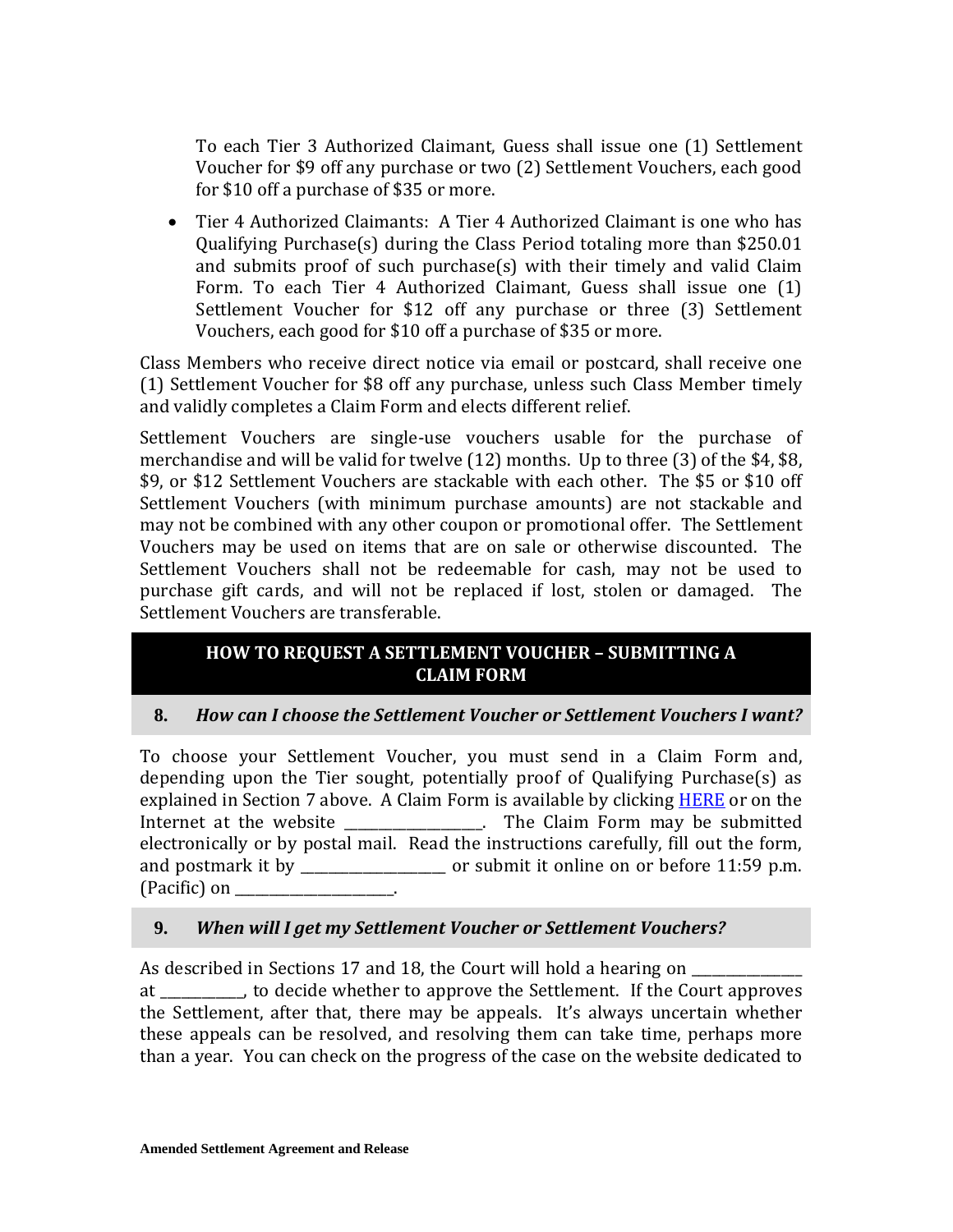To each Tier 3 Authorized Claimant, Guess shall issue one (1) Settlement Voucher for \$9 off any purchase or two (2) Settlement Vouchers, each good for \$10 off a purchase of \$35 or more.

• Tier 4 Authorized Claimants: A Tier 4 Authorized Claimant is one who has Qualifying Purchase(s) during the Class Period totaling more than \$250.01 and submits proof of such purchase(s) with their timely and valid Claim Form. To each Tier 4 Authorized Claimant, Guess shall issue one (1) Settlement Voucher for \$12 off any purchase or three (3) Settlement Vouchers, each good for \$10 off a purchase of \$35 or more.

Class Members who receive direct notice via email or postcard, shall receive one (1) Settlement Voucher for \$8 off any purchase, unless such Class Member timely and validly completes a Claim Form and elects different relief.

Settlement Vouchers are single-use vouchers usable for the purchase of merchandise and will be valid for twelve (12) months. Up to three (3) of the \$4, \$8, \$9, or \$12 Settlement Vouchers are stackable with each other. The \$5 or \$10 off Settlement Vouchers (with minimum purchase amounts) are not stackable and may not be combined with any other coupon or promotional offer. The Settlement Vouchers may be used on items that are on sale or otherwise discounted. The Settlement Vouchers shall not be redeemable for cash, may not be used to purchase gift cards, and will not be replaced if lost, stolen or damaged. The Settlement Vouchers are transferable.

## **III. HOW TO REQUEST A SETTLEMENT VOUCHER – SUBMITTING A CLAIM FORM**

## **8.** *How can I choose the Settlement Voucher or Settlement Vouchers I want?*

To choose your Settlement Voucher, you must send in a Claim Form and, depending upon the Tier sought, potentially proof of Qualifying Purchase(s) as explained in Section 7 above. A Claim Form is available by clicking HERE or on the Internet at the website **Example 2.1** The Claim Form may be submitted electronically or by postal mail. Read the instructions carefully, fill out the form, and postmark it by example or submit it online on or before 11:59 p.m.  $(Pacific)$  on

## **9.** *When will I get my Settlement Voucher or Settlement Vouchers?*

As described in Sections [17](#page-34-0) and 18, the Court will hold a hearing on at \_\_\_\_\_\_\_\_\_\_\_\_, to decide whether to approve the Settlement. If the Court approves the Settlement, after that, there may be appeals. It's always uncertain whether these appeals can be resolved, and resolving them can take time, perhaps more than a year. You can check on the progress of the case on the website dedicated to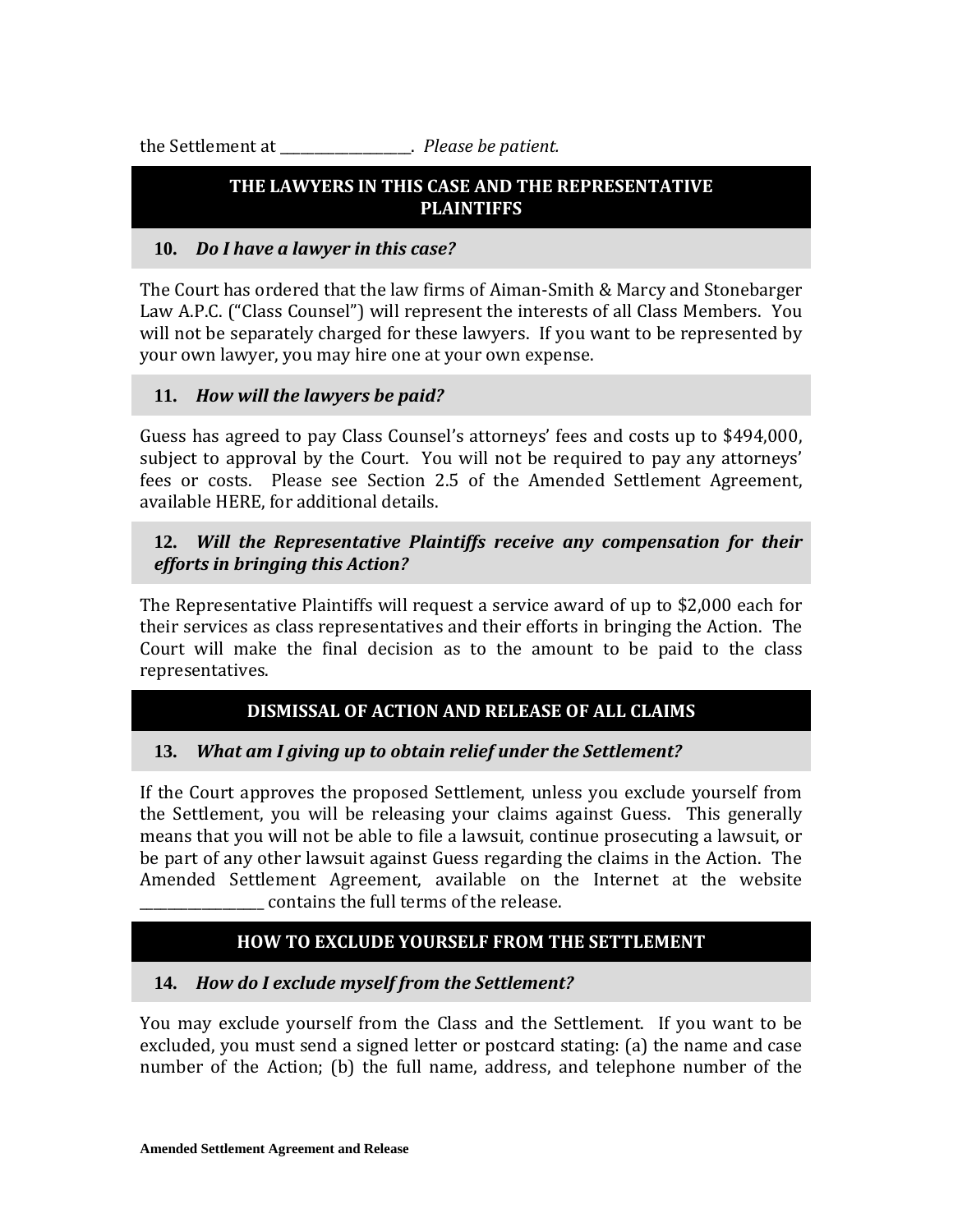the Settlement at \_\_\_\_\_\_\_\_\_\_\_\_\_\_\_\_\_\_\_. *Please be patient.*

## **IV. THE LAWYERS IN THIS CASE AND THE REPRESENTATIVE PLAINTIFFS**

## **10.** *Do I have a lawyer in this case?*

The Court has ordered that the law firms of Aiman-Smith & Marcy and Stonebarger Law A.P.C. ("Class Counsel") will represent the interests of all Class Members. You will not be separately charged for these lawyers. If you want to be represented by your own lawyer, you may hire one at your own expense.

## **11.** *How will the lawyers be paid?*

Guess has agreed to pay Class Counsel's attorneys' fees and costs up to \$494,000, subject to approval by the Court. You will not be required to pay any attorneys' fees or costs. Please see Section 2.5 of the Amended Settlement Agreement, available HERE, for additional details.

## **12.** *Will the Representative Plaintiffs receive any compensation for their efforts in bringing this Action?*

The Representative Plaintiffs will request a service award of up to \$2,000 each for their services as class representatives and their efforts in bringing the Action. The Court will make the final decision as to the amount to be paid to the class representatives.

## **V. DISMISSAL OF ACTION AND RELEASE OF ALL CLAIMS**

## **13.** *What am I giving up to obtain relief under the Settlement?*

If the Court approves the proposed Settlement, unless you exclude yourself from the Settlement, you will be releasing your claims against Guess. This generally means that you will not be able to file a lawsuit, continue prosecuting a lawsuit, or be part of any other lawsuit against Guess regarding the claims in the Action. The Amended Settlement Agreement, available on the Internet at the website \_\_\_\_\_\_\_\_\_\_\_\_\_\_\_\_\_\_ contains the full terms of the release.

## **VI. HOW TO EXCLUDE YOURSELF FROM THE SETTLEMENT**

## **14.** *How do I exclude myself from the Settlement?*

You may exclude yourself from the Class and the Settlement. If you want to be excluded, you must send a signed letter or postcard stating: (a) the name and case number of the Action; (b) the full name, address, and telephone number of the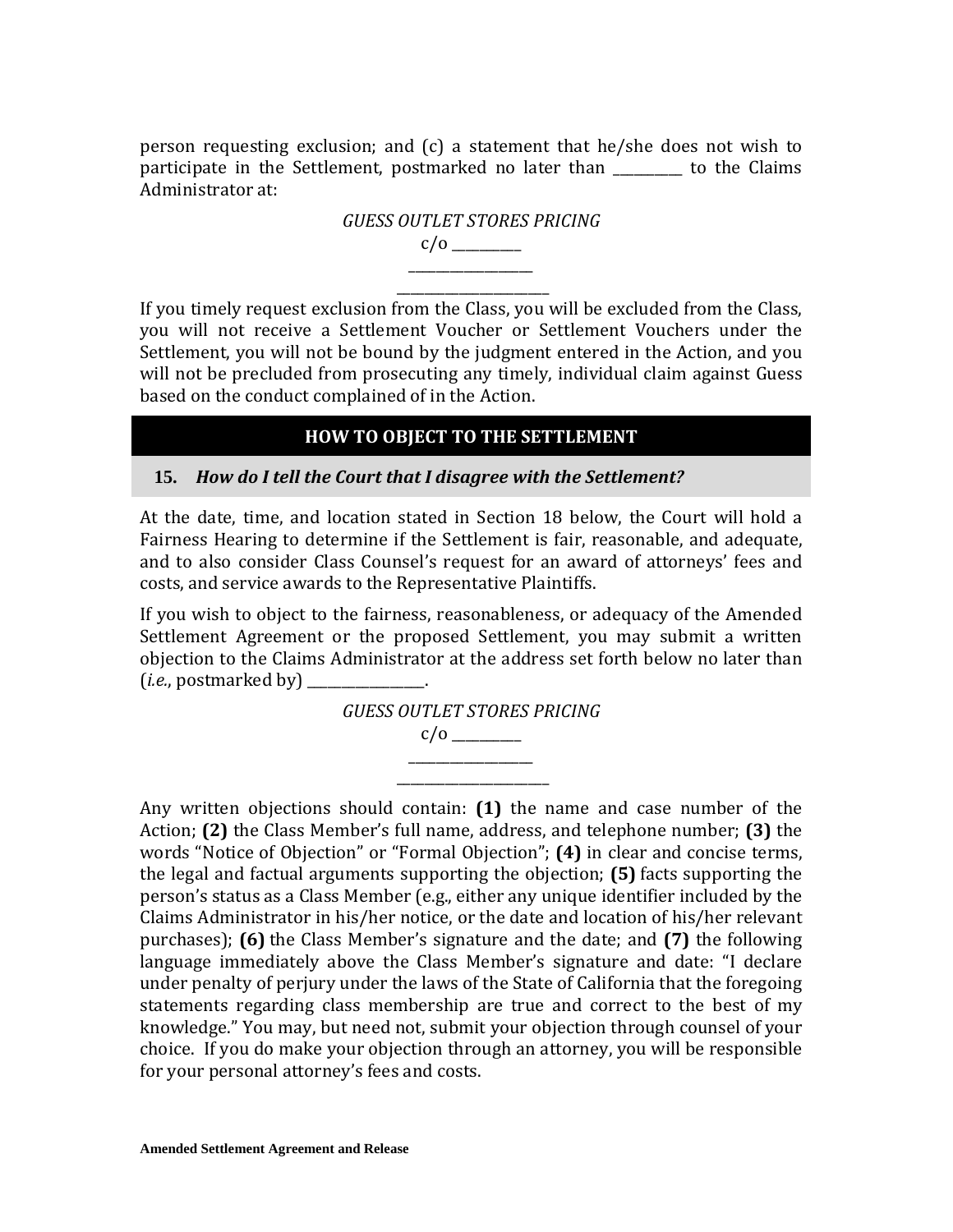person requesting exclusion; and (c) a statement that he/she does not wish to participate in the Settlement, postmarked no later than \_\_\_\_\_\_\_\_\_\_ to the Claims Administrator at:



\_\_\_\_\_\_\_\_\_\_\_\_\_\_\_\_\_\_\_\_\_\_ If you timely request exclusion from the Class, you will be excluded from the Class, you will not receive a Settlement Voucher or Settlement Vouchers under the Settlement, you will not be bound by the judgment entered in the Action, and you will not be precluded from prosecuting any timely, individual claim against Guess based on the conduct complained of in the Action.

## **VII. HOW TO OBJECT TO THE SETTLEMENT**

### **15.** *How do I tell the Court that I disagree with the Settlement?*

At the date, time, and location stated in Section [18](#page-34-1) below, the Court will hold a Fairness Hearing to determine if the Settlement is fair, reasonable, and adequate, and to also consider Class Counsel's request for an award of attorneys' fees and costs, and service awards to the Representative Plaintiffs.

If you wish to object to the fairness, reasonableness, or adequacy of the Amended Settlement Agreement or the proposed Settlement, you may submit a written objection to the Claims Administrator at the address set forth below no later than (*i.e.*, postmarked by)



Any written objections should contain: **(1)** the name and case number of the Action; **(2)** the Class Member's full name, address, and telephone number; **(3)** the words "Notice of Objection" or "Formal Objection"; **(4)** in clear and concise terms, the legal and factual arguments supporting the objection; **(5)** facts supporting the person's status as a Class Member (e.g., either any unique identifier included by the Claims Administrator in his/her notice, or the date and location of his/her relevant purchases); **(6)** the Class Member's signature and the date; and **(7)** the following language immediately above the Class Member's signature and date: "I declare under penalty of perjury under the laws of the State of California that the foregoing statements regarding class membership are true and correct to the best of my knowledge." You may, but need not, submit your objection through counsel of your choice. If you do make your objection through an attorney, you will be responsible for your personal attorney's fees and costs.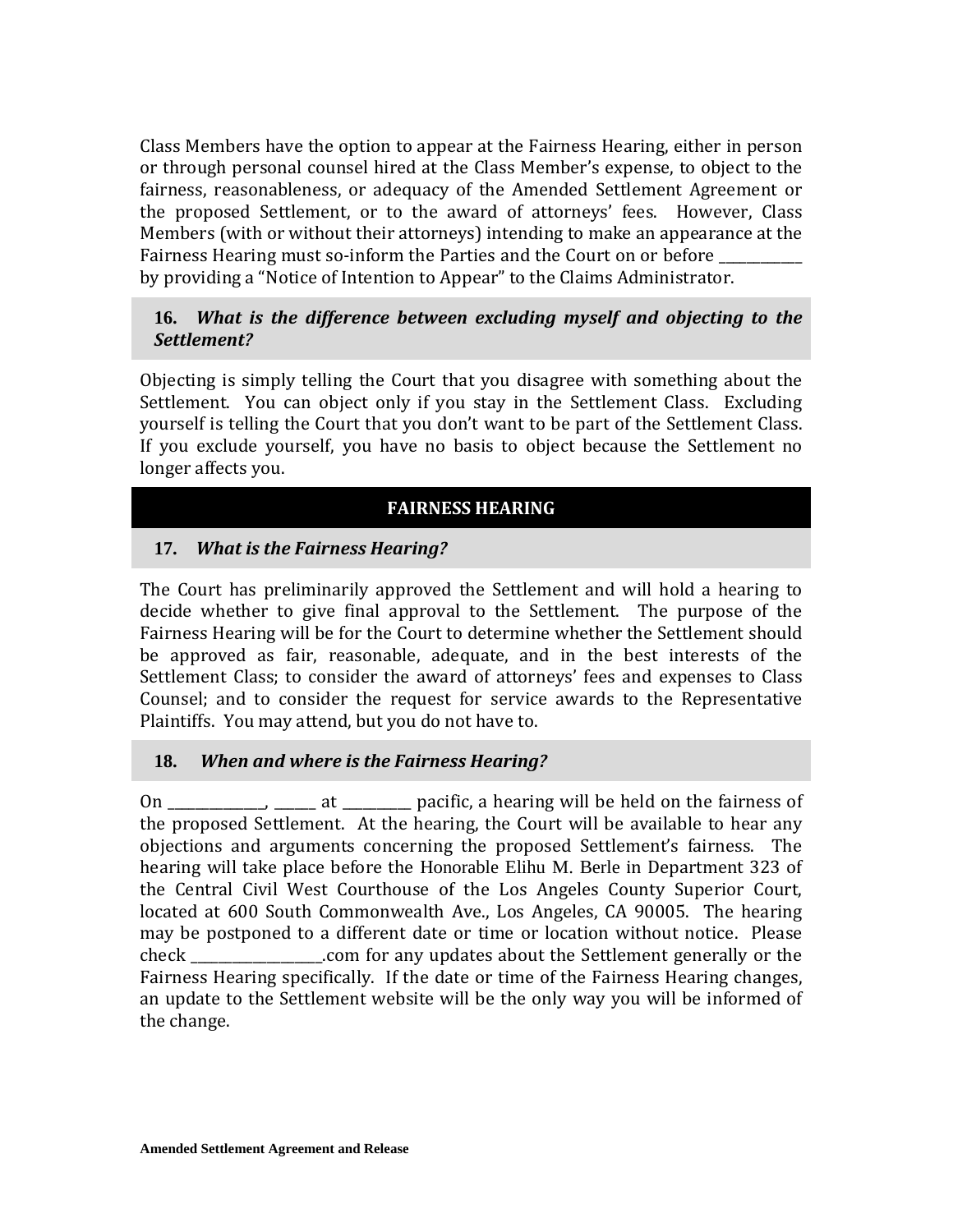Class Members have the option to appear at the Fairness Hearing, either in person or through personal counsel hired at the Class Member's expense, to object to the fairness, reasonableness, or adequacy of the Amended Settlement Agreement or the proposed Settlement, or to the award of attorneys' fees. However, Class Members (with or without their attorneys) intending to make an appearance at the Fairness Hearing must so-inform the Parties and the Court on or before by providing a "Notice of Intention to Appear" to the Claims Administrator.

### **16.** *What is the difference between excluding myself and objecting to the Settlement?*

Objecting is simply telling the Court that you disagree with something about the Settlement. You can object only if you stay in the Settlement Class. Excluding yourself is telling the Court that you don't want to be part of the Settlement Class. If you exclude yourself, you have no basis to object because the Settlement no longer affects you.

## **VIII. FAIRNESS HEARING**

## <span id="page-34-0"></span>**17.** *What is the Fairness Hearing?*

The Court has preliminarily approved the Settlement and will hold a hearing to decide whether to give final approval to the Settlement. The purpose of the Fairness Hearing will be for the Court to determine whether the Settlement should be approved as fair, reasonable, adequate, and in the best interests of the Settlement Class; to consider the award of attorneys' fees and expenses to Class Counsel; and to consider the request for service awards to the Representative Plaintiffs. You may attend, but you do not have to.

## <span id="page-34-1"></span>**18.** *When and where is the Fairness Hearing?*

On \_\_\_\_\_\_\_\_\_\_\_\_, \_\_\_\_\_\_\_ at \_\_\_\_\_\_\_\_\_ pacific, a hearing will be held on the fairness of the proposed Settlement. At the hearing, the Court will be available to hear any objections and arguments concerning the proposed Settlement's fairness. The hearing will take place before the Honorable Elihu M. Berle in Department 323 of the Central Civil West Courthouse of the Los Angeles County Superior Court, located at 600 South Commonwealth Ave., Los Angeles, CA 90005. The hearing may be postponed to a different date or time or location without notice. Please check \_\_\_\_\_\_\_\_\_\_\_\_\_\_\_\_\_\_\_.com for any updates about the Settlement generally or the Fairness Hearing specifically. If the date or time of the Fairness Hearing changes, an update to the Settlement website will be the only way you will be informed of the change.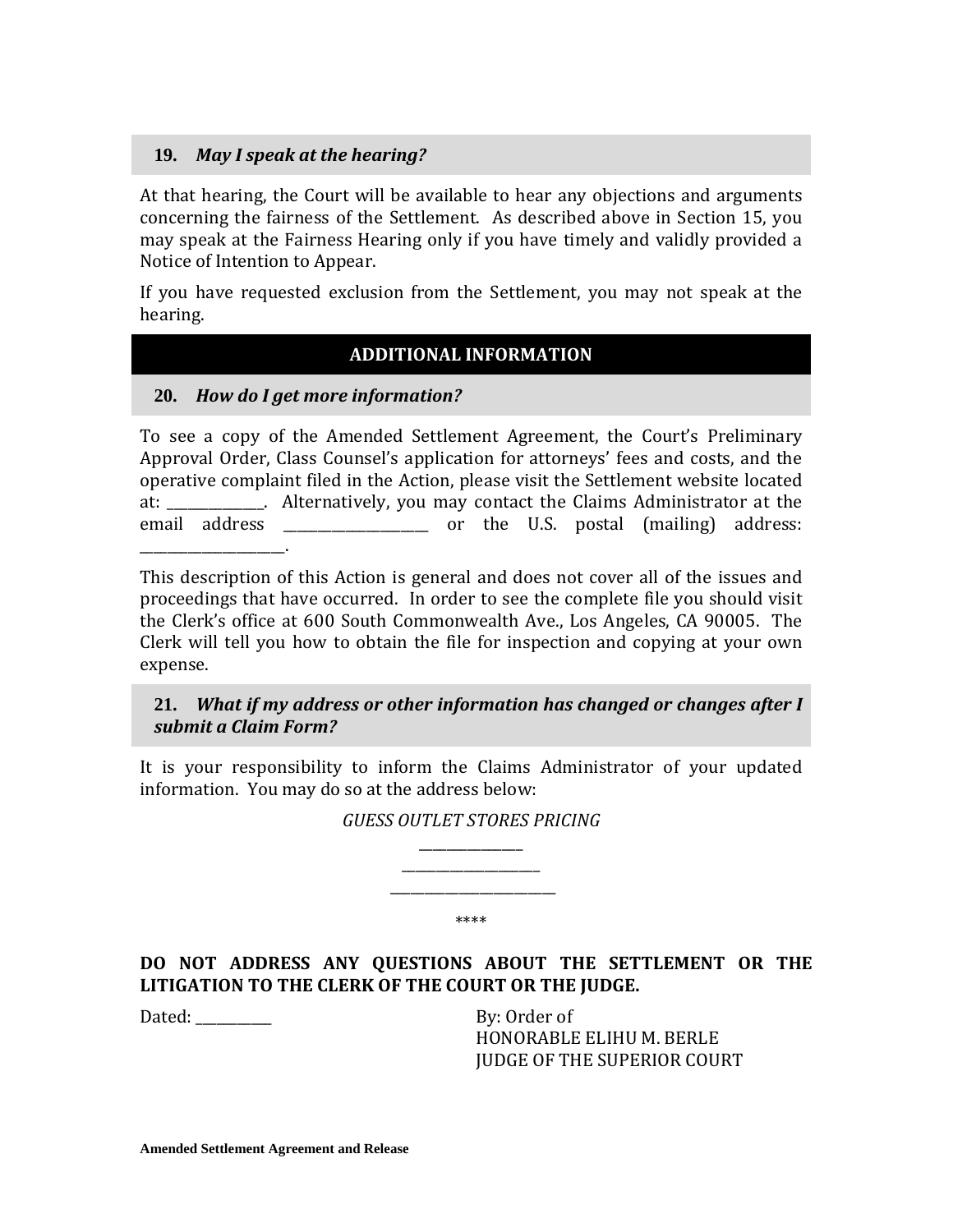### **19.** *May I speak at the hearing?*

At that hearing, the Court will be available to hear any objections and arguments concerning the fairness of the Settlement. As described above in Section 15, you may speak at the Fairness Hearing only if you have timely and validly provided a Notice of Intention to Appear.

If you have requested exclusion from the Settlement, you may not speak at the hearing.

## **IX. ADDITIONAL INFORMATION**

### <span id="page-35-0"></span>**20.** *How do I get more information?*

To see a copy of the Amended Settlement Agreement, the Court's Preliminary Approval Order, Class Counsel's application for attorneys' fees and costs, and the operative complaint filed in the Action, please visit the Settlement website located at: \_\_\_\_\_\_\_\_\_\_\_\_\_\_. Alternatively, you may contact the Claims Administrator at the email address \_\_\_\_\_\_\_\_\_\_\_\_\_\_\_\_\_\_\_ or the U.S. postal (mailing) address: \_\_\_\_\_\_\_\_\_\_\_\_\_\_\_\_\_\_\_\_\_.

This description of this Action is general and does not cover all of the issues and proceedings that have occurred. In order to see the complete file you should visit the Clerk's office at 600 South Commonwealth Ave., Los Angeles, CA 90005. The Clerk will tell you how to obtain the file for inspection and copying at your own expense.

### **21.** *What if my address or other information has changed or changes after I submit a Claim Form?*

It is your responsibility to inform the Claims Administrator of your updated information. You may do so at the address below:

> *GUESS OUTLET STORES PRICING* \_\_\_\_\_\_\_\_\_\_\_\_\_\_\_

> > \_\_\_\_\_\_\_\_\_\_\_\_\_\_\_\_\_\_\_\_

\_\_\_\_\_\_\_\_\_\_\_\_\_\_\_\_\_\_\_\_\_\_\_\_ \*\*\*\*

**DO NOT ADDRESS ANY QUESTIONS ABOUT THE SETTLEMENT OR THE LITIGATION TO THE CLERK OF THE COURT OR THE JUDGE.** 

Dated: By: Order of

HONORABLE ELIHU M. BERLE JUDGE OF THE SUPERIOR COURT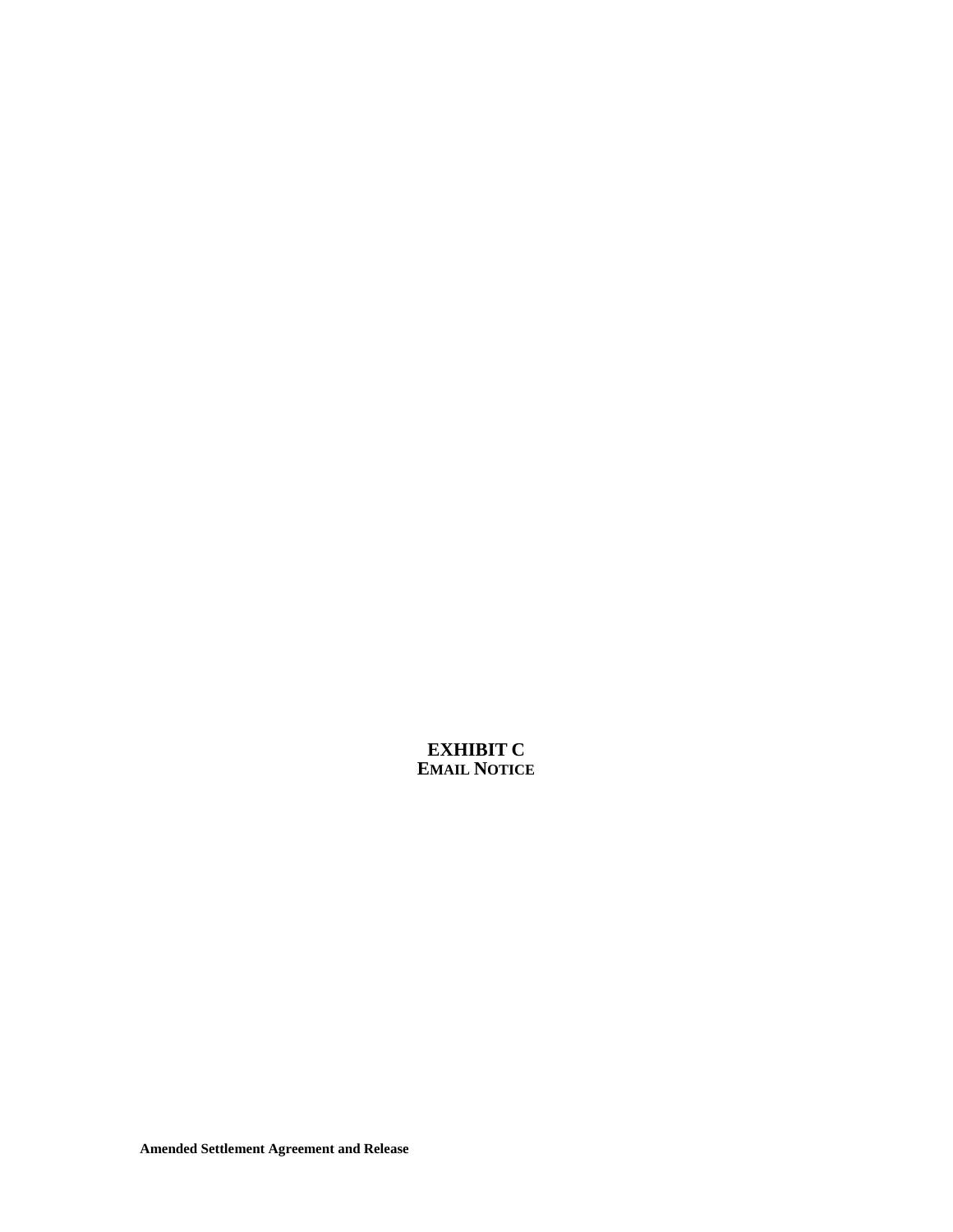**EXHIBIT C EMAIL NOTICE**

**Amended Settlement Agreement and Release**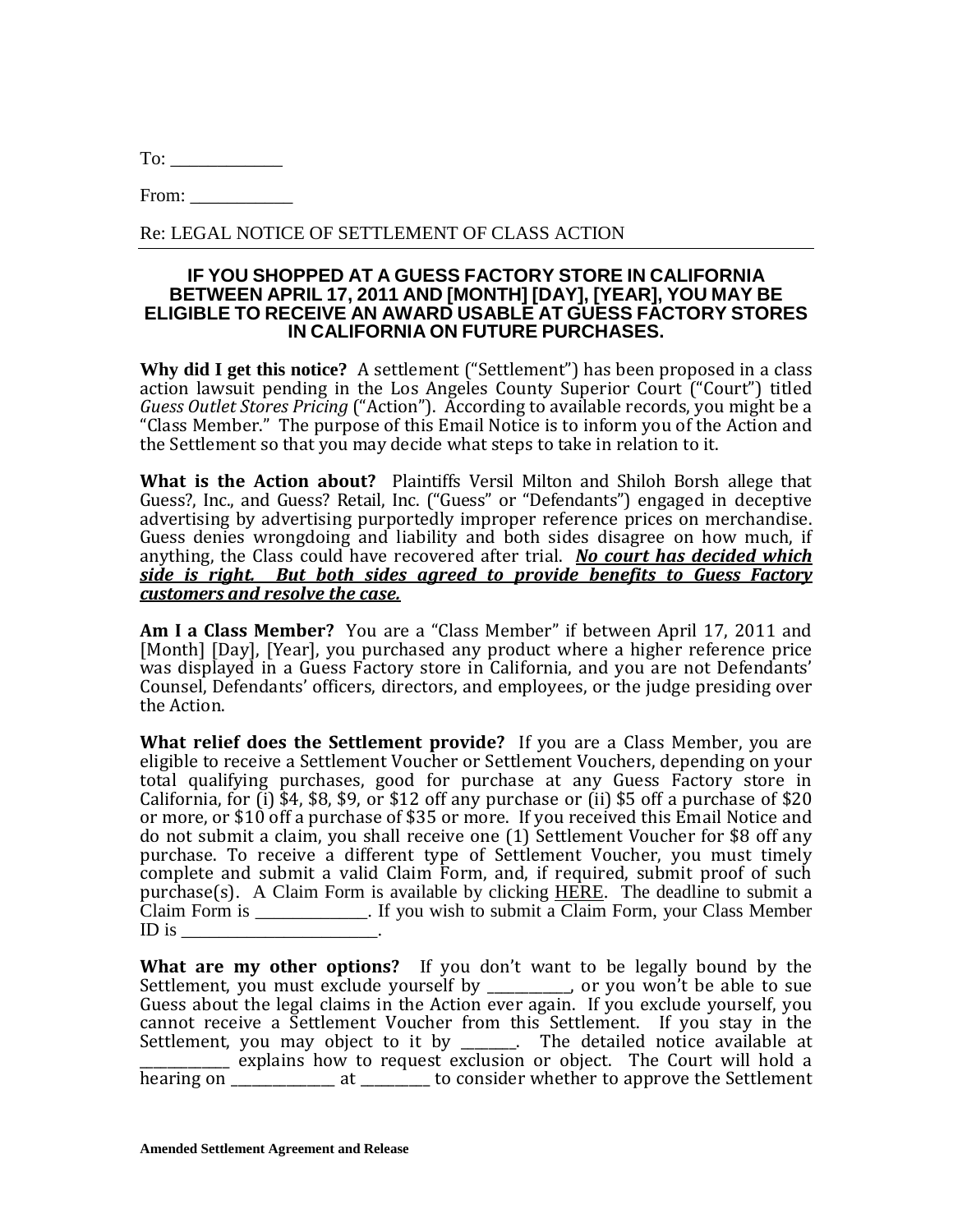From:

Re: LEGAL NOTICE OF SETTLEMENT OF CLASS ACTION

#### **IF YOU SHOPPED AT A GUESS FACTORY STORE IN CALIFORNIA BETWEEN APRIL 17, 2011 AND [MONTH] [DAY], [YEAR], YOU MAY BE ELIGIBLE TO RECEIVE AN AWARD USABLE AT GUESS FACTORY STORES IN CALIFORNIA ON FUTURE PURCHASES.**

**Why did I get this notice?** A settlement ("Settlement") has been proposed in a class action lawsuit pending in the Los Angeles County Superior Court ("Court") titled *Guess Outlet Stores Pricing* ("Action").According to available records, you might be a "Class Member." The purpose of this Email Notice is to inform you of the Action and the Settlement so that you may decide what steps to take in relation to it.

**What is the Action about?** Plaintiffs Versil Milton and Shiloh Borsh allege that Guess?, Inc., and Guess? Retail, Inc. ("Guess" or "Defendants") engaged in deceptive advertising by advertising purportedly improper reference prices on merchandise. Guess denies wrongdoing and liability and both sides disagree on how much, if anything, the Class could have recovered after trial. *No court has decided which side is right. But both sides agreed to provide benefits to Guess Factory customers and resolve the case.*

**Am I a Class Member?** You are a "Class Member" if between April 17, 2011 and [Month] [Day], [Year], you purchased any product where a higher reference price was displayed in a Guess Factory store in California, and you are not Defendants' Counsel, Defendants' officers, directors, and employees, or the judge presiding over the Action.

**What relief does the Settlement provide?** If you are a Class Member, you are eligible to receive a Settlement Voucher or Settlement Vouchers, depending on your total qualifying purchases, good for purchase at any Guess Factory store in California, for  $(i)$  \$4, \$8, \$9, or \$12 off any purchase or  $(ii)$  \$5 off a purchase of \$20 or more, or \$10 off a purchase of \$35 or more. If you received this Email Notice and do not submit a claim, you shall receive one (1) Settlement Voucher for \$8 off any purchase. To receive a different type of Settlement Voucher, you must timely complete and submit a valid Claim Form, and, if required, submit proof of such purchase(s). A Claim Form is available by clicking HERE. The deadline to submit a Claim Form is \_\_\_\_\_\_\_\_\_\_\_\_. If you wish to submit a Claim Form, your Class Member ID is  $\Box$ 

**What are my other options?** If you don't want to be legally bound by the Settlement, you must exclude yourself by \_\_\_\_\_\_\_\_\_\_\_\_, or you won't be able to sue Guess about the legal claims in the Action ever again. If you exclude yourself, you cannot receive a Settlement Voucher from this Settlement. If you stay in the Settlement, you may object to it by \_\_\_\_\_\_\_\_. The detailed notice available at \_\_\_\_\_\_\_\_\_\_\_\_\_ explains how to request exclusion or object. The Court will hold a hearing on the at the consider whether to approve the Settlement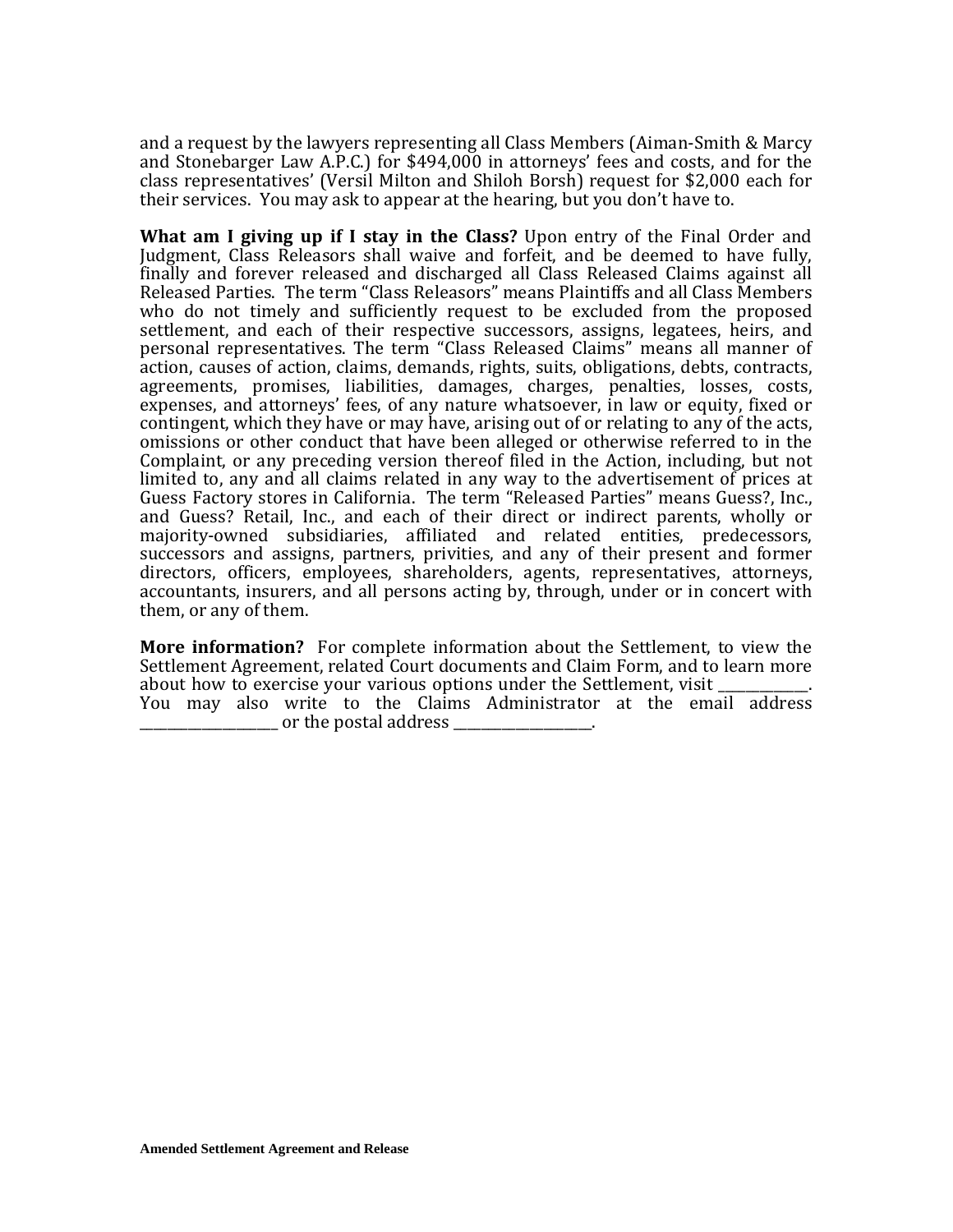and a request by the lawyers representing all Class Members (Aiman-Smith & Marcy and Stonebarger Law A.P.C.) for \$494,000 in attorneys' fees and costs, and for the class representatives' (Versil Milton and Shiloh Borsh) request for \$2,000 each for their services. You may ask to appear at the hearing, but you don't have to.

**What am I giving up if I stay in the Class?** Upon entry of the Final Order and Judgment, Class Releasors shall waive and forfeit, and be deemed to have fully, finally and forever released and discharged all Class Released Claims against all Released Parties. The term "Class Releasors" means Plaintiffs and all Class Members who do not timely and sufficiently request to be excluded from the proposed settlement, and each of their respective successors, assigns, legatees, heirs, and personal representatives. The term "Class Released Claims" means all manner of action, causes of action, claims, demands, rights, suits, obligations, debts, contracts, agreements, promises, liabilities, damages, charges, penalties, losses, costs, expenses, and attorneys' fees, of any nature whatsoever, in law or equity, fixed or contingent, which they have or may have, arising out of or relating to any of the acts, omissions or other conduct that have been alleged or otherwise referred to in the Complaint, or any preceding version thereof filed in the Action, including, but not limited to, any and all claims related in any way to the advertisement of prices at Guess Factory stores in California. The term "Released Parties" means Guess?, Inc., and Guess? Retail, Inc., and each of their direct or indirect parents, wholly or majority-owned subsidiaries, affiliated and related entities, predecessors, successors and assigns, partners, privities, and any of their present and former directors, officers, employees, shareholders, agents, representatives, attorneys, accountants, insurers, and all persons acting by, through, under or in concert with them, or any of them.

**More information?** For complete information about the Settlement, to view the Settlement Agreement, related Court documents and Claim Form, and to learn more about how to exercise your various options under the Settlement, visit You may also write to the Claims Administrator at the email address or the postal address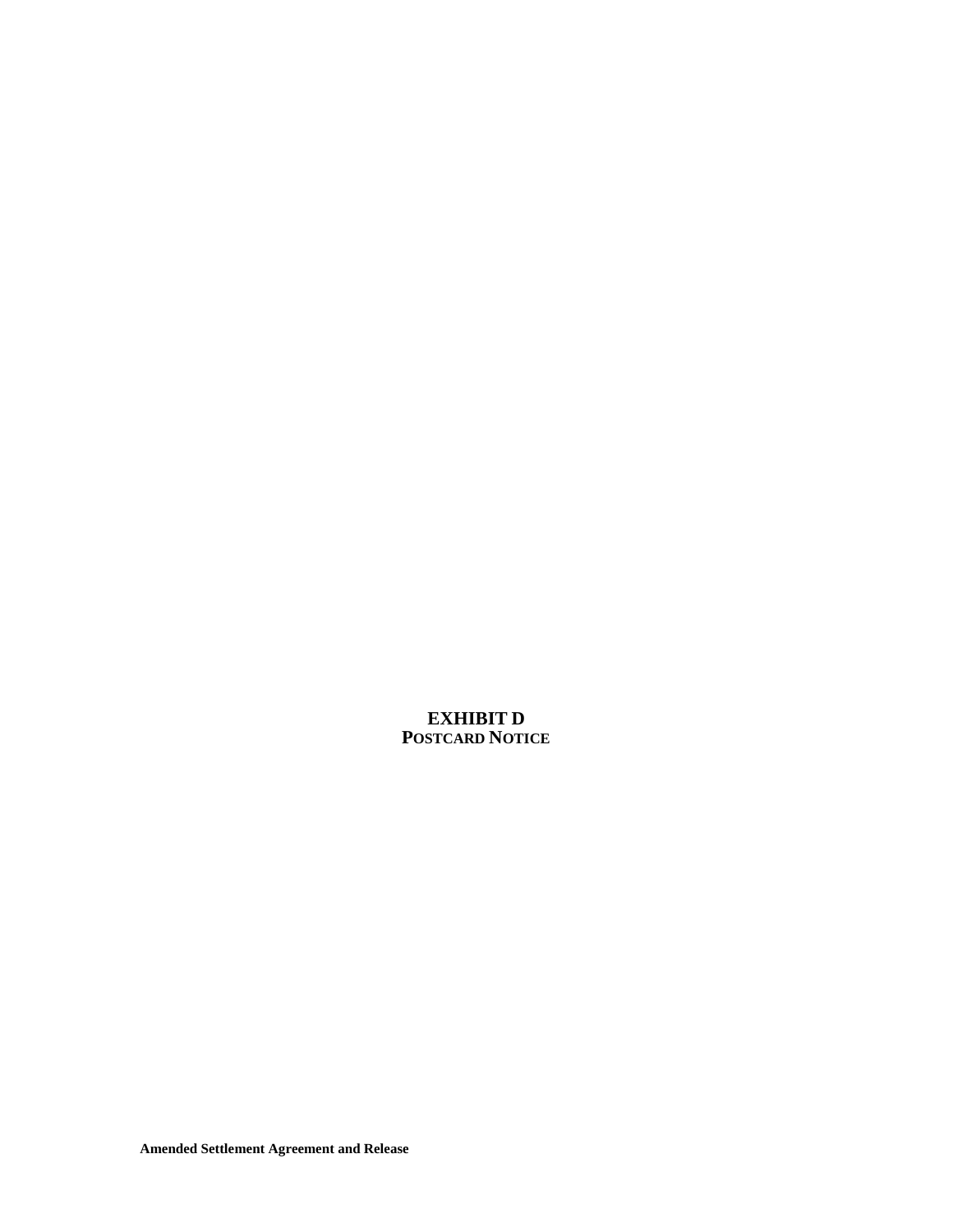**EXHIBIT D POSTCARD NOTICE**

**Amended Settlement Agreement and Release**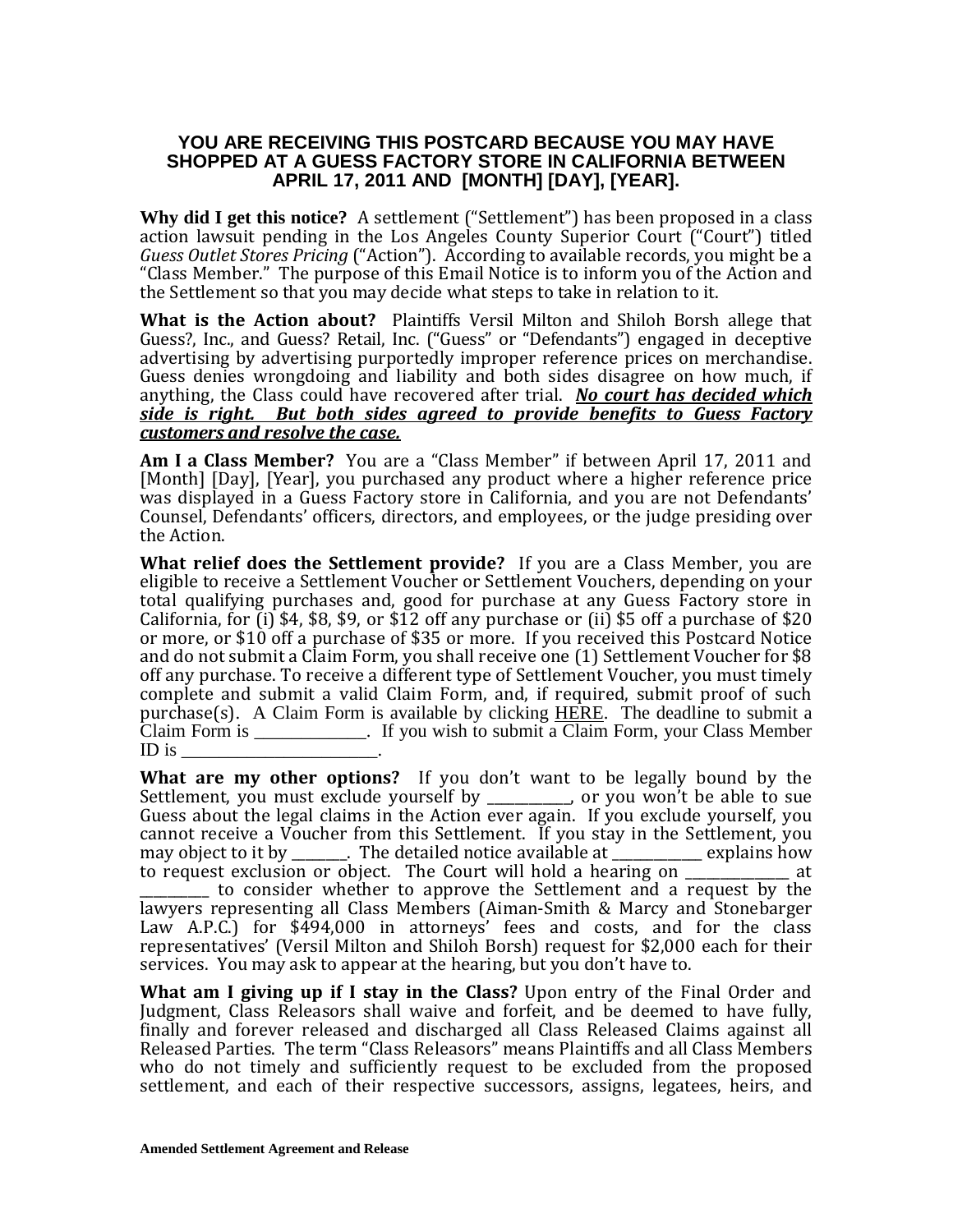#### **YOU ARE RECEIVING THIS POSTCARD BECAUSE YOU MAY HAVE SHOPPED AT A GUESS FACTORY STORE IN CALIFORNIA BETWEEN APRIL 17, 2011 AND [MONTH] [DAY], [YEAR].**

**Why did I get this notice?** A settlement ("Settlement") has been proposed in a class action lawsuit pending in the Los Angeles County Superior Court ("Court") titled *Guess Outlet Stores Pricing* ("Action").According to available records, you might be a "Class Member." The purpose of this Email Notice is to inform you of the Action and the Settlement so that you may decide what steps to take in relation to it.

**What is the Action about?** Plaintiffs Versil Milton and Shiloh Borsh allege that Guess?, Inc., and Guess? Retail, Inc. ("Guess" or "Defendants") engaged in deceptive advertising by advertising purportedly improper reference prices on merchandise. Guess denies wrongdoing and liability and both sides disagree on how much, if anything, the Class could have recovered after trial. *No court has decided which side is right. But both sides agreed to provide benefits to Guess Factory customers and resolve the case.*

**Am I a Class Member?** You are a "Class Member" if between April 17, 2011 and [Month] [Day], [Year], you purchased any product where a higher reference price was displayed in a Guess Factory store in California, and you are not Defendants' Counsel, Defendants' officers, directors, and employees, or the judge presiding over the Action.

**What relief does the Settlement provide?** If you are a Class Member, you are eligible to receive a Settlement Voucher or Settlement Vouchers, depending on your total qualifying purchases and, good for purchase at any Guess Factory store in California, for (i) \$4, \$8, \$9, or \$12 off any purchase or (ii) \$5 off a purchase of \$20 or more, or \$10 off a purchase of \$35 or more. If you received this Postcard Notice and do not submit a Claim Form, you shall receive one (1) Settlement Voucher for \$8 off any purchase. To receive a different type of Settlement Voucher, you must timely complete and submit a valid Claim Form, and, if required, submit proof of such purchase(s). A Claim Form is available by clicking HERE. The deadline to submit a Claim Form is \_\_\_\_\_\_\_\_\_\_\_\_. If you wish to submit a Claim Form, your Class Member ID is

**What are my other options?** If you don't want to be legally bound by the Settlement, you must exclude yourself by \_\_\_\_\_\_\_\_\_\_\_\_, or you won't be able to sue Guess about the legal claims in the Action ever again. If you exclude yourself, you cannot receive a Voucher from this Settlement. If you stay in the Settlement, you may object to it by  $\qquad \qquad$ . The detailed notice available at explains how may object to it by \_\_\_\_\_\_\_. The detailed notice available at \_\_\_\_\_\_\_\_\_\_\_\_ explains how<br>to request exclusion or object. The Court will hold a hearing on at to request exclusion or object. The Court will hold a hearing on  $\equiv$ 

\_\_\_\_\_\_\_\_\_\_ to consider whether to approve the Settlement and a request by the lawyers representing all Class Members (Aiman-Smith & Marcy and Stonebarger Law A.P.C.) for \$494,000 in attorneys' fees and costs, and for the class representatives' (Versil Milton and Shiloh Borsh) request for \$2,000 each for their services. You may ask to appear at the hearing, but you don't have to.

**What am I giving up if I stay in the Class?** Upon entry of the Final Order and Judgment, Class Releasors shall waive and forfeit, and be deemed to have fully, finally and forever released and discharged all Class Released Claims against all Released Parties. The term "Class Releasors" means Plaintiffs and all Class Members who do not timely and sufficiently request to be excluded from the proposed settlement, and each of their respective successors, assigns, legatees, heirs, and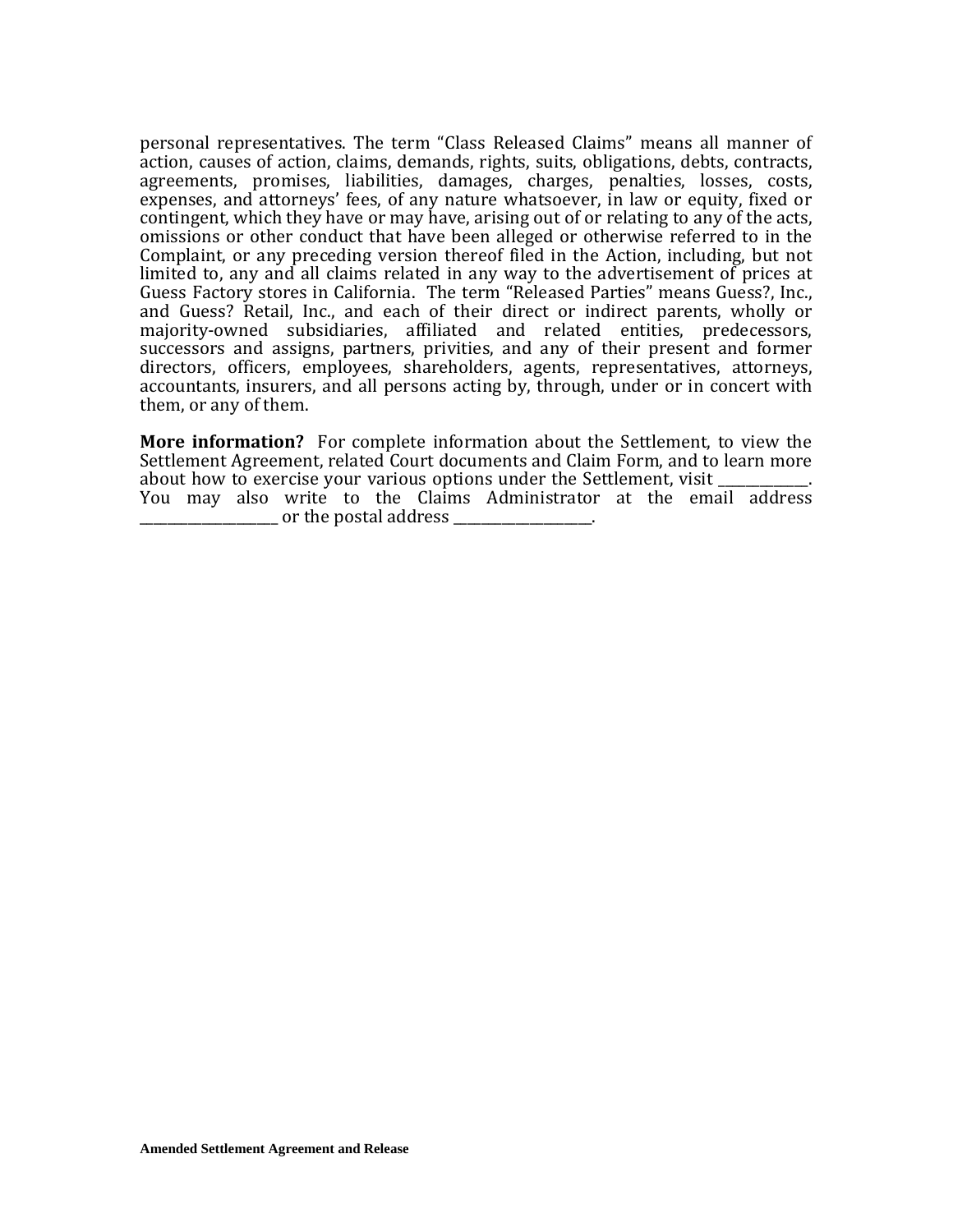personal representatives. The term "Class Released Claims" means all manner of action, causes of action, claims, demands, rights, suits, obligations, debts, contracts, agreements, promises, liabilities, damages, charges, penalties, losses, costs, expenses, and attorneys' fees, of any nature whatsoever, in law or equity, fixed or contingent, which they have or may have, arising out of or relating to any of the acts, omissions or other conduct that have been alleged or otherwise referred to in the Complaint, or any preceding version thereof filed in the Action, including, but not limited to, any and all claims related in any way to the advertisement of prices at Guess Factory stores in California. The term "Released Parties" means Guess?, Inc., and Guess? Retail, Inc., and each of their direct or indirect parents, wholly or majority-owned subsidiaries, affiliated and related entities, predecessors, successors and assigns, partners, privities, and any of their present and former directors, officers, employees, shareholders, agents, representatives, attorneys, accountants, insurers, and all persons acting by, through, under or in concert with them, or any of them.

**More information?** For complete information about the Settlement, to view the Settlement Agreement, related Court documents and Claim Form, and to learn more about how to exercise your various options under the Settlement, visit You may also write to the Claims Administrator at the email address  $\bullet$  or the postal address  $\bullet$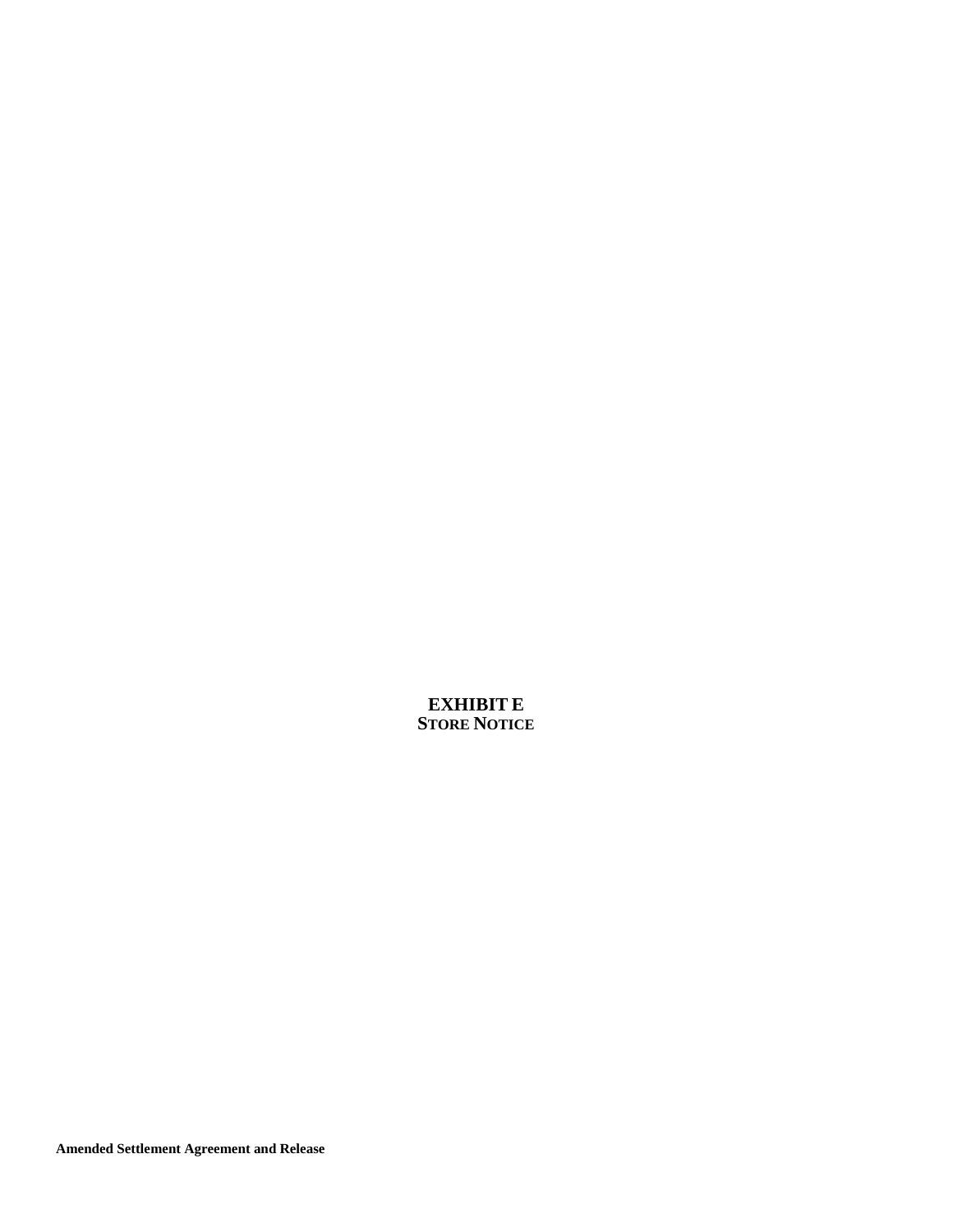**EXHIBIT E STORE NOTICE**

**Amended Settlement Agreement and Release**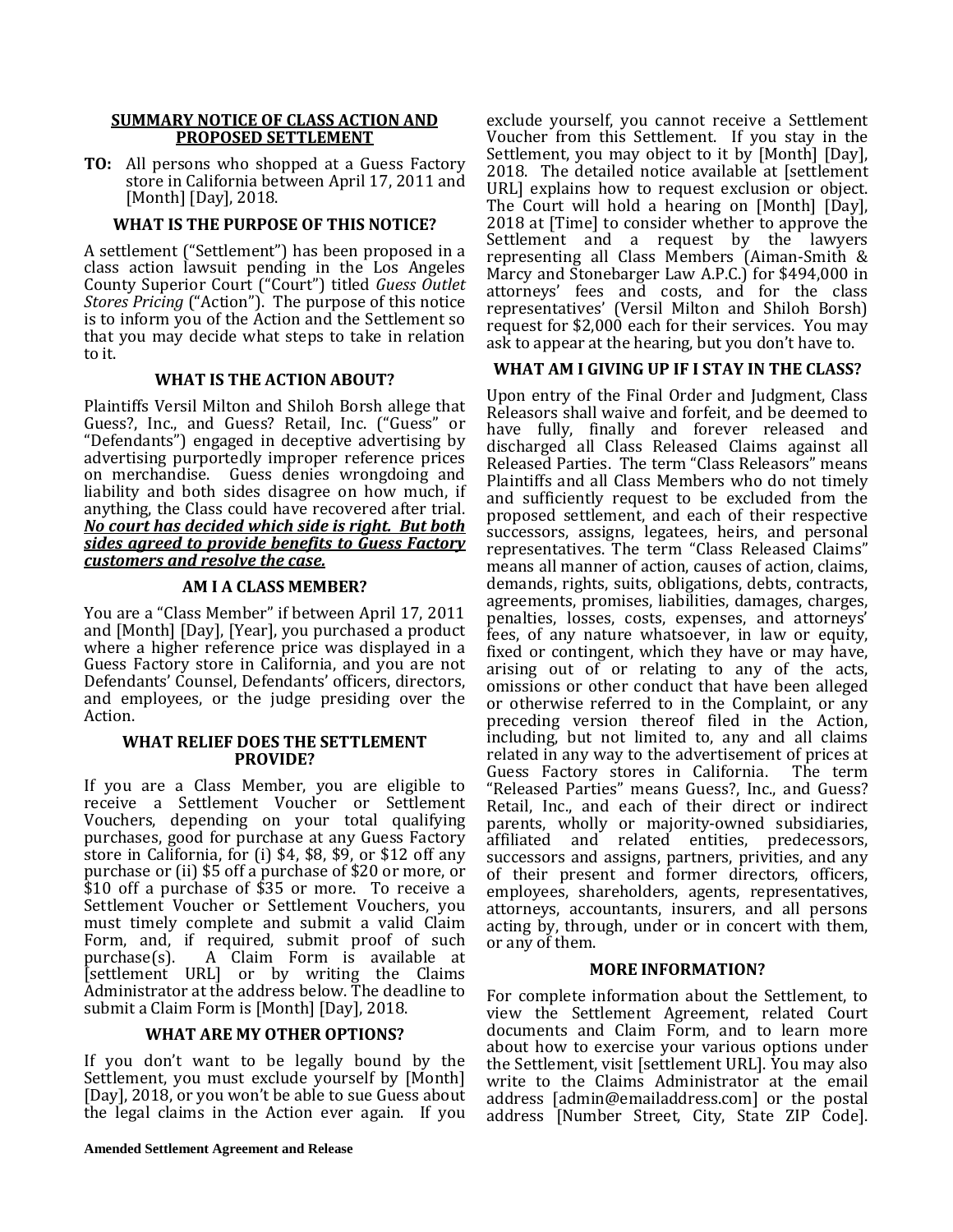#### **SUMMARY NOTICE OF CLASS ACTION AND PROPOSED SETTLEMENT**

**TO:** All persons who shopped at a Guess Factory store in California between April 17, 2011 and [Month] [Day], 2018.

#### **WHAT IS THE PURPOSE OF THIS NOTICE?**

A settlement ("Settlement") has been proposed in a class action lawsuit pending in the Los Angeles County Superior Court ("Court") titled *Guess Outlet Stores Pricing* ("Action"). The purpose of this notice is to inform you of the Action and the Settlement so that you may decide what steps to take in relation to it.

### **WHAT IS THE ACTION ABOUT?**

Plaintiffs Versil Milton and Shiloh Borsh allege that Guess?, Inc., and Guess? Retail, Inc. ("Guess" or "Defendants") engaged in deceptive advertising by advertising purportedly improper reference prices on merchandise. Guess denies wrongdoing and liability and both sides disagree on how much, if anything, the Class could have recovered after trial. *No court has decided which side is right. But both sides agreed to provide benefits to Guess Factory customers and resolve the case.*

#### **AM I A CLASS MEMBER?**

You are a "Class Member" if between April 17, 2011 and [Month] [Day], [Year], you purchased a product where a higher reference price was displayed in a Guess Factory store in California, and you are not Defendants' Counsel, Defendants' officers, directors, and employees, or the judge presiding over the Action.

#### **WHAT RELIEF DOES THE SETTLEMENT PROVIDE?**

If you are a Class Member, you are eligible to receive a Settlement Voucher or Settlement Vouchers, depending on your total qualifying purchases, good for purchase at any Guess Factory store in California, for (i) \$4, \$8, \$9, or \$12 off any purchase or (ii) \$5 off a purchase of \$20 or more, or \$10 off a purchase of \$35 or more. To receive a Settlement Voucher or Settlement Vouchers, you must timely complete and submit a valid Claim Form, and, if required, submit proof of such purchase(s). A Claim Form is available at A Claim Form is available at [settlement URL] or by writing the Claims Administrator at the address below. The deadline to submit a Claim Form is [Month] [Day], 2018.

#### **WHAT ARE MY OTHER OPTIONS?**

If you don't want to be legally bound by the Settlement, you must exclude yourself by [Month] [Day], 2018, or you won't be able to sue Guess about the legal claims in the Action ever again. If you exclude yourself, you cannot receive a Settlement Voucher from this Settlement. If you stay in the Settlement, you may object to it by [Month] [Day], 2018. The detailed notice available at [settlement URL] explains how to request exclusion or object. The Court will hold a hearing on [Month] [Day], 2018 at [Time] to consider whether to approve the Settlement and a request by the lawyers representing all Class Members (Aiman-Smith & Marcy and Stonebarger Law A.P.C.) for \$494,000 in attorneys' fees and costs, and for the class representatives' (Versil Milton and Shiloh Borsh) request for \$2,000 each for their services. You may ask to appear at the hearing, but you don't have to.

#### **WHAT AM I GIVING UP IF I STAY IN THE CLASS?**

Upon entry of the Final Order and Judgment, Class Releasors shall waive and forfeit, and be deemed to have fully, finally and forever released and discharged all Class Released Claims against all Released Parties. The term "Class Releasors" means Plaintiffs and all Class Members who do not timely and sufficiently request to be excluded from the proposed settlement, and each of their respective successors, assigns, legatees, heirs, and personal representatives. The term "Class Released Claims" means all manner of action, causes of action, claims, demands, rights, suits, obligations, debts, contracts, agreements, promises, liabilities, damages, charges, penalties, losses, costs, expenses, and attorneys' fees, of any nature whatsoever, in law or equity, fixed or contingent, which they have or may have, arising out of or relating to any of the acts, omissions or other conduct that have been alleged or otherwise referred to in the Complaint, or any preceding version thereof filed in the Action, including, but not limited to, any and all claims related in any way to the advertisement of prices at Guess Factory stores in California. "Released Parties" means Guess?, Inc., and Guess? Retail, Inc., and each of their direct or indirect parents, wholly or majority-owned subsidiaries, affiliated and related entities, predecessors, successors and assigns, partners, privities, and any of their present and former directors, officers, employees, shareholders, agents, representatives, attorneys, accountants, insurers, and all persons acting by, through, under or in concert with them, or any of them.

#### **MORE INFORMATION?**

For complete information about the Settlement, to view the Settlement Agreement, related Court documents and Claim Form, and to learn more about how to exercise your various options under the Settlement, visit [settlement URL]. You may also write to the Claims Administrator at the email address [admin@emailaddress.com] or the postal address [Number Street, City, State ZIP Code].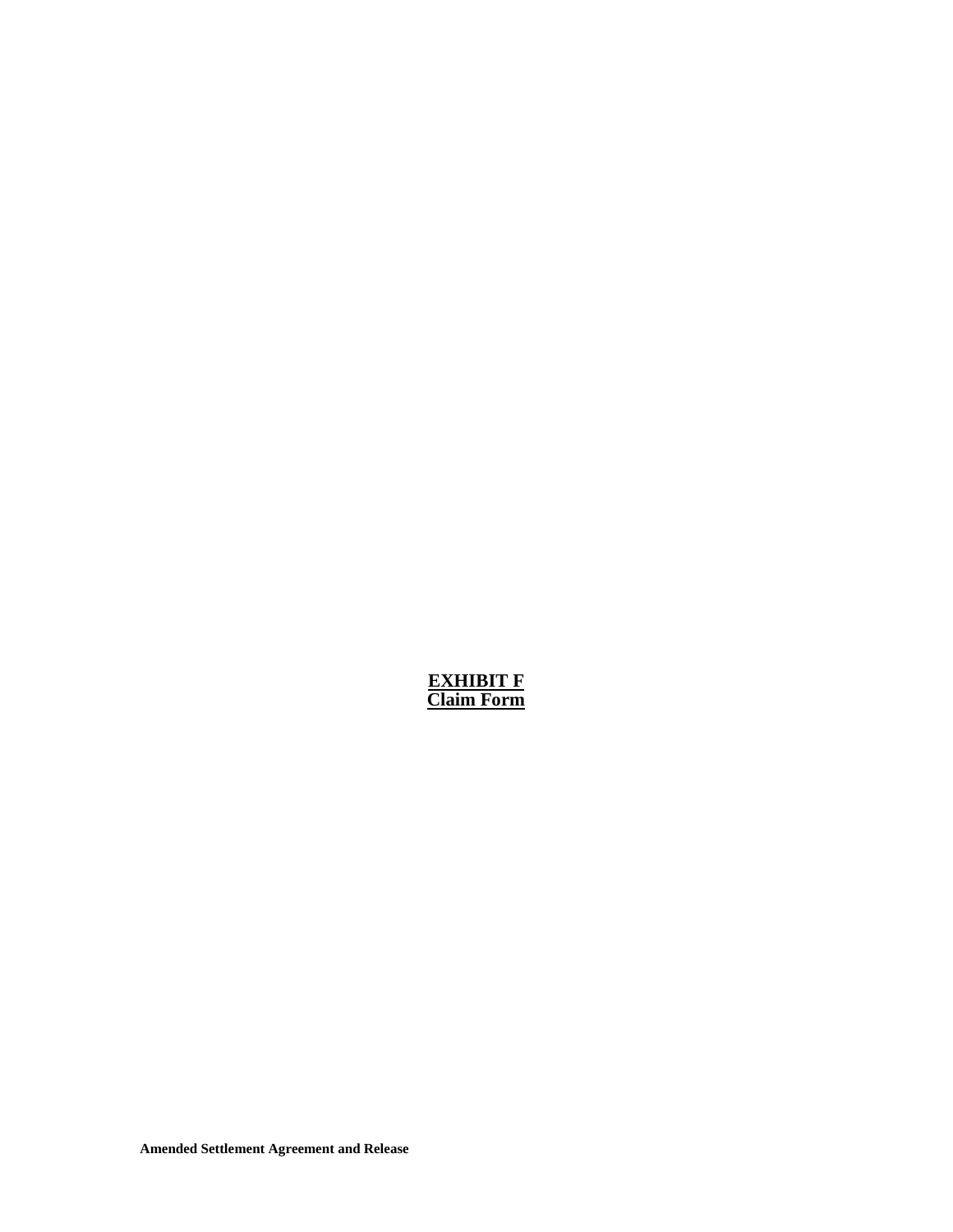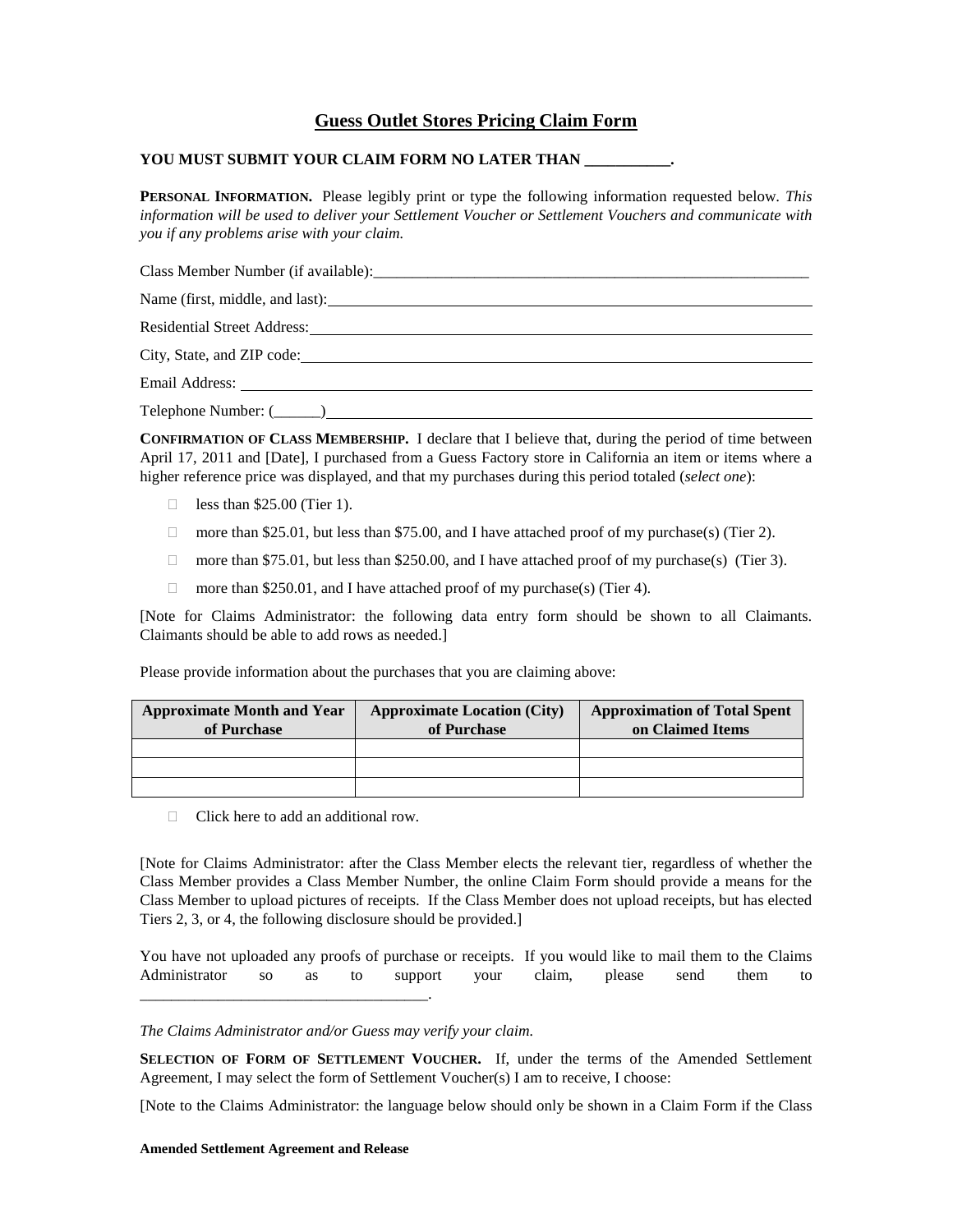### **Guess Outlet Stores Pricing Claim Form**

#### **YOU MUST SUBMIT YOUR CLAIM FORM NO LATER THAN \_\_\_\_\_\_\_\_\_\_\_.**

**PERSONAL INFORMATION.** Please legibly print or type the following information requested below. *This information will be used to deliver your Settlement Voucher or Settlement Vouchers and communicate with you if any problems arise with your claim.* 

Class Member Number (if available):\_\_\_\_\_\_\_\_\_\_\_\_\_\_\_\_\_\_\_\_\_\_\_\_\_\_\_\_\_\_\_\_\_\_\_\_\_\_\_\_\_\_\_\_\_\_\_\_\_\_\_\_\_\_\_\_ Name (first, middle, and last): Residential Street Address: City, State, and ZIP code: Email Address: Telephone Number: (\_\_\_\_\_\_)

**CONFIRMATION OF CLASS MEMBERSHIP.** I declare that I believe that, during the period of time between April 17, 2011 and [Date], I purchased from a Guess Factory store in California an item or items where a higher reference price was displayed, and that my purchases during this period totaled (*select one*):

- $\Box$  less than \$25.00 (Tier 1).
- more than \$25.01, but less than \$75.00, and I have attached proof of my purchase(s) (Tier 2).
- $\Box$  more than \$75.01, but less than \$250.00, and I have attached proof of my purchase(s) (Tier 3).
- □ more than \$250.01, and I have attached proof of my purchase(s) (Tier 4).

[Note for Claims Administrator: the following data entry form should be shown to all Claimants. Claimants should be able to add rows as needed.]

Please provide information about the purchases that you are claiming above:

| <b>Approximate Month and Year</b><br>of Purchase | <b>Approximate Location (City)</b><br>of Purchase | <b>Approximation of Total Spent</b><br>on Claimed Items |
|--------------------------------------------------|---------------------------------------------------|---------------------------------------------------------|
|                                                  |                                                   |                                                         |
|                                                  |                                                   |                                                         |
|                                                  |                                                   |                                                         |

 $\Box$  Click here to add an additional row.

[Note for Claims Administrator: after the Class Member elects the relevant tier, regardless of whether the Class Member provides a Class Member Number, the online Claim Form should provide a means for the Class Member to upload pictures of receipts. If the Class Member does not upload receipts, but has elected Tiers 2, 3, or 4, the following disclosure should be provided.]

You have not uploaded any proofs of purchase or receipts. If you would like to mail them to the Claims Administrator so as to support your claim, please send them to

#### *The Claims Administrator and/or Guess may verify your claim.*

**SELECTION OF FORM OF SETTLEMENT VOUCHER.** If, under the terms of the Amended Settlement Agreement, I may select the form of Settlement Voucher(s) I am to receive, I choose:

[Note to the Claims Administrator: the language below should only be shown in a Claim Form if the Class

#### **Amended Settlement Agreement and Release**

\_\_\_\_\_\_\_\_\_\_\_\_\_\_\_\_\_\_\_\_\_\_\_\_\_\_\_\_\_\_\_\_\_\_\_\_\_.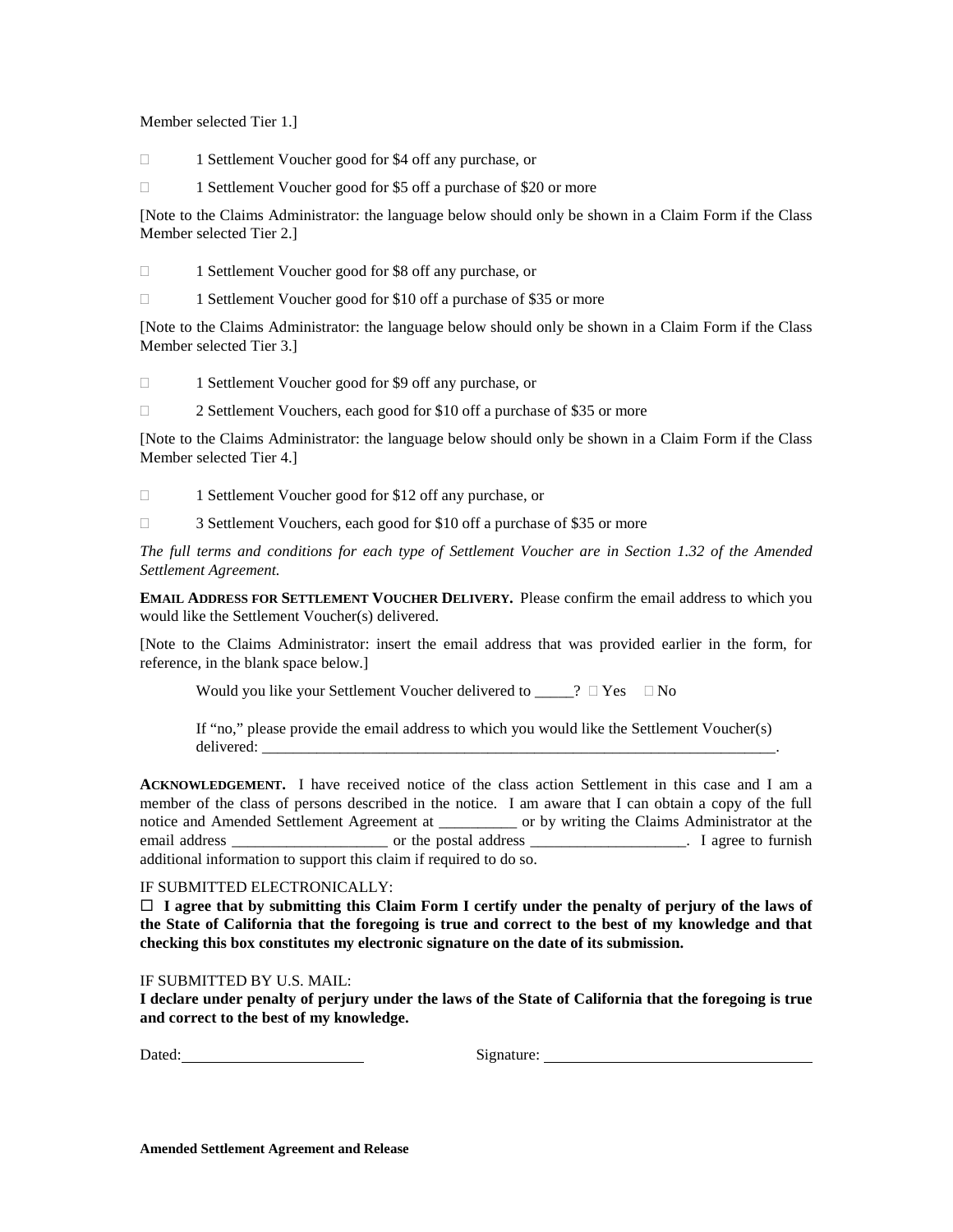Member selected Tier 1.]

1 Settlement Voucher good for \$4 off any purchase, or

1 Settlement Voucher good for \$5 off a purchase of \$20 or more

[Note to the Claims Administrator: the language below should only be shown in a Claim Form if the Class Member selected Tier 2.]

1 Settlement Voucher good for \$8 off any purchase, or

1 Settlement Voucher good for \$10 off a purchase of \$35 or more

[Note to the Claims Administrator: the language below should only be shown in a Claim Form if the Class Member selected Tier 3.]

□ 1 Settlement Voucher good for \$9 off any purchase, or

□ 2 Settlement Vouchers, each good for \$10 off a purchase of \$35 or more

[Note to the Claims Administrator: the language below should only be shown in a Claim Form if the Class Member selected Tier 4.]

1 Settlement Voucher good for \$12 off any purchase, or

3 Settlement Vouchers, each good for \$10 off a purchase of \$35 or more

*The full terms and conditions for each type of Settlement Voucher are in Section 1.32 of the Amended Settlement Agreement.*

**EMAIL ADDRESS FOR SETTLEMENT VOUCHER DELIVERY.** Please confirm the email address to which you would like the Settlement Voucher(s) delivered.

[Note to the Claims Administrator: insert the email address that was provided earlier in the form, for reference, in the blank space below.]

Would you like your Settlement Voucher delivered to  $\_\_? \Box$  Yes  $\Box$  No

If "no," please provide the email address to which you would like the Settlement Voucher(s) delivered:

**ACKNOWLEDGEMENT.** I have received notice of the class action Settlement in this case and I am a member of the class of persons described in the notice. I am aware that I can obtain a copy of the full notice and Amended Settlement Agreement at \_\_\_\_\_\_\_\_\_\_ or by writing the Claims Administrator at the email address email address or the postal address and the set of furnish email address and the postal address and the postal address and the postal address and the postal address and the postal address and the postal addre additional information to support this claim if required to do so.

#### IF SUBMITTED ELECTRONICALLY:

 **I agree that by submitting this Claim Form I certify under the penalty of perjury of the laws of the State of California that the foregoing is true and correct to the best of my knowledge and that checking this box constitutes my electronic signature on the date of its submission.**

#### IF SUBMITTED BY U.S. MAIL:

**I declare under penalty of perjury under the laws of the State of California that the foregoing is true and correct to the best of my knowledge.**

Dated: Signature: Signature: Signature: Signature: Signature: Signature: Signature: Signature: Signature: Signature: Signature: Signature: Signature: Signature: Signature: Signature: Signature: Signature: Signature: Signat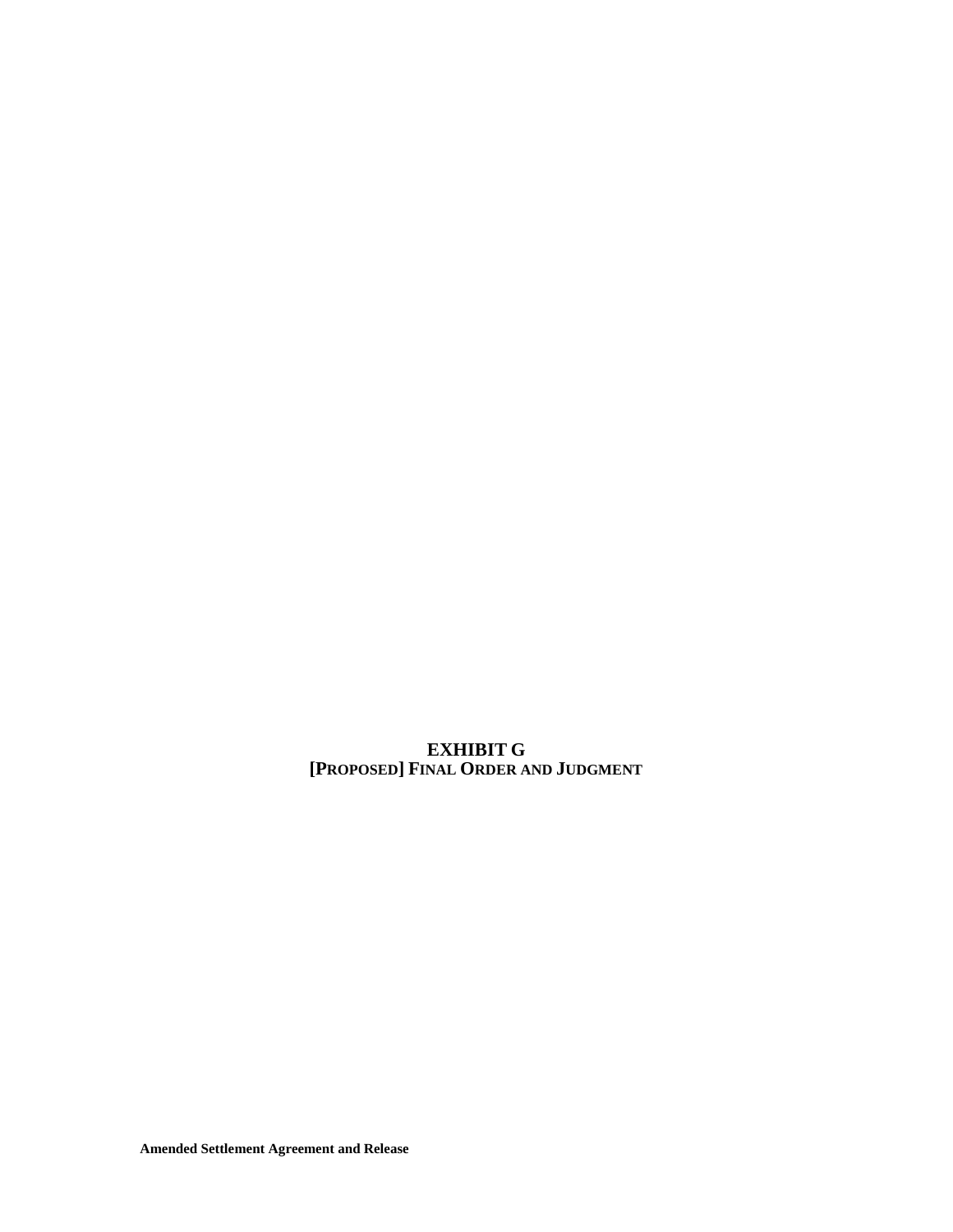**EXHIBIT G [PROPOSED] FINAL ORDER AND JUDGMENT**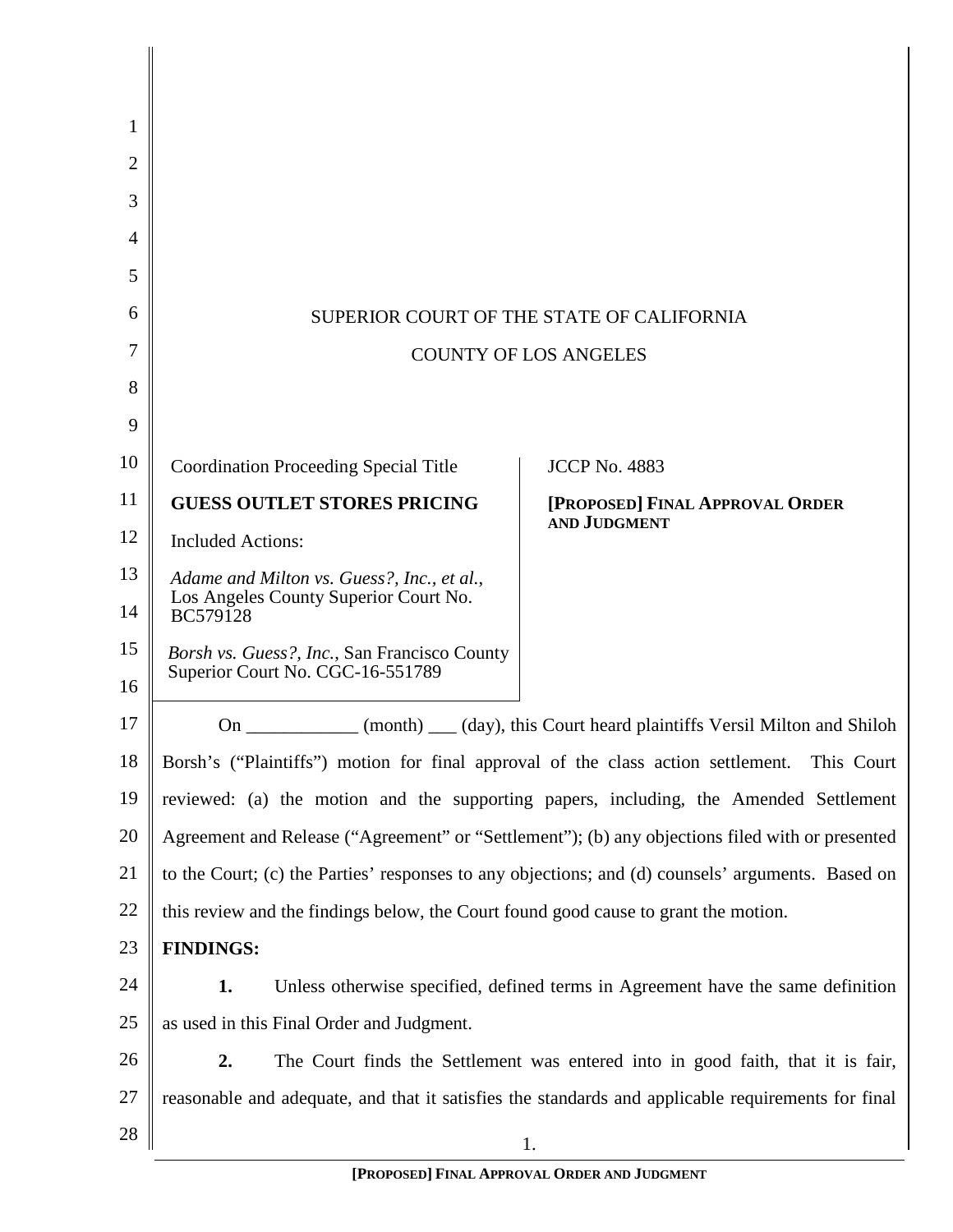| 1  |                                                                                                   |                                                                                                    |  |
|----|---------------------------------------------------------------------------------------------------|----------------------------------------------------------------------------------------------------|--|
| 2  |                                                                                                   |                                                                                                    |  |
| 3  |                                                                                                   |                                                                                                    |  |
| 4  |                                                                                                   |                                                                                                    |  |
| 5  |                                                                                                   |                                                                                                    |  |
| 6  |                                                                                                   | SUPERIOR COURT OF THE STATE OF CALIFORNIA                                                          |  |
| 7  | <b>COUNTY OF LOS ANGELES</b>                                                                      |                                                                                                    |  |
| 8  |                                                                                                   |                                                                                                    |  |
| 9  |                                                                                                   |                                                                                                    |  |
| 10 | <b>Coordination Proceeding Special Title</b>                                                      | <b>JCCP No. 4883</b>                                                                               |  |
| 11 | <b>GUESS OUTLET STORES PRICING</b>                                                                | [PROPOSED] FINAL APPROVAL ORDER                                                                    |  |
| 12 | <b>Included Actions:</b>                                                                          | AND JUDGMENT                                                                                       |  |
| 13 | Adame and Milton vs. Guess?, Inc., et al.,                                                        |                                                                                                    |  |
| 14 | Los Angeles County Superior Court No.<br>BC579128                                                 |                                                                                                    |  |
| 15 | Borsh vs. Guess?, Inc., San Francisco County                                                      |                                                                                                    |  |
| 16 | Superior Court No. CGC-16-551789                                                                  |                                                                                                    |  |
| 17 |                                                                                                   | On ____________ (month) ___ (day), this Court heard plaintiffs Versil Milton and Shiloh            |  |
| 18 | Borsh's ("Plaintiffs") motion for final approval of the class action settlement.                  | This Court                                                                                         |  |
| 19 |                                                                                                   | reviewed: (a) the motion and the supporting papers, including, the Amended Settlement              |  |
| 20 |                                                                                                   | Agreement and Release ("Agreement" or "Settlement"); (b) any objections filed with or presented    |  |
| 21 | to the Court; (c) the Parties' responses to any objections; and (d) counsels' arguments. Based on |                                                                                                    |  |
| 22 | this review and the findings below, the Court found good cause to grant the motion.               |                                                                                                    |  |
| 23 | <b>FINDINGS:</b>                                                                                  |                                                                                                    |  |
| 24 | 1.                                                                                                | Unless otherwise specified, defined terms in Agreement have the same definition                    |  |
| 25 | as used in this Final Order and Judgment.                                                         |                                                                                                    |  |
| 26 | 2.                                                                                                | The Court finds the Settlement was entered into in good faith, that it is fair,                    |  |
| 27 |                                                                                                   | reasonable and adequate, and that it satisfies the standards and applicable requirements for final |  |
| 28 |                                                                                                   | 1.                                                                                                 |  |

 $\overline{\phantom{a}}$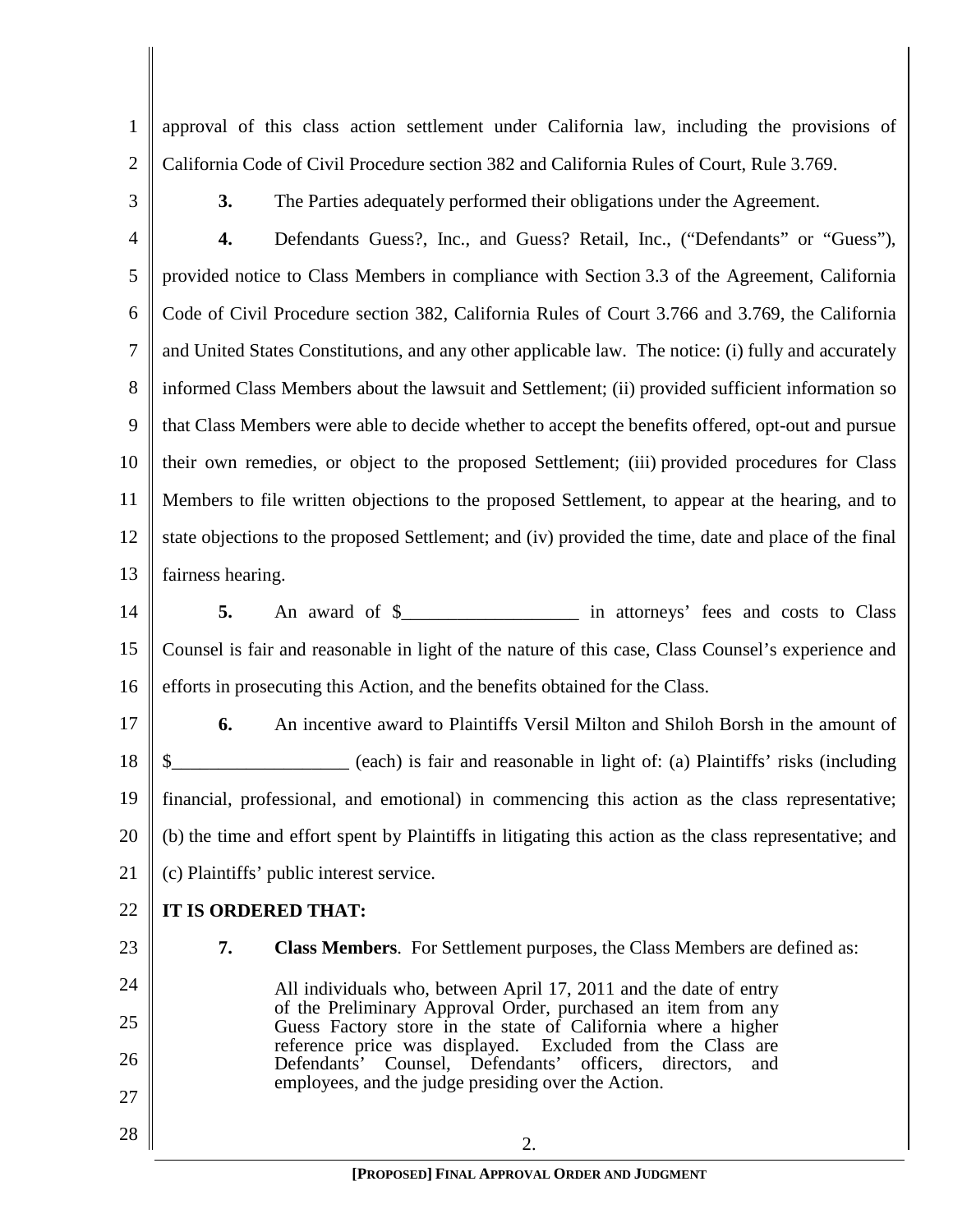1 2 approval of this class action settlement under California law, including the provisions of California Code of Civil Procedure section 382 and California Rules of Court, Rule 3.769.

3

**3.** The Parties adequately performed their obligations under the Agreement.

4 5 6 7 8 9 10 11 12 13 **4.** Defendants Guess?, Inc., and Guess? Retail, Inc., ("Defendants" or "Guess"), provided notice to Class Members in compliance with Section 3.3 of the Agreement, California Code of Civil Procedure section 382, California Rules of Court 3.766 and 3.769, the California and United States Constitutions, and any other applicable law. The notice: (i) fully and accurately informed Class Members about the lawsuit and Settlement; (ii) provided sufficient information so that Class Members were able to decide whether to accept the benefits offered, opt-out and pursue their own remedies, or object to the proposed Settlement; (iii) provided procedures for Class Members to file written objections to the proposed Settlement, to appear at the hearing, and to state objections to the proposed Settlement; and (iv) provided the time, date and place of the final fairness hearing.

14 15 16 **5.** An award of \$\_\_\_\_\_\_\_\_\_\_\_\_\_\_\_\_\_\_\_ in attorneys' fees and costs to Class Counsel is fair and reasonable in light of the nature of this case, Class Counsel's experience and efforts in prosecuting this Action, and the benefits obtained for the Class.

17 18 19 20 21 **6.** An incentive award to Plaintiffs Versil Milton and Shiloh Borsh in the amount of \$\_\_\_\_\_\_\_\_\_\_\_\_\_\_\_\_\_\_\_ (each) is fair and reasonable in light of: (a) Plaintiffs' risks (including financial, professional, and emotional) in commencing this action as the class representative; (b) the time and effort spent by Plaintiffs in litigating this action as the class representative; and (c) Plaintiffs' public interest service.

#### 22 **IT IS ORDERED THAT:**

23 24 **7. Class Members**. For Settlement purposes, the Class Members are defined as:

25 All individuals who, between April 17, 2011 and the date of entry of the Preliminary Approval Order, purchased an item from any Guess Factory store in the state of California where a higher reference price was displayed. Excluded from the Class are Defendants' Counsel, Defendants' officers, directors, and employees, and the judge presiding over the Action.

28

26

27

2.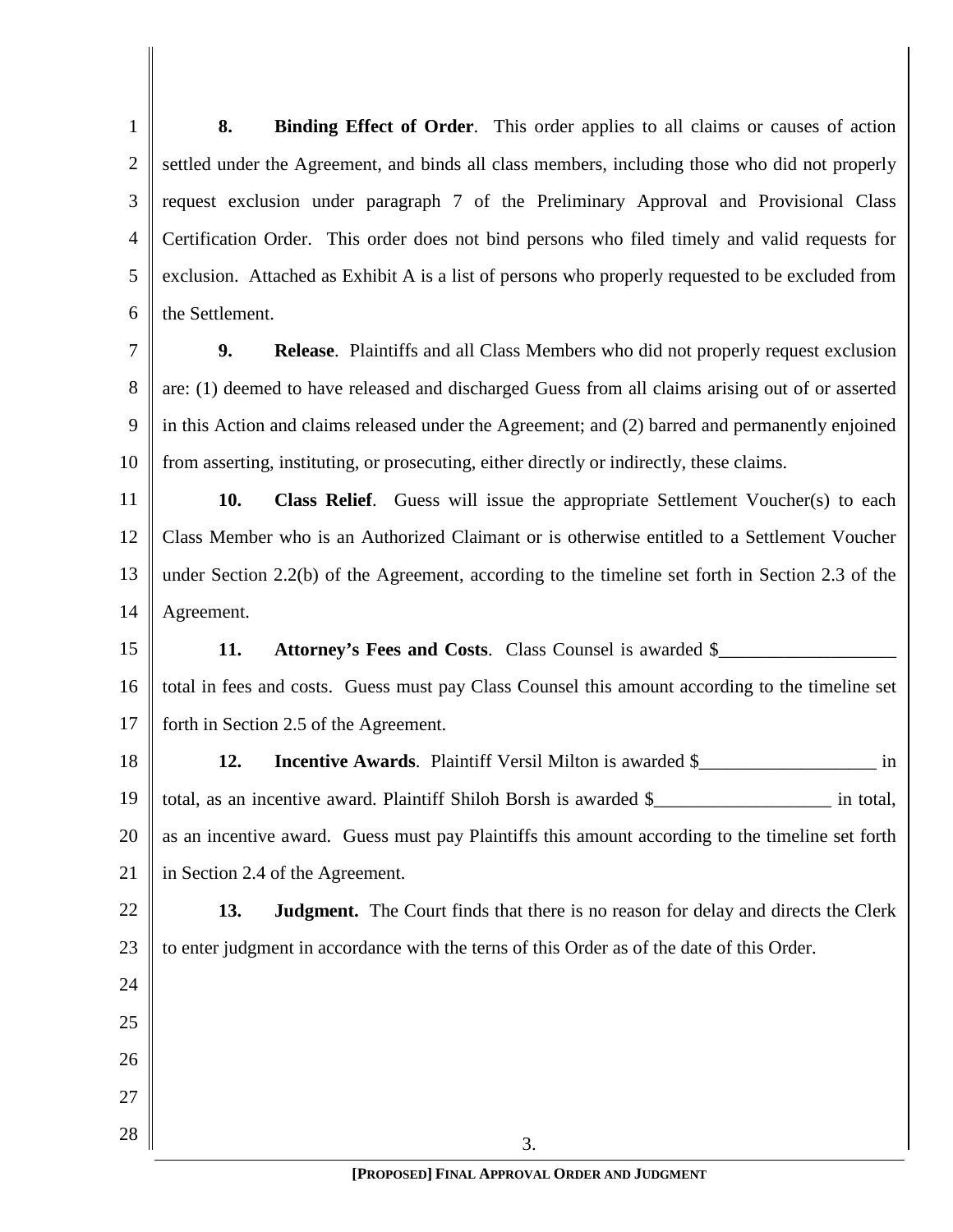1 2 3 4 5 6 **8. Binding Effect of Order**. This order applies to all claims or causes of action settled under the Agreement, and binds all class members, including those who did not properly request exclusion under paragraph 7 of the Preliminary Approval and Provisional Class Certification Order. This order does not bind persons who filed timely and valid requests for exclusion. Attached as Exhibit A is a list of persons who properly requested to be excluded from the Settlement.

7 8 9 10 **9. Release**. Plaintiffs and all Class Members who did not properly request exclusion are: (1) deemed to have released and discharged Guess from all claims arising out of or asserted in this Action and claims released under the Agreement; and (2) barred and permanently enjoined from asserting, instituting, or prosecuting, either directly or indirectly, these claims.

11 12 13 14 **10. Class Relief**. Guess will issue the appropriate Settlement Voucher(s) to each Class Member who is an Authorized Claimant or is otherwise entitled to a Settlement Voucher under Section 2.2(b) of the Agreement, according to the timeline set forth in Section 2.3 of the Agreement.

15 16 17 **11. Attorney's Fees and Costs.** Class Counsel is awarded \$ total in fees and costs. Guess must pay Class Counsel this amount according to the timeline set forth in Section 2.5 of the Agreement.

18 19 20 21 **12. Incentive Awards**. Plaintiff Versil Milton is awarded \$\_\_\_\_\_\_\_\_\_\_\_\_\_\_\_\_\_\_\_ in total, as an incentive award. Plaintiff Shiloh Borsh is awarded \$\_\_\_\_\_\_\_\_\_\_\_\_\_\_\_\_\_\_\_ in total, as an incentive award. Guess must pay Plaintiffs this amount according to the timeline set forth in Section 2.4 of the Agreement.

22 23 **13. Judgment.** The Court finds that there is no reason for delay and directs the Clerk to enter judgment in accordance with the terns of this Order as of the date of this Order.

24

25

26

27

28

3. **[PROPOSED] FINAL APPROVAL ORDER AND JUDGMENT**